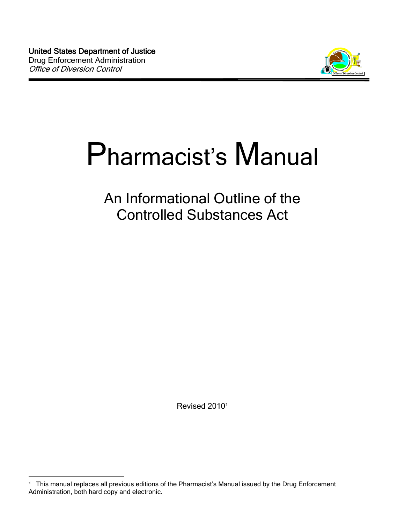

# Pharmacist's Manual

An Informational Outline of the Controlled Substances Act

Revised 2010<sup>1</sup>

 $\overline{a}$ <sup>1</sup> This manual replaces all previous editions of the Pharmacist's Manual issued by the Drug Enforcement Administration, both hard copy and electronic.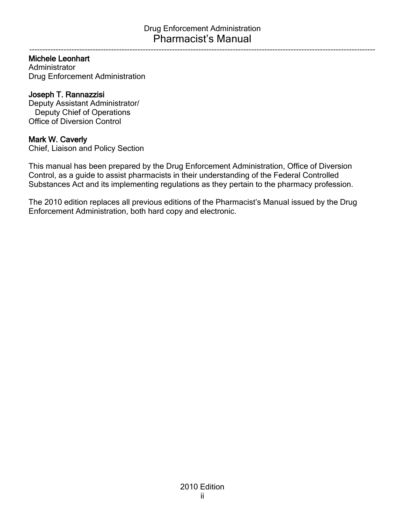#### ----------------------------------------------------------------------------------------------------------------------------------- Michele Leonhart

**Administrator** Drug Enforcement Administration

#### Joseph T. Rannazzisi

Deputy Assistant Administrator/ Deputy Chief of Operations Office of Diversion Control

#### Mark W. Caverly

Chief, Liaison and Policy Section

This manual has been prepared by the Drug Enforcement Administration, Office of Diversion Control, as a guide to assist pharmacists in their understanding of the Federal Controlled Substances Act and its implementing regulations as they pertain to the pharmacy profession.

The 2010 edition replaces all previous editions of the Pharmacist's Manual issued by the Drug Enforcement Administration, both hard copy and electronic.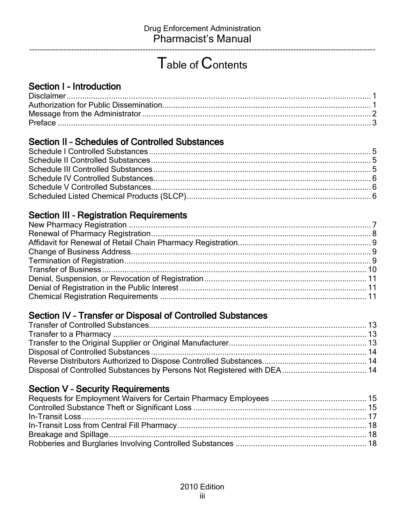# Table of Contents

-----------------------------------------------------------------------------------------------------------------------------------

# Section I - Introduction

# Section II - Schedules of Controlled Substances.

# Section III – Registration Requirements

# Section IV – Transfer or Disposal of Controlled Substances

# Section V - Security Requirements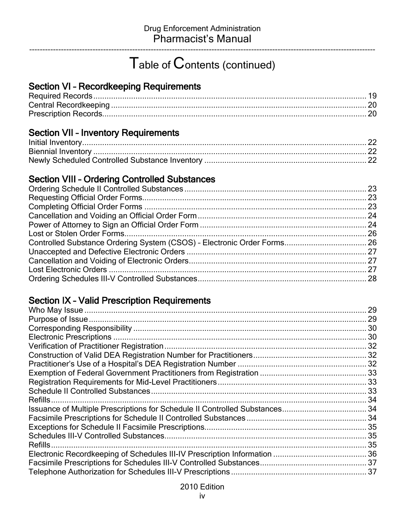# Table of Contents (continued)

-----------------------------------------------------------------------------------------------------------------------------------

# Section VI - Recordkeeping Requirements.

### Section VII - Inventory Requirements

### Section VIII - Ordering Controlled Substances

### Section IX - Valid Prescription Requirements

|         | 29  |
|---------|-----|
|         | 29  |
|         |     |
|         |     |
|         | -32 |
|         |     |
|         |     |
|         |     |
|         |     |
|         |     |
| Refills |     |
|         |     |
|         |     |
|         |     |
|         |     |
|         | 35  |
|         |     |
|         |     |
|         |     |
|         |     |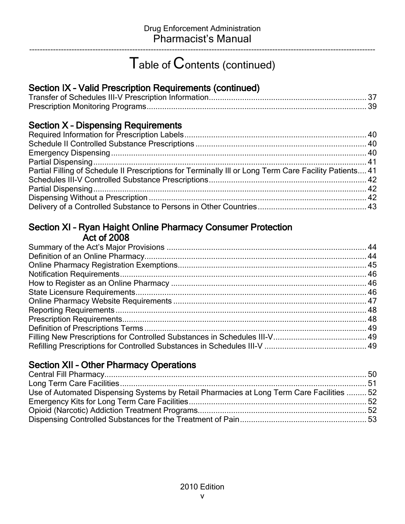# Table of Contents (continued)

-----------------------------------------------------------------------------------------------------------------------------------

# Section IX - Valid Prescription Requirements (continued)

# Section X – Dispensing Requirements

| Partial Filling of Schedule II Prescriptions for Terminally III or Long Term Care Facility Patients 41 |  |
|--------------------------------------------------------------------------------------------------------|--|
|                                                                                                        |  |
|                                                                                                        |  |
|                                                                                                        |  |
|                                                                                                        |  |

# Section XI – Ryan Haight Online Pharmacy Consumer Protection

| <b>Act of 2008</b> |  |
|--------------------|--|
|                    |  |
|                    |  |
|                    |  |
|                    |  |
|                    |  |
|                    |  |
|                    |  |
|                    |  |
|                    |  |
|                    |  |
|                    |  |
|                    |  |
|                    |  |

# Section XII - Other Pharmacy Operations

| Use of Automated Dispensing Systems by Retail Pharmacies at Long Term Care Facilities  52 |  |
|-------------------------------------------------------------------------------------------|--|
|                                                                                           |  |
|                                                                                           |  |
|                                                                                           |  |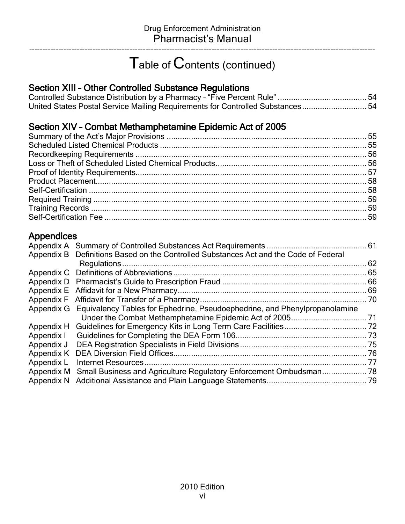-----------------------------------------------------------------------------------------------------------------------------------

Table of Contents (continued)

# Section XIII - Other Controlled Substance Regulations

| United States Postal Service Mailing Requirements for Controlled Substances54 |  |
|-------------------------------------------------------------------------------|--|

# Section XIV – Combat Methamphetamine Epidemic Act of 2005

# Appendices

|            | Appendix B Definitions Based on the Controlled Substances Act and the Code of Federal |     |
|------------|---------------------------------------------------------------------------------------|-----|
|            |                                                                                       | .62 |
|            |                                                                                       |     |
|            |                                                                                       |     |
|            |                                                                                       |     |
|            |                                                                                       |     |
|            | Appendix G Equivalency Tables for Ephedrine, Pseudoephedrine, and Phenylpropanolamine |     |
|            |                                                                                       |     |
|            |                                                                                       |     |
| Appendix I |                                                                                       |     |
| Appendix J |                                                                                       |     |
|            |                                                                                       |     |
| Appendix L |                                                                                       |     |
|            | Appendix M Small Business and Agriculture Regulatory Enforcement Ombudsman 78         |     |
|            |                                                                                       |     |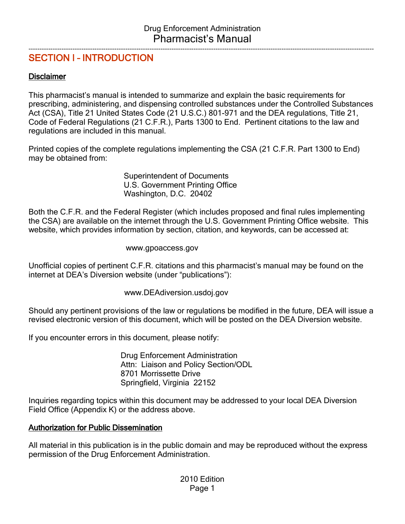#### ------------------------------------------------------------------------------------------------------------------------------------------------------------- SECTION I – INTRODUCTION

#### Disclaimer

This pharmacist's manual is intended to summarize and explain the basic requirements for prescribing, administering, and dispensing controlled substances under the Controlled Substances Act (CSA), Title 21 United States Code (21 U.S.C.) 801-971 and the DEA regulations, Title 21, Code of Federal Regulations (21 C.F.R.), Parts 1300 to End. Pertinent citations to the law and regulations are included in this manual.

Printed copies of the complete regulations implementing the CSA (21 C.F.R. Part 1300 to End) may be obtained from:

> Superintendent of Documents U.S. Government Printing Office Washington, D.C. 20402

Both the C.F.R. and the Federal Register (which includes proposed and final rules implementing the CSA) are available on the internet through the U.S. Government Printing Office website. This website, which provides information by section, citation, and keywords, can be accessed at:

www.gpoaccess.gov

Unofficial copies of pertinent C.F.R. citations and this pharmacist's manual may be found on the internet at DEA's Diversion website (under "publications"):

www.DEAdiversion.usdoj.gov

Should any pertinent provisions of the law or regulations be modified in the future, DEA will issue a revised electronic version of this document, which will be posted on the DEA Diversion website.

If you encounter errors in this document, please notify:

Drug Enforcement Administration Attn: Liaison and Policy Section/ODL 8701 Morrissette Drive Springfield, Virginia 22152

Inquiries regarding topics within this document may be addressed to your local DEA Diversion Field Office (Appendix K) or the address above.

#### Authorization for Public Dissemination

All material in this publication is in the public domain and may be reproduced without the express permission of the Drug Enforcement Administration.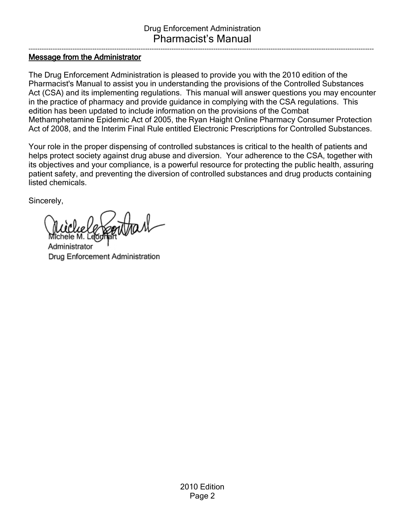#### ------------------------------------------------------------------------------------------------------------------------------------------------------------- Message from the Administrator

The Drug Enforcement Administration is pleased to provide you with the 2010 edition of the Pharmacist's Manual to assist you in understanding the provisions of the Controlled Substances Act (CSA) and its implementing regulations. This manual will answer questions you may encounter in the practice of pharmacy and provide guidance in complying with the CSA regulations. This edition has been updated to include information on the provisions of the Combat Methamphetamine Epidemic Act of 2005, the Ryan Haight Online Pharmacy Consumer Protection Act of 2008, and the Interim Final Rule entitled Electronic Prescriptions for Controlled Substances.

Your role in the proper dispensing of controlled substances is critical to the health of patients and helps protect society against drug abuse and diversion. Your adherence to the CSA, together with its objectives and your compliance, is a powerful resource for protecting the public health, assuring patient safety, and preventing the diversion of controlled substances and drug products containing listed chemicals.

Sincerely,

Drug Enforcement Administration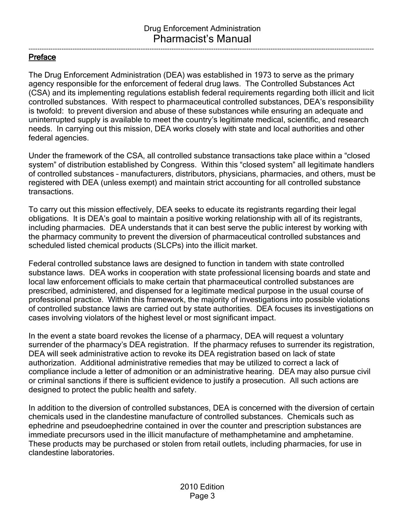#### ------------------------------------------------------------------------------------------------------------------------------------------------------------- Preface

The Drug Enforcement Administration (DEA) was established in 1973 to serve as the primary agency responsible for the enforcement of federal drug laws. The Controlled Substances Act (CSA) and its implementing regulations establish federal requirements regarding both illicit and licit controlled substances. With respect to pharmaceutical controlled substances, DEA's responsibility is twofold: to prevent diversion and abuse of these substances while ensuring an adequate and uninterrupted supply is available to meet the country's legitimate medical, scientific, and research needs. In carrying out this mission, DEA works closely with state and local authorities and other federal agencies.

Under the framework of the CSA, all controlled substance transactions take place within a "closed system" of distribution established by Congress. Within this "closed system" all legitimate handlers of controlled substances – manufacturers, distributors, physicians, pharmacies, and others, must be registered with DEA (unless exempt) and maintain strict accounting for all controlled substance transactions.

To carry out this mission effectively, DEA seeks to educate its registrants regarding their legal obligations. It is DEA's goal to maintain a positive working relationship with all of its registrants, including pharmacies. DEA understands that it can best serve the public interest by working with the pharmacy community to prevent the diversion of pharmaceutical controlled substances and scheduled listed chemical products (SLCPs) into the illicit market.

Federal controlled substance laws are designed to function in tandem with state controlled substance laws. DEA works in cooperation with state professional licensing boards and state and local law enforcement officials to make certain that pharmaceutical controlled substances are prescribed, administered, and dispensed for a legitimate medical purpose in the usual course of professional practice. Within this framework, the majority of investigations into possible violations of controlled substance laws are carried out by state authorities. DEA focuses its investigations on cases involving violators of the highest level or most significant impact.

In the event a state board revokes the license of a pharmacy, DEA will request a voluntary surrender of the pharmacy's DEA registration. If the pharmacy refuses to surrender its registration, DEA will seek administrative action to revoke its DEA registration based on lack of state authorization. Additional administrative remedies that may be utilized to correct a lack of compliance include a letter of admonition or an administrative hearing. DEA may also pursue civil or criminal sanctions if there is sufficient evidence to justify a prosecution. All such actions are designed to protect the public health and safety.

In addition to the diversion of controlled substances, DEA is concerned with the diversion of certain chemicals used in the clandestine manufacture of controlled substances. Chemicals such as ephedrine and pseudoephedrine contained in over the counter and prescription substances are immediate precursors used in the illicit manufacture of methamphetamine and amphetamine. These products may be purchased or stolen from retail outlets, including pharmacies, for use in clandestine laboratories.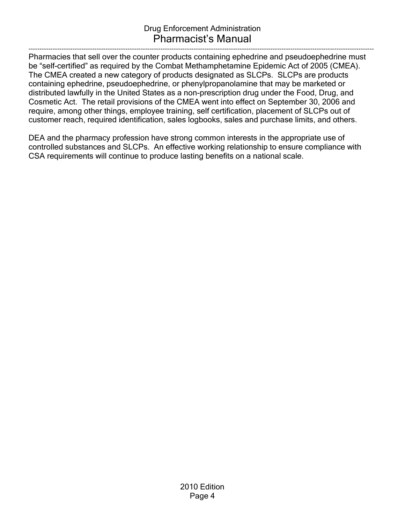#### Drug Enforcement Administration Pharmacist's Manual

------------------------------------------------------------------------------------------------------------------------------------------------------------- Pharmacies that sell over the counter products containing ephedrine and pseudoephedrine must be "self-certified" as required by the Combat Methamphetamine Epidemic Act of 2005 (CMEA). The CMEA created a new category of products designated as SLCPs. SLCPs are products containing ephedrine, pseudoephedrine, or phenylpropanolamine that may be marketed or distributed lawfully in the United States as a non-prescription drug under the Food, Drug, and Cosmetic Act. The retail provisions of the CMEA went into effect on September 30, 2006 and require, among other things, employee training, self certification, placement of SLCPs out of customer reach, required identification, sales logbooks, sales and purchase limits, and others.

DEA and the pharmacy profession have strong common interests in the appropriate use of controlled substances and SLCPs. An effective working relationship to ensure compliance with CSA requirements will continue to produce lasting benefits on a national scale.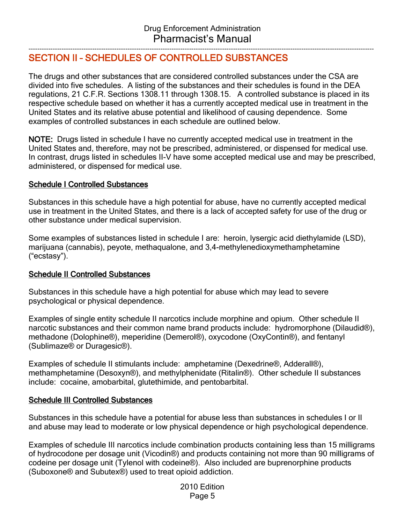#### ------------------------------------------------------------------------------------------------------------------------------------------------------------- SECTION II – SCHEDULES OF CONTROLLED SUBSTANCES

The drugs and other substances that are considered controlled substances under the CSA are divided into five schedules. A listing of the substances and their schedules is found in the DEA regulations, 21 C.F.R. Sections 1308.11 through 1308.15. A controlled substance is placed in its respective schedule based on whether it has a currently accepted medical use in treatment in the United States and its relative abuse potential and likelihood of causing dependence. Some examples of controlled substances in each schedule are outlined below.

NOTE: Drugs listed in schedule I have no currently accepted medical use in treatment in the United States and, therefore, may not be prescribed, administered, or dispensed for medical use. In contrast, drugs listed in schedules II-V have some accepted medical use and may be prescribed, administered, or dispensed for medical use.

#### Schedule I Controlled Substances

Substances in this schedule have a high potential for abuse, have no currently accepted medical use in treatment in the United States, and there is a lack of accepted safety for use of the drug or other substance under medical supervision.

Some examples of substances listed in schedule I are: heroin, lysergic acid diethylamide (LSD), marijuana (cannabis), peyote, methaqualone, and 3,4-methylenedioxymethamphetamine ("ecstasy").

#### Schedule II Controlled Substances

Substances in this schedule have a high potential for abuse which may lead to severe psychological or physical dependence.

Examples of single entity schedule II narcotics include morphine and opium. Other schedule II narcotic substances and their common name brand products include: hydromorphone (Dilaudid®), methadone (Dolophine®), meperidine (Demerol®), oxycodone (OxyContin®), and fentanyl (Sublimaze® or Duragesic®).

Examples of schedule II stimulants include: amphetamine (Dexedrine®, Adderall®), methamphetamine (Desoxyn®), and methylphenidate (Ritalin®). Other schedule II substances include: cocaine, amobarbital, glutethimide, and pentobarbital.

#### Schedule III Controlled Substances

Substances in this schedule have a potential for abuse less than substances in schedules I or II and abuse may lead to moderate or low physical dependence or high psychological dependence.

Examples of schedule III narcotics include combination products containing less than 15 milligrams of hydrocodone per dosage unit (Vicodin®) and products containing not more than 90 milligrams of codeine per dosage unit (Tylenol with codeine®). Also included are buprenorphine products (Suboxone® and Subutex®) used to treat opioid addiction.

> 2010 Edition Page 5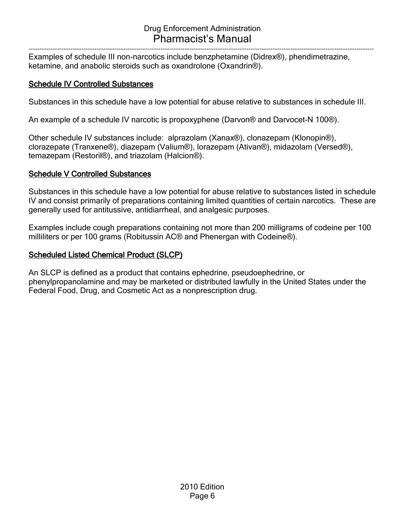#### Drug Enforcement Administration Pharmacist's Manual

------------------------------------------------------------------------------------------------------------------------------------------------------------- Examples of schedule III non-narcotics include benzphetamine (Didrex®), phendimetrazine, ketamine, and anabolic steroids such as oxandrolone (Oxandrin®).

#### Schedule IV Controlled Substances

Substances in this schedule have a low potential for abuse relative to substances in schedule III.

An example of a schedule IV narcotic is propoxyphene (Darvon® and Darvocet-N 100®).

Other schedule IV substances include: alprazolam (Xanax®), clonazepam (Klonopin®), clorazepate (Tranxene®), diazepam (Valium®), lorazepam (Ativan®), midazolam (Versed®), temazepam (Restoril®), and triazolam (Halcion®).

#### Schedule V Controlled Substances

Substances in this schedule have a low potential for abuse relative to substances listed in schedule IV and consist primarily of preparations containing limited quantities of certain narcotics. These are generally used for antitussive, antidiarrheal, and analgesic purposes.

Examples include cough preparations containing not more than 200 milligrams of codeine per 100 milliliters or per 100 grams (Robitussin AC® and Phenergan with Codeine®).

#### Scheduled Listed Chemical Product (SLCP)

An SLCP is defined as a product that contains ephedrine, pseudoephedrine, or phenylpropanolamine and may be marketed or distributed lawfully in the United States under the Federal Food, Drug, and Cosmetic Act as a nonprescription drug.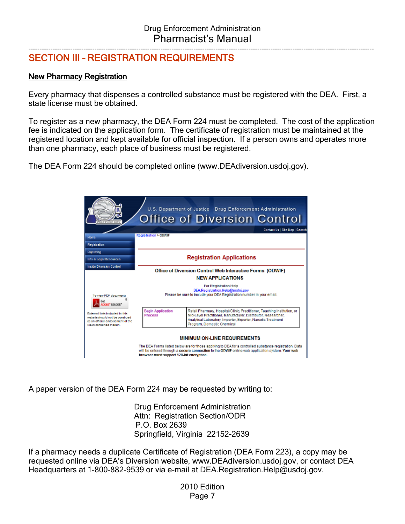#### ------------------------------------------------------------------------------------------------------------------------------------------------------------- SECTION III – REGISTRATION REQUIREMENTS

#### New Pharmacy Registration

Every pharmacy that dispenses a controlled substance must be registered with the DEA. First, a state license must be obtained.

To register as a new pharmacy, the DEA Form 224 must be completed. The cost of the application fee is indicated on the application form. The certificate of registration must be maintained at the registered location and kept available for official inspection. If a person owns and operates more than one pharmacy, each place of business must be registered.

The DEA Form 224 should be completed online (www.DEAdiversion.usdoj.gov).

|                                                                                                                                      |                                            | U.S. Department of Justice  Drug Enforcement Administration<br><b>Office of Diversion Control</b>                                                                                                                                                 |                                |  |  |
|--------------------------------------------------------------------------------------------------------------------------------------|--------------------------------------------|---------------------------------------------------------------------------------------------------------------------------------------------------------------------------------------------------------------------------------------------------|--------------------------------|--|--|
|                                                                                                                                      |                                            |                                                                                                                                                                                                                                                   | Contact Us   Site Map   Search |  |  |
| Hame                                                                                                                                 | Registration > COMIF                       |                                                                                                                                                                                                                                                   |                                |  |  |
| Registration                                                                                                                         |                                            |                                                                                                                                                                                                                                                   |                                |  |  |
| Reporting                                                                                                                            |                                            |                                                                                                                                                                                                                                                   |                                |  |  |
| info & Legal Resources                                                                                                               | <b>Registration Applications</b>           |                                                                                                                                                                                                                                                   |                                |  |  |
| Inside Diversion Control                                                                                                             |                                            | Office of Diversion Control Web Interactive Forms (ODWIF)                                                                                                                                                                                         |                                |  |  |
|                                                                                                                                      |                                            | <b>NEW APPLICATIONS</b>                                                                                                                                                                                                                           |                                |  |  |
| To view PDF documents<br>ADORE" READER"                                                                                              |                                            | For Registration Help<br>DEA.Registration.Help@usdoj.gov<br>Please be sure to include your DEA Registration number in your email.                                                                                                                 |                                |  |  |
| External links included in this<br>website should not be construed.<br>as an official endorsement of the<br>views contained therein. | <b>Begin Application</b><br><b>Process</b> | Retail Pharmacy, Hospital/Clinic, Practitioner, Teaching Institution, or<br>Mid-Level Practitioner, Manufacturer, Distributor, Researcher,<br>Analytical Laboratory, Importer, Exporter, Narcotic Treatment<br>Program, Domestic Chemical         |                                |  |  |
|                                                                                                                                      | browser must support 128-bit encryption.   | <b>MINIMUM ON-LINE REQUIREMENTS</b><br>The DEA Forms listed below are for those applying to DEA for a controlled substance registration. Data<br>will be entered through a secure connection to the ODWIF online web application system. Your web |                                |  |  |

A paper version of the DEA Form 224 may be requested by writing to:

Drug Enforcement Administration Attn: Registration Section/ODR P.O. Box 2639 Springfield, Virginia 22152-2639

If a pharmacy needs a duplicate Certificate of Registration (DEA Form 223), a copy may be requested online via DEA's Diversion website, www.DEAdiversion.usdoj.gov, or contact DEA Headquarters at 1-800-882-9539 or via e-mail at DEA.Registration.Help@usdoj.gov.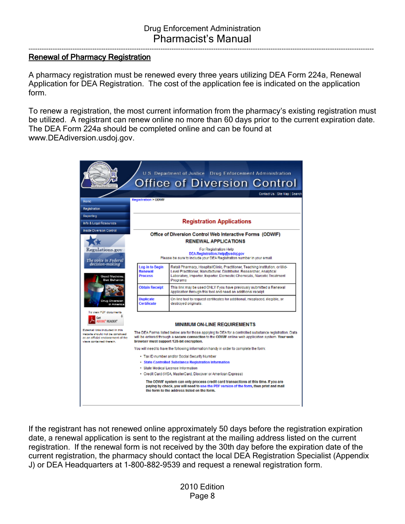#### ------------------------------------------------------------------------------------------------------------------------------------------------------------- Renewal of Pharmacy Registration

A pharmacy registration must be renewed every three years utilizing DEA Form 224a, Renewal Application for DEA Registration. The cost of the application fee is indicated on the application form.

To renew a registration, the most current information from the pharmacy's existing registration must be utilized. A registrant can renew online no more than 60 days prior to the current expiration date. The DEA Form 224a should be completed online and can be found at www.DEAdiversion.usdoj.gov.

|                                                                                                                                      |                                                                                                                                                                                                                                                                                              | U.S. Department of Justice Drug Enforcement Administration<br><b>Office of Diversion Control</b>                                                                                                                                                                                               |                                |  |  |  |
|--------------------------------------------------------------------------------------------------------------------------------------|----------------------------------------------------------------------------------------------------------------------------------------------------------------------------------------------------------------------------------------------------------------------------------------------|------------------------------------------------------------------------------------------------------------------------------------------------------------------------------------------------------------------------------------------------------------------------------------------------|--------------------------------|--|--|--|
| Home<br>Registration                                                                                                                 | <b>Registration &gt; ODWIF</b>                                                                                                                                                                                                                                                               |                                                                                                                                                                                                                                                                                                | Contact Us   Site Map   Search |  |  |  |
| Reporting<br>Info & Legal Resources                                                                                                  | <b>Registration Applications</b><br>Office of Diversion Control Web Interactive Forms (ODWIF)<br><b>RENEWAL APPLICATIONS</b>                                                                                                                                                                 |                                                                                                                                                                                                                                                                                                |                                |  |  |  |
| Inside Diversion Control                                                                                                             |                                                                                                                                                                                                                                                                                              |                                                                                                                                                                                                                                                                                                |                                |  |  |  |
| Regulations.gov<br>The voice in Federal                                                                                              |                                                                                                                                                                                                                                                                                              | For Registration Help<br>DEA.Registration.Help@usdoj.gov<br>Please be sure to include your DEA Registration number in your email.                                                                                                                                                              |                                |  |  |  |
| decision-making<br>Good Medicine<br><b>Bad Behavior</b>                                                                              | Log.in to Begin<br>Retail Pharmacy, Hospital/Clinic, Practitioner, Teaching Institution, or Mid-<br>Renewal<br>Level Practitioner, Manufacturer, Distributor, Researcher, Analytical<br><b>Process</b><br>Laboratory, Importer, Exporter, Domestic Chemicals, Narcotic Treatment<br>Procrams |                                                                                                                                                                                                                                                                                                |                                |  |  |  |
|                                                                                                                                      | Obtain Receipt<br>This link may be used ONLY if you have previously submitted a Renewal<br>Application through this tool and need an additional receipt.                                                                                                                                     |                                                                                                                                                                                                                                                                                                |                                |  |  |  |
| Drug Diversion<br>in America                                                                                                         | <b>Duplicate</b><br><b>Certificate</b>                                                                                                                                                                                                                                                       | On-line tool to request certificates for additional, misplaced, illegible, or<br>destroved originals.                                                                                                                                                                                          |                                |  |  |  |
| To view PDF documents<br><b>IDOBE* READER*</b>                                                                                       |                                                                                                                                                                                                                                                                                              | <b>MINIMUM ON-LINE REQUIREMENTS</b>                                                                                                                                                                                                                                                            |                                |  |  |  |
| External links included in this<br>website should not be construed.<br>as an official enclosement of the<br>views contained therein. |                                                                                                                                                                                                                                                                                              | The DEA Forms listed below are for those applying to DEA for a controlled substance registration. Data<br>will be entered through a secure connection to the ODWIF online web application system. Your web<br>browser must support 128-bit encryption.                                         |                                |  |  |  |
|                                                                                                                                      |                                                                                                                                                                                                                                                                                              | You will need to have the following information handy in order to complete the form:                                                                                                                                                                                                           |                                |  |  |  |
|                                                                                                                                      |                                                                                                                                                                                                                                                                                              | . Tax ID number and/or Social Security Number                                                                                                                                                                                                                                                  |                                |  |  |  |
|                                                                                                                                      | · State Controlled Substance Registration Information                                                                                                                                                                                                                                        |                                                                                                                                                                                                                                                                                                |                                |  |  |  |
|                                                                                                                                      | · State Medical License Information                                                                                                                                                                                                                                                          |                                                                                                                                                                                                                                                                                                |                                |  |  |  |
|                                                                                                                                      |                                                                                                                                                                                                                                                                                              | - Credit Card (VISA, MasterCard, Discover or American Express)<br>The ODWIF system can only process credit card transactions at this time. If you are<br>paying by check, you will need to use the PDF version of the form, then print and mail<br>the form to the address listed on the form. |                                |  |  |  |
|                                                                                                                                      |                                                                                                                                                                                                                                                                                              |                                                                                                                                                                                                                                                                                                |                                |  |  |  |

If the registrant has not renewed online approximately 50 days before the registration expiration date, a renewal application is sent to the registrant at the mailing address listed on the current registration. If the renewal form is not received by the 30th day before the expiration date of the current registration, the pharmacy should contact the local DEA Registration Specialist (Appendix J) or DEA Headquarters at 1-800-882-9539 and request a renewal registration form.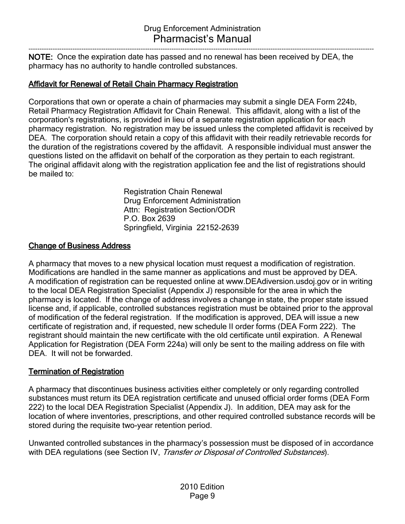------------------------------------------------------------------------------------------------------------------------------------------------------------- NOTE: Once the expiration date has passed and no renewal has been received by DEA, the pharmacy has no authority to handle controlled substances.

#### Affidavit for Renewal of Retail Chain Pharmacy Registration

Corporations that own or operate a chain of pharmacies may submit a single DEA Form 224b, Retail Pharmacy Registration Affidavit for Chain Renewal. This affidavit, along with a list of the corporation's registrations, is provided in lieu of a separate registration application for each pharmacy registration. No registration may be issued unless the completed affidavit is received by DEA. The corporation should retain a copy of this affidavit with their readily retrievable records for the duration of the registrations covered by the affidavit. A responsible individual must answer the questions listed on the affidavit on behalf of the corporation as they pertain to each registrant. The original affidavit along with the registration application fee and the list of registrations should be mailed to:

> Registration Chain Renewal Drug Enforcement Administration Attn: Registration Section/ODR P.O. Box 2639 Springfield, Virginia 22152-2639

#### Change of Business Address

A pharmacy that moves to a new physical location must request a modification of registration. Modifications are handled in the same manner as applications and must be approved by DEA. A modification of registration can be requested online at www.DEAdiversion.usdoj.gov or in writing to the local DEA Registration Specialist (Appendix J) responsible for the area in which the pharmacy is located. If the change of address involves a change in state, the proper state issued license and, if applicable, controlled substances registration must be obtained prior to the approval of modification of the federal registration. If the modification is approved, DEA will issue a new certificate of registration and, if requested, new schedule II order forms (DEA Form 222). The registrant should maintain the new certificate with the old certificate until expiration. A Renewal Application for Registration (DEA Form 224a) will only be sent to the mailing address on file with DEA. It will not be forwarded.

#### Termination of Registration

A pharmacy that discontinues business activities either completely or only regarding controlled substances must return its DEA registration certificate and unused official order forms (DEA Form 222) to the local DEA Registration Specialist (Appendix J). In addition, DEA may ask for the location of where inventories, prescriptions, and other required controlled substance records will be stored during the requisite two-year retention period.

Unwanted controlled substances in the pharmacy's possession must be disposed of in accordance with DEA regulations (see Section IV, Transfer or Disposal of Controlled Substances).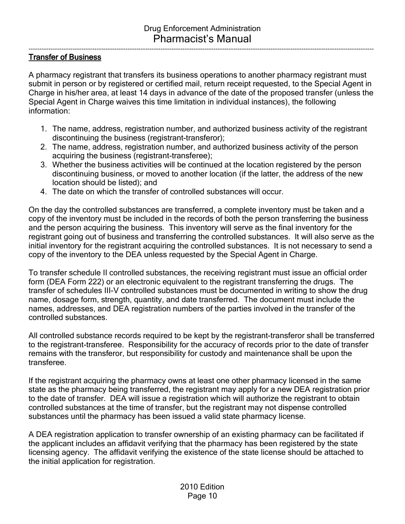#### ------------------------------------------------------------------------------------------------------------------------------------------------------------- Transfer of Business

A pharmacy registrant that transfers its business operations to another pharmacy registrant must submit in person or by registered or certified mail, return receipt requested, to the Special Agent in Charge in his/her area, at least 14 days in advance of the date of the proposed transfer (unless the Special Agent in Charge waives this time limitation in individual instances), the following information:

- 1. The name, address, registration number, and authorized business activity of the registrant discontinuing the business (registrant-transferor);
- 2. The name, address, registration number, and authorized business activity of the person acquiring the business (registrant-transferee);
- 3. Whether the business activities will be continued at the location registered by the person discontinuing business, or moved to another location (if the latter, the address of the new location should be listed); and
- 4. The date on which the transfer of controlled substances will occur.

On the day the controlled substances are transferred, a complete inventory must be taken and a copy of the inventory must be included in the records of both the person transferring the business and the person acquiring the business. This inventory will serve as the final inventory for the registrant going out of business and transferring the controlled substances. It will also serve as the initial inventory for the registrant acquiring the controlled substances. It is not necessary to send a copy of the inventory to the DEA unless requested by the Special Agent in Charge.

To transfer schedule II controlled substances, the receiving registrant must issue an official order form (DEA Form 222) or an electronic equivalent to the registrant transferring the drugs. The transfer of schedules III-V controlled substances must be documented in writing to show the drug name, dosage form, strength, quantity, and date transferred. The document must include the names, addresses, and DEA registration numbers of the parties involved in the transfer of the controlled substances.

All controlled substance records required to be kept by the registrant-transferor shall be transferred to the registrant-transferee. Responsibility for the accuracy of records prior to the date of transfer remains with the transferor, but responsibility for custody and maintenance shall be upon the transferee.

If the registrant acquiring the pharmacy owns at least one other pharmacy licensed in the same state as the pharmacy being transferred, the registrant may apply for a new DEA registration prior to the date of transfer. DEA will issue a registration which will authorize the registrant to obtain controlled substances at the time of transfer, but the registrant may not dispense controlled substances until the pharmacy has been issued a valid state pharmacy license.

A DEA registration application to transfer ownership of an existing pharmacy can be facilitated if the applicant includes an affidavit verifying that the pharmacy has been registered by the state licensing agency. The affidavit verifying the existence of the state license should be attached to the initial application for registration.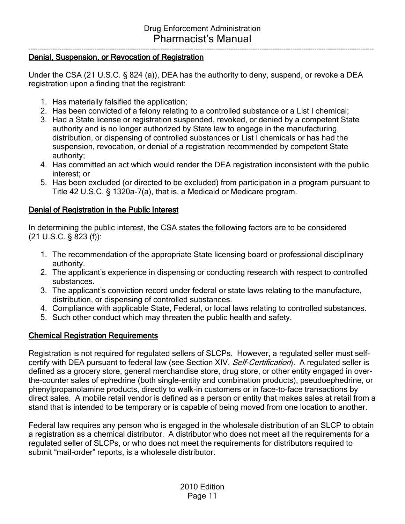#### ------------------------------------------------------------------------------------------------------------------------------------------------------------- Denial, Suspension, or Revocation of Registration

Under the CSA (21 U.S.C. § 824 (a)), DEA has the authority to deny, suspend, or revoke a DEA registration upon a finding that the registrant:

- 1. Has materially falsified the application;
- 2. Has been convicted of a felony relating to a controlled substance or a List I chemical;
- 3. Had a State license or registration suspended, revoked, or denied by a competent State authority and is no longer authorized by State law to engage in the manufacturing, distribution, or dispensing of controlled substances or List I chemicals or has had the suspension, revocation, or denial of a registration recommended by competent State authority;
- 4. Has committed an act which would render the DEA registration inconsistent with the public interest; or
- 5. Has been excluded (or directed to be excluded) from participation in a program pursuant to Title 42 U.S.C. § 1320a-7(a), that is, a Medicaid or Medicare program.

#### Denial of Registration in the Public Interest

In determining the public interest, the CSA states the following factors are to be considered (21 U.S.C. § 823 (f)):

- 1. The recommendation of the appropriate State licensing board or professional disciplinary authority.
- 2. The applicant's experience in dispensing or conducting research with respect to controlled substances.
- 3. The applicant's conviction record under federal or state laws relating to the manufacture, distribution, or dispensing of controlled substances.
- 4. Compliance with applicable State, Federal, or local laws relating to controlled substances.
- 5. Such other conduct which may threaten the public health and safety.

#### Chemical Registration Requirements

Registration is not required for regulated sellers of SLCPs. However, a regulated seller must selfcertify with DEA pursuant to federal law (see Section XIV, Self-Certification). A regulated seller is defined as a grocery store, general merchandise store, drug store, or other entity engaged in overthe-counter sales of ephedrine (both single-entity and combination products), pseudoephedrine, or phenylpropanolamine products, directly to walk-in customers or in face-to-face transactions by direct sales. A mobile retail vendor is defined as a person or entity that makes sales at retail from a stand that is intended to be temporary or is capable of being moved from one location to another.

Federal law requires any person who is engaged in the wholesale distribution of an SLCP to obtain a registration as a chemical distributor. A distributor who does not meet all the requirements for a regulated seller of SLCPs, or who does not meet the requirements for distributors required to submit "mail-order" reports, is a wholesale distributor.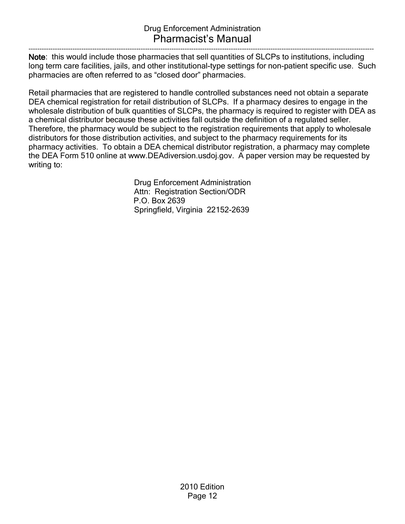------------------------------------------------------------------------------------------------------------------------------------------------------------- Note: this would include those pharmacies that sell quantities of SLCPs to institutions, including long term care facilities, jails, and other institutional-type settings for non-patient specific use. Such pharmacies are often referred to as "closed door" pharmacies.

Retail pharmacies that are registered to handle controlled substances need not obtain a separate DEA chemical registration for retail distribution of SLCPs. If a pharmacy desires to engage in the wholesale distribution of bulk quantities of SLCPs, the pharmacy is required to register with DEA as a chemical distributor because these activities fall outside the definition of a regulated seller. Therefore, the pharmacy would be subject to the registration requirements that apply to wholesale distributors for those distribution activities, and subject to the pharmacy requirements for its pharmacy activities. To obtain a DEA chemical distributor registration, a pharmacy may complete the DEA Form 510 online at www.DEAdiversion.usdoj.gov. A paper version may be requested by writing to:

> Drug Enforcement Administration Attn: Registration Section/ODR P.O. Box 2639 Springfield, Virginia 22152-2639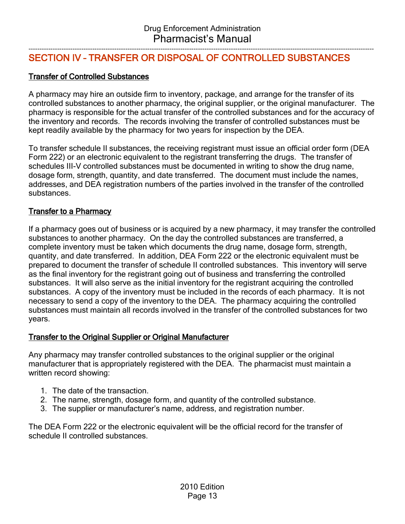#### ------------------------------------------------------------------------------------------------------------------------------------------------------------- SECTION IV – TRANSFER OR DISPOSAL OF CONTROLLED SUBSTANCES

#### Transfer of Controlled Substances

A pharmacy may hire an outside firm to inventory, package, and arrange for the transfer of its controlled substances to another pharmacy, the original supplier, or the original manufacturer. The pharmacy is responsible for the actual transfer of the controlled substances and for the accuracy of the inventory and records. The records involving the transfer of controlled substances must be kept readily available by the pharmacy for two years for inspection by the DEA.

To transfer schedule II substances, the receiving registrant must issue an official order form (DEA Form 222) or an electronic equivalent to the registrant transferring the drugs. The transfer of schedules III-V controlled substances must be documented in writing to show the drug name, dosage form, strength, quantity, and date transferred. The document must include the names, addresses, and DEA registration numbers of the parties involved in the transfer of the controlled substances.

#### **Transfer to a Pharmacy**

If a pharmacy goes out of business or is acquired by a new pharmacy, it may transfer the controlled substances to another pharmacy. On the day the controlled substances are transferred, a complete inventory must be taken which documents the drug name, dosage form, strength, quantity, and date transferred. In addition, DEA Form 222 or the electronic equivalent must be prepared to document the transfer of schedule II controlled substances. This inventory will serve as the final inventory for the registrant going out of business and transferring the controlled substances. It will also serve as the initial inventory for the registrant acquiring the controlled substances. A copy of the inventory must be included in the records of each pharmacy. It is not necessary to send a copy of the inventory to the DEA. The pharmacy acquiring the controlled substances must maintain all records involved in the transfer of the controlled substances for two years.

#### Transfer to the Original Supplier or Original Manufacturer

Any pharmacy may transfer controlled substances to the original supplier or the original manufacturer that is appropriately registered with the DEA. The pharmacist must maintain a written record showing:

- 1. The date of the transaction.
- 2. The name, strength, dosage form, and quantity of the controlled substance.
- 3. The supplier or manufacturer's name, address, and registration number.

The DEA Form 222 or the electronic equivalent will be the official record for the transfer of schedule II controlled substances.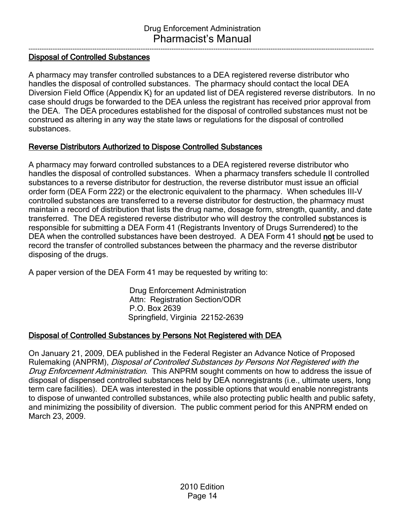#### ------------------------------------------------------------------------------------------------------------------------------------------------------------- Disposal of Controlled Substances

A pharmacy may transfer controlled substances to a DEA registered reverse distributor who handles the disposal of controlled substances. The pharmacy should contact the local DEA Diversion Field Office (Appendix K) for an updated list of DEA registered reverse distributors. In no case should drugs be forwarded to the DEA unless the registrant has received prior approval from the DEA. The DEA procedures established for the disposal of controlled substances must not be construed as altering in any way the state laws or regulations for the disposal of controlled substances.

#### Reverse Distributors Authorized to Dispose Controlled Substances

A pharmacy may forward controlled substances to a DEA registered reverse distributor who handles the disposal of controlled substances. When a pharmacy transfers schedule II controlled substances to a reverse distributor for destruction, the reverse distributor must issue an official order form (DEA Form 222) or the electronic equivalent to the pharmacy. When schedules III-V controlled substances are transferred to a reverse distributor for destruction, the pharmacy must maintain a record of distribution that lists the drug name, dosage form, strength, quantity, and date transferred. The DEA registered reverse distributor who will destroy the controlled substances is responsible for submitting a DEA Form 41 (Registrants Inventory of Drugs Surrendered) to the DEA when the controlled substances have been destroyed. A DEA Form 41 should not be used to record the transfer of controlled substances between the pharmacy and the reverse distributor disposing of the drugs.

A paper version of the DEA Form 41 may be requested by writing to:

Drug Enforcement Administration Attn: Registration Section/ODR P.O. Box 2639 Springfield, Virginia 22152-2639

#### Disposal of Controlled Substances by Persons Not Registered with DEA

On January 21, 2009, DEA published in the Federal Register an Advance Notice of Proposed Rulemaking (ANPRM), Disposal of Controlled Substances by Persons Not Registered with the Drug Enforcement Administration. This ANPRM sought comments on how to address the issue of disposal of dispensed controlled substances held by DEA nonregistrants (i.e., ultimate users, long term care facilities). DEA was interested in the possible options that would enable nonregistrants to dispose of unwanted controlled substances, while also protecting public health and public safety, and minimizing the possibility of diversion. The public comment period for this ANPRM ended on March 23, 2009.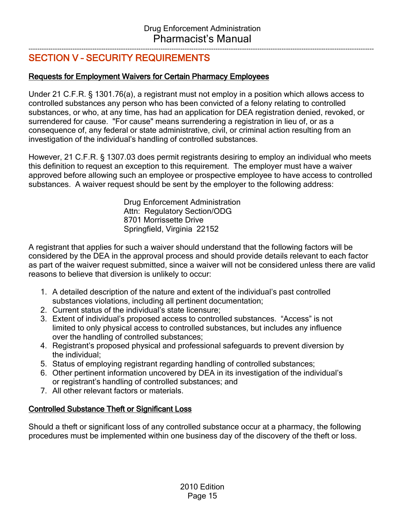#### ------------------------------------------------------------------------------------------------------------------------------------------------------------- SECTION V – SECURITY REQUIREMENTS

#### Requests for Employment Waivers for Certain Pharmacy Employees

Under 21 C.F.R. § 1301.76(a), a registrant must not employ in a position which allows access to controlled substances any person who has been convicted of a felony relating to controlled substances, or who, at any time, has had an application for DEA registration denied, revoked, or surrendered for cause. "For cause" means surrendering a registration in lieu of, or as a consequence of, any federal or state administrative, civil, or criminal action resulting from an investigation of the individual's handling of controlled substances.

However, 21 C.F.R. § 1307.03 does permit registrants desiring to employ an individual who meets this definition to request an exception to this requirement. The employer must have a waiver approved before allowing such an employee or prospective employee to have access to controlled substances. A waiver request should be sent by the employer to the following address:

> Drug Enforcement Administration Attn: Regulatory Section/ODG 8701 Morrissette Drive Springfield, Virginia 22152

A registrant that applies for such a waiver should understand that the following factors will be considered by the DEA in the approval process and should provide details relevant to each factor as part of the waiver request submitted, since a waiver will not be considered unless there are valid reasons to believe that diversion is unlikely to occur:

- 1. A detailed description of the nature and extent of the individual's past controlled substances violations, including all pertinent documentation;
- 2. Current status of the individual's state licensure;
- 3. Extent of individual's proposed access to controlled substances. "Access" is not limited to only physical access to controlled substances, but includes any influence over the handling of controlled substances;
- 4. Registrant's proposed physical and professional safeguards to prevent diversion by the individual;
- 5. Status of employing registrant regarding handling of controlled substances;
- 6. Other pertinent information uncovered by DEA in its investigation of the individual's or registrant's handling of controlled substances; and
- 7. All other relevant factors or materials.

#### Controlled Substance Theft or Significant Loss

Should a theft or significant loss of any controlled substance occur at a pharmacy, the following procedures must be implemented within one business day of the discovery of the theft or loss.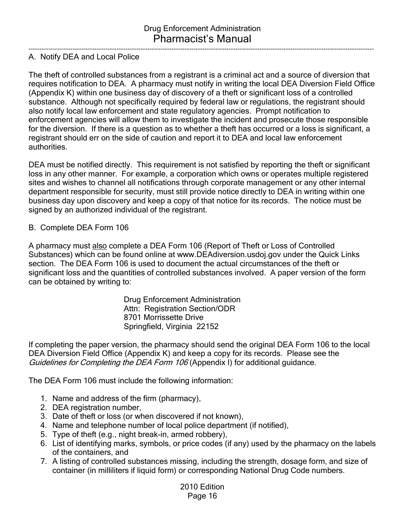#### ------------------------------------------------------------------------------------------------------------------------------------------------------------- A. Notify DEA and Local Police

The theft of controlled substances from a registrant is a criminal act and a source of diversion that requires notification to DEA. A pharmacy must notify in writing the local DEA Diversion Field Office (Appendix K) within one business day of discovery of a theft or significant loss of a controlled substance. Although not specifically required by federal law or regulations, the registrant should also notify local law enforcement and state regulatory agencies. Prompt notification to enforcement agencies will allow them to investigate the incident and prosecute those responsible for the diversion. If there is a question as to whether a theft has occurred or a loss is significant, a registrant should err on the side of caution and report it to DEA and local law enforcement authorities.

DEA must be notified directly. This requirement is not satisfied by reporting the theft or significant loss in any other manner. For example, a corporation which owns or operates multiple registered sites and wishes to channel all notifications through corporate management or any other internal department responsible for security, must still provide notice directly to DEA in writing within one business day upon discovery and keep a copy of that notice for its records. The notice must be signed by an authorized individual of the registrant.

#### B. Complete DEA Form 106

A pharmacy must also complete a DEA Form 106 (Report of Theft or Loss of Controlled Substances) which can be found online at www.DEAdiversion.usdoj.gov under the Quick Links section. The DEA Form 106 is used to document the actual circumstances of the theft or significant loss and the quantities of controlled substances involved. A paper version of the form can be obtained by writing to:

> Drug Enforcement Administration Attn: Registration Section/ODR 8701 Morrissette Drive Springfield, Virginia 22152

If completing the paper version, the pharmacy should send the original DEA Form 106 to the local DEA Diversion Field Office (Appendix K) and keep a copy for its records. Please see the Guidelines for Completing the DEA Form 106 (Appendix I) for additional quidance.

The DEA Form 106 must include the following information:

- 1. Name and address of the firm (pharmacy),
- 2. DEA registration number,
- 3. Date of theft or loss (or when discovered if not known),
- 4. Name and telephone number of local police department (if notified),
- 5. Type of theft (e.g., night break-in, armed robbery),
- 6. List of identifying marks, symbols, or price codes (if any) used by the pharmacy on the labels of the containers, and
- 7. A listing of controlled substances missing, including the strength, dosage form, and size of container (in milliliters if liquid form) or corresponding National Drug Code numbers.

2010 Edition Page 16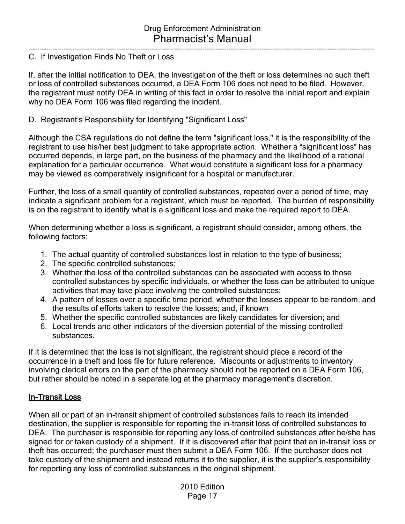#### ------------------------------------------------------------------------------------------------------------------------------------------------------------- C. If Investigation Finds No Theft or Loss

If, after the initial notification to DEA, the investigation of the theft or loss determines no such theft or loss of controlled substances occurred, a DEA Form 106 does not need to be filed. However, the registrant must notify DEA in writing of this fact in order to resolve the initial report and explain why no DEA Form 106 was filed regarding the incident.

#### D. Registrant's Responsibility for Identifying "Significant Loss"

Although the CSA regulations do not define the term "significant loss," it is the responsibility of the registrant to use his/her best judgment to take appropriate action. Whether a "significant loss" has occurred depends, in large part, on the business of the pharmacy and the likelihood of a rational explanation for a particular occurrence. What would constitute a significant loss for a pharmacy may be viewed as comparatively insignificant for a hospital or manufacturer.

Further, the loss of a small quantity of controlled substances, repeated over a period of time, may indicate a significant problem for a registrant, which must be reported. The burden of responsibility is on the registrant to identify what is a significant loss and make the required report to DEA.

When determining whether a loss is significant, a registrant should consider, among others, the following factors:

- 1. The actual quantity of controlled substances lost in relation to the type of business;
- 2. The specific controlled substances;
- 3. Whether the loss of the controlled substances can be associated with access to those controlled substances by specific individuals, or whether the loss can be attributed to unique activities that may take place involving the controlled substances;
- 4. A pattern of losses over a specific time period, whether the losses appear to be random, and the results of efforts taken to resolve the losses; and, if known
- 5. Whether the specific controlled substances are likely candidates for diversion; and
- 6. Local trends and other indicators of the diversion potential of the missing controlled substances.

If it is determined that the loss is not significant, the registrant should place a record of the occurrence in a theft and loss file for future reference. Miscounts or adjustments to inventory involving clerical errors on the part of the pharmacy should not be reported on a DEA Form 106, but rather should be noted in a separate log at the pharmacy management's discretion.

#### In-Transit Loss

When all or part of an in-transit shipment of controlled substances fails to reach its intended destination, the supplier is responsible for reporting the in-transit loss of controlled substances to DEA. The purchaser is responsible for reporting any loss of controlled substances after he/she has signed for or taken custody of a shipment. If it is discovered after that point that an in-transit loss or theft has occurred; the purchaser must then submit a DEA Form 106. If the purchaser does not take custody of the shipment and instead returns it to the supplier, it is the supplier's responsibility for reporting any loss of controlled substances in the original shipment.

> 2010 Edition Page 17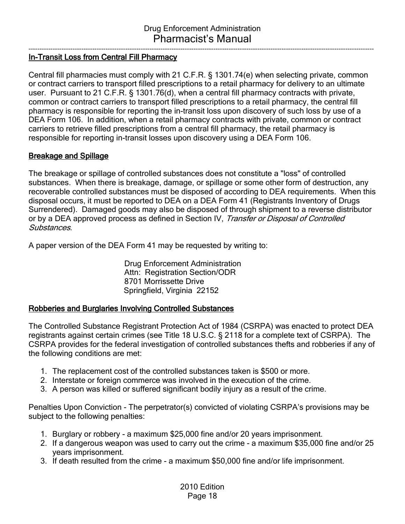#### ------------------------------------------------------------------------------------------------------------------------------------------------------------- In-Transit Loss from Central Fill Pharmacy

Central fill pharmacies must comply with 21 C.F.R. § 1301.74(e) when selecting private, common or contract carriers to transport filled prescriptions to a retail pharmacy for delivery to an ultimate user. Pursuant to 21 C.F.R. § 1301.76(d), when a central fill pharmacy contracts with private, common or contract carriers to transport filled prescriptions to a retail pharmacy, the central fill pharmacy is responsible for reporting the in-transit loss upon discovery of such loss by use of a DEA Form 106. In addition, when a retail pharmacy contracts with private, common or contract carriers to retrieve filled prescriptions from a central fill pharmacy, the retail pharmacy is responsible for reporting in-transit losses upon discovery using a DEA Form 106.

#### Breakage and Spillage

The breakage or spillage of controlled substances does not constitute a "loss" of controlled substances. When there is breakage, damage, or spillage or some other form of destruction, any recoverable controlled substances must be disposed of according to DEA requirements. When this disposal occurs, it must be reported to DEA on a DEA Form 41 (Registrants Inventory of Drugs Surrendered). Damaged goods may also be disposed of through shipment to a reverse distributor or by a DEA approved process as defined in Section IV, Transfer or Disposal of Controlled Substances.

A paper version of the DEA Form 41 may be requested by writing to:

Drug Enforcement Administration Attn: Registration Section/ODR 8701 Morrissette Drive Springfield, Virginia 22152

#### Robberies and Burglaries Involving Controlled Substances

The Controlled Substance Registrant Protection Act of 1984 (CSRPA) was enacted to protect DEA registrants against certain crimes (see Title 18 U.S.C. § 2118 for a complete text of CSRPA). The CSRPA provides for the federal investigation of controlled substances thefts and robberies if any of the following conditions are met:

- 1. The replacement cost of the controlled substances taken is \$500 or more.
- 2. Interstate or foreign commerce was involved in the execution of the crime.
- 3. A person was killed or suffered significant bodily injury as a result of the crime.

Penalties Upon Conviction - The perpetrator(s) convicted of violating CSRPA's provisions may be subject to the following penalties:

- 1. Burglary or robbery a maximum \$25,000 fine and/or 20 years imprisonment.
- 2. If a dangerous weapon was used to carry out the crime a maximum \$35,000 fine and/or 25 years imprisonment.
- 3. If death resulted from the crime a maximum \$50,000 fine and/or life imprisonment.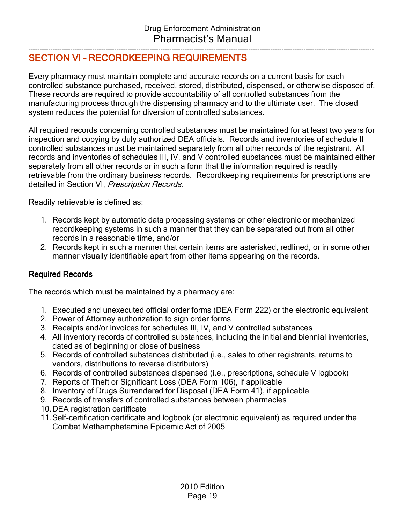#### ------------------------------------------------------------------------------------------------------------------------------------------------------------- SECTION VI – RECORDKEEPING REQUIREMENTS

Every pharmacy must maintain complete and accurate records on a current basis for each controlled substance purchased, received, stored, distributed, dispensed, or otherwise disposed of. These records are required to provide accountability of all controlled substances from the manufacturing process through the dispensing pharmacy and to the ultimate user. The closed system reduces the potential for diversion of controlled substances.

All required records concerning controlled substances must be maintained for at least two years for inspection and copying by duly authorized DEA officials. Records and inventories of schedule II controlled substances must be maintained separately from all other records of the registrant. All records and inventories of schedules III, IV, and V controlled substances must be maintained either separately from all other records or in such a form that the information required is readily retrievable from the ordinary business records. Recordkeeping requirements for prescriptions are detailed in Section VI, Prescription Records.

Readily retrievable is defined as:

- 1. Records kept by automatic data processing systems or other electronic or mechanized recordkeeping systems in such a manner that they can be separated out from all other records in a reasonable time, and/or
- 2. Records kept in such a manner that certain items are asterisked, redlined, or in some other manner visually identifiable apart from other items appearing on the records.

#### Required Records

The records which must be maintained by a pharmacy are:

- 1. Executed and unexecuted official order forms (DEA Form 222) or the electronic equivalent
- 2. Power of Attorney authorization to sign order forms
- 3. Receipts and/or invoices for schedules III, IV, and V controlled substances
- 4. All inventory records of controlled substances, including the initial and biennial inventories, dated as of beginning or close of business
- 5. Records of controlled substances distributed (i.e., sales to other registrants, returns to vendors, distributions to reverse distributors)
- 6. Records of controlled substances dispensed (i.e., prescriptions, schedule V logbook)
- 7. Reports of Theft or Significant Loss (DEA Form 106), if applicable
- 8. Inventory of Drugs Surrendered for Disposal (DEA Form 41), if applicable
- 9. Records of transfers of controlled substances between pharmacies
- 10.DEA registration certificate
- 11.Self-certification certificate and logbook (or electronic equivalent) as required under the Combat Methamphetamine Epidemic Act of 2005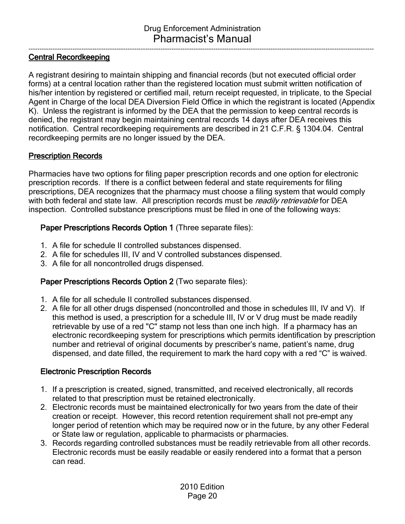#### ------------------------------------------------------------------------------------------------------------------------------------------------------------- Central Recordkeeping

A registrant desiring to maintain shipping and financial records (but not executed official order forms) at a central location rather than the registered location must submit written notification of his/her intention by registered or certified mail, return receipt requested, in triplicate, to the Special Agent in Charge of the local DEA Diversion Field Office in which the registrant is located (Appendix K). Unless the registrant is informed by the DEA that the permission to keep central records is denied, the registrant may begin maintaining central records 14 days after DEA receives this notification. Central recordkeeping requirements are described in 21 C.F.R. § 1304.04. Central recordkeeping permits are no longer issued by the DEA.

#### Prescription Records

Pharmacies have two options for filing paper prescription records and one option for electronic prescription records. If there is a conflict between federal and state requirements for filing prescriptions, DEA recognizes that the pharmacy must choose a filing system that would comply with both federal and state law. All prescription records must be readily retrievable for DEA inspection. Controlled substance prescriptions must be filed in one of the following ways:

#### Paper Prescriptions Records Option 1 (Three separate files):

- 1. A file for schedule II controlled substances dispensed.
- 2. A file for schedules III, IV and V controlled substances dispensed.
- 3. A file for all noncontrolled drugs dispensed.

#### Paper Prescriptions Records Option 2 (Two separate files):

- 1. A file for all schedule II controlled substances dispensed.
- 2. A file for all other drugs dispensed (noncontrolled and those in schedules III, IV and V). If this method is used, a prescription for a schedule III, IV or V drug must be made readily retrievable by use of a red "C" stamp not less than one inch high. If a pharmacy has an electronic recordkeeping system for prescriptions which permits identification by prescription number and retrieval of original documents by prescriber's name, patient's name, drug dispensed, and date filled, the requirement to mark the hard copy with a red "C" is waived.

#### Electronic Prescription Records

- 1. If a prescription is created, signed, transmitted, and received electronically, all records related to that prescription must be retained electronically.
- 2. Electronic records must be maintained electronically for two years from the date of their creation or receipt. However, this record retention requirement shall not pre-empt any longer period of retention which may be required now or in the future, by any other Federal or State law or regulation, applicable to pharmacists or pharmacies.
- 3. Records regarding controlled substances must be readily retrievable from all other records. Electronic records must be easily readable or easily rendered into a format that a person can read.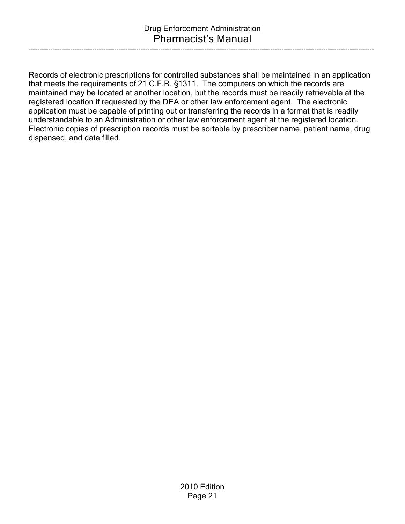-------------------------------------------------------------------------------------------------------------------------------------------------------------

Records of electronic prescriptions for controlled substances shall be maintained in an application that meets the requirements of 21 C.F.R. §1311. The computers on which the records are maintained may be located at another location, but the records must be readily retrievable at the registered location if requested by the DEA or other law enforcement agent. The electronic application must be capable of printing out or transferring the records in a format that is readily understandable to an Administration or other law enforcement agent at the registered location. Electronic copies of prescription records must be sortable by prescriber name, patient name, drug dispensed, and date filled.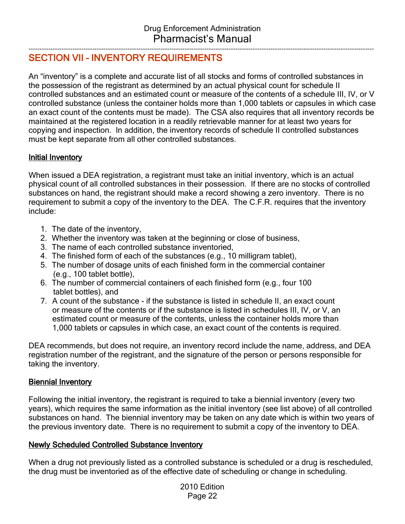#### ------------------------------------------------------------------------------------------------------------------------------------------------------------- SECTION VII – INVENTORY REQUIREMENTS

An "inventory" is a complete and accurate list of all stocks and forms of controlled substances in the possession of the registrant as determined by an actual physical count for schedule II controlled substances and an estimated count or measure of the contents of a schedule III, IV, or V controlled substance (unless the container holds more than 1,000 tablets or capsules in which case an exact count of the contents must be made). The CSA also requires that all inventory records be maintained at the registered location in a readily retrievable manner for at least two years for copying and inspection. In addition, the inventory records of schedule II controlled substances must be kept separate from all other controlled substances.

#### Initial Inventory

When issued a DEA registration, a registrant must take an initial inventory, which is an actual physical count of all controlled substances in their possession. If there are no stocks of controlled substances on hand, the registrant should make a record showing a zero inventory. There is no requirement to submit a copy of the inventory to the DEA. The C.F.R. requires that the inventory include:

- 1. The date of the inventory,
- 2. Whether the inventory was taken at the beginning or close of business,
- 3. The name of each controlled substance inventoried,
- 4. The finished form of each of the substances (e.g., 10 milligram tablet),
- 5. The number of dosage units of each finished form in the commercial container (e.g., 100 tablet bottle),
- 6. The number of commercial containers of each finished form (e.g., four 100 tablet bottles), and
- 7. A count of the substance if the substance is listed in schedule II, an exact count or measure of the contents or if the substance is listed in schedules III, IV, or V, an estimated count or measure of the contents, unless the container holds more than 1,000 tablets or capsules in which case, an exact count of the contents is required.

DEA recommends, but does not require, an inventory record include the name, address, and DEA registration number of the registrant, and the signature of the person or persons responsible for taking the inventory.

#### **Biennial Inventory**

Following the initial inventory, the registrant is required to take a biennial inventory (every two years), which requires the same information as the initial inventory (see list above) of all controlled substances on hand. The biennial inventory may be taken on any date which is within two years of the previous inventory date. There is no requirement to submit a copy of the inventory to DEA.

#### Newly Scheduled Controlled Substance Inventory

When a drug not previously listed as a controlled substance is scheduled or a drug is rescheduled, the drug must be inventoried as of the effective date of scheduling or change in scheduling.

> 2010 Edition Page 22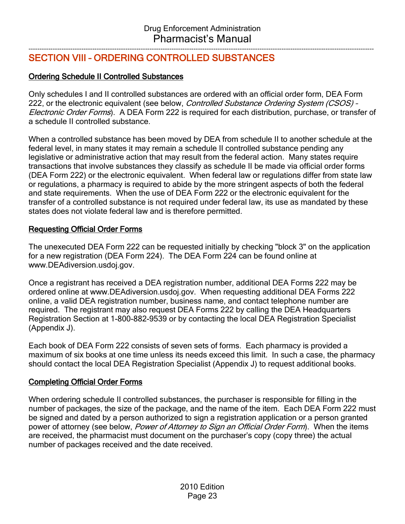#### ------------------------------------------------------------------------------------------------------------------------------------------------------------- SECTION VIII – ORDERING CONTROLLED SUBSTANCES

#### Ordering Schedule II Controlled Substances

Only schedules I and II controlled substances are ordered with an official order form, DEA Form 222, or the electronic equivalent (see below, *Controlled Substance Ordering System (CSOS)* -Electronic Order Forms). A DEA Form 222 is required for each distribution, purchase, or transfer of a schedule II controlled substance.

When a controlled substance has been moved by DEA from schedule II to another schedule at the federal level, in many states it may remain a schedule II controlled substance pending any legislative or administrative action that may result from the federal action. Many states require transactions that involve substances they classify as schedule II be made via official order forms (DEA Form 222) or the electronic equivalent. When federal law or regulations differ from state law or regulations, a pharmacy is required to abide by the more stringent aspects of both the federal and state requirements. When the use of DEA Form 222 or the electronic equivalent for the transfer of a controlled substance is not required under federal law, its use as mandated by these states does not violate federal law and is therefore permitted.

#### Requesting Official Order Forms

The unexecuted DEA Form 222 can be requested initially by checking "block 3" on the application for a new registration (DEA Form 224). The DEA Form 224 can be found online at www.DEAdiversion.usdoj.gov.

Once a registrant has received a DEA registration number, additional DEA Forms 222 may be ordered online at www.DEAdiversion.usdoj.gov. When requesting additional DEA Forms 222 online, a valid DEA registration number, business name, and contact telephone number are required. The registrant may also request DEA Forms 222 by calling the DEA Headquarters Registration Section at 1-800-882-9539 or by contacting the local DEA Registration Specialist (Appendix J).

Each book of DEA Form 222 consists of seven sets of forms. Each pharmacy is provided a maximum of six books at one time unless its needs exceed this limit. In such a case, the pharmacy should contact the local DEA Registration Specialist (Appendix J) to request additional books.

#### Completing Official Order Forms

When ordering schedule II controlled substances, the purchaser is responsible for filling in the number of packages, the size of the package, and the name of the item. Each DEA Form 222 must be signed and dated by a person authorized to sign a registration application or a person granted power of attorney (see below, *Power of Attorney to Sign an Official Order Form*). When the items are received, the pharmacist must document on the purchaser's copy (copy three) the actual number of packages received and the date received.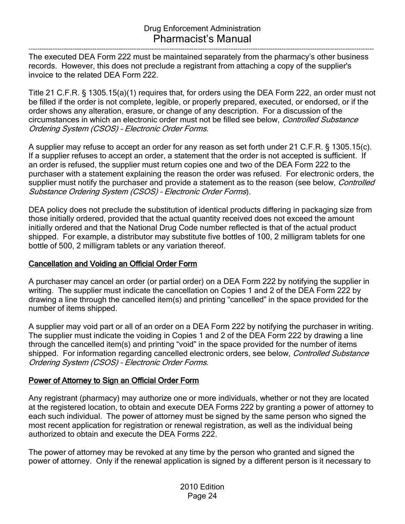------------------------------------------------------------------------------------------------------------------------------------------------------------- The executed DEA Form 222 must be maintained separately from the pharmacy's other business records. However, this does not preclude a registrant from attaching a copy of the supplier's invoice to the related DEA Form 222.

Title 21 C.F.R. § 1305.15(a)(1) requires that, for orders using the DEA Form 222, an order must not be filled if the order is not complete, legible, or properly prepared, executed, or endorsed, or if the order shows any alteration, erasure, or change of any description. For a discussion of the circumstances in which an electronic order must not be filled see below, Controlled Substance Ordering System (CSOS) – Electronic Order Forms.

A supplier may refuse to accept an order for any reason as set forth under 21 C.F.R. § 1305.15(c). If a supplier refuses to accept an order, a statement that the order is not accepted is sufficient. If an order is refused, the supplier must return copies one and two of the DEA Form 222 to the purchaser with a statement explaining the reason the order was refused. For electronic orders, the supplier must notify the purchaser and provide a statement as to the reason (see below, *Controlled* Substance Ordering System (CSOS) – Electronic Order Forms).

DEA policy does not preclude the substitution of identical products differing in packaging size from those initially ordered, provided that the actual quantity received does not exceed the amount initially ordered and that the National Drug Code number reflected is that of the actual product shipped. For example, a distributor may substitute five bottles of 100, 2 milligram tablets for one bottle of 500, 2 milligram tablets or any variation thereof.

#### Cancellation and Voiding an Official Order Form

A purchaser may cancel an order (or partial order) on a DEA Form 222 by notifying the supplier in writing. The supplier must indicate the cancellation on Copies 1 and 2 of the DEA Form 222 by drawing a line through the cancelled item(s) and printing "cancelled" in the space provided for the number of items shipped.

A supplier may void part or all of an order on a DEA Form 222 by notifying the purchaser in writing. The supplier must indicate the voiding in Copies 1 and 2 of the DEA Form 222 by drawing a line through the cancelled item(s) and printing "void" in the space provided for the number of items shipped. For information regarding cancelled electronic orders, see below, *Controlled Substance* Ordering System (CSOS) – Electronic Order Forms.

#### Power of Attorney to Sign an Official Order Form

Any registrant (pharmacy) may authorize one or more individuals, whether or not they are located at the registered location, to obtain and execute DEA Forms 222 by granting a power of attorney to each such individual. The power of attorney must be signed by the same person who signed the most recent application for registration or renewal registration, as well as the individual being authorized to obtain and execute the DEA Forms 222.

The power of attorney may be revoked at any time by the person who granted and signed the power of attorney. Only if the renewal application is signed by a different person is it necessary to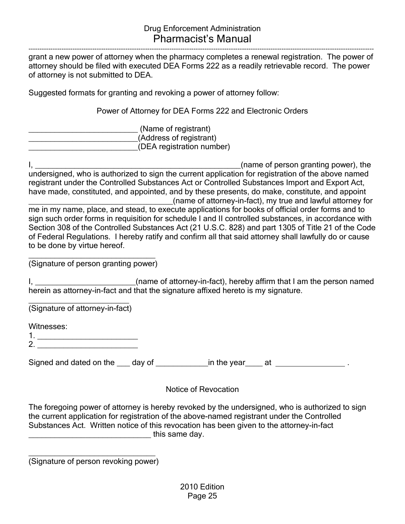#### Drug Enforcement Administration Pharmacist's Manual

------------------------------------------------------------------------------------------------------------------------------------------------------------ grant a new power of attorney when the pharmacy completes a renewal registration. The power of attorney should be filed with executed DEA Forms 222 as a readily retrievable record. The power of attorney is not submitted to DEA.

Suggested formats for granting and revoking a power of attorney follow:

Power of Attorney for DEA Forms 222 and Electronic Orders

| (Name of registrant)      |
|---------------------------|
| (Address of registrant)   |
| (DEA registration number) |

| (name of person granting power), the                                                               |
|----------------------------------------------------------------------------------------------------|
| undersigned, who is authorized to sign the current application for registration of the above named |
| registrant under the Controlled Substances Act or Controlled Substances Import and Export Act,     |
| have made, constituted, and appointed, and by these presents, do make, constitute, and appoint     |
| (name of attorney-in-fact), my true and lawful attorney for                                        |

me in my name, place, and stead, to execute applications for books of official order forms and to sign such order forms in requisition for schedule I and II controlled substances, in accordance with Section 308 of the Controlled Substances Act (21 U.S.C. 828) and part 1305 of Title 21 of the Code of Federal Regulations. I hereby ratify and confirm all that said attorney shall lawfully do or cause to be done by virtue hereof.

 $\mathcal{L}$  , where  $\mathcal{L}$  is the set of the set of the set of the set of the set of the set of the set of the set of the set of the set of the set of the set of the set of the set of the set of the set of the set of the s (Signature of person granting power)

I, \_\_\_\_\_\_\_\_\_\_\_\_\_\_\_\_\_\_\_\_\_\_\_\_(name of attorney-in-fact), hereby affirm that I am the person named herein as attorney-in-fact and that the signature affixed hereto is my signature.

 $\overline{\phantom{a}}$  , where  $\overline{\phantom{a}}$ (Signature of attorney-in-fact)

Witnesses:

1. \_\_\_\_\_\_\_\_\_\_\_\_\_\_\_\_\_\_\_\_\_\_\_ 2. \_\_\_\_\_\_\_\_\_\_\_\_\_\_\_\_\_\_\_\_\_\_\_

Signed and dated on the \_\_\_ day of \_\_\_\_\_\_\_\_\_\_\_\_\_in the year\_\_\_\_ at \_\_\_\_\_\_\_\_\_\_\_\_\_

Notice of Revocation

The foregoing power of attorney is hereby revoked by the undersigned, who is authorized to sign the current application for registration of the above-named registrant under the Controlled Substances Act. Written notice of this revocation has been given to the attorney-in-fact **EXECUTE:** This same day.

 $\mathcal{L}$  , where  $\mathcal{L}$  is the set of the set of the set of the set of the set of the set of the set of the set of the set of the set of the set of the set of the set of the set of the set of the set of the set of the s (Signature of person revoking power)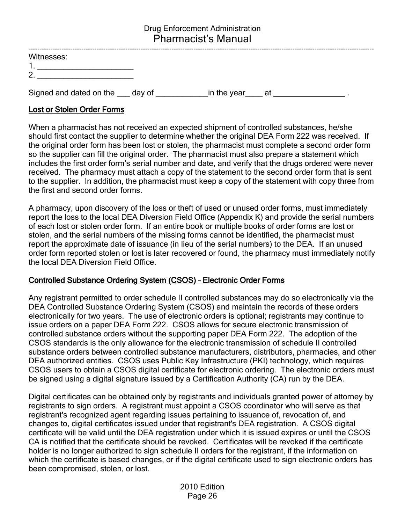#### Drug Enforcement Administration Pharmacist's Manual

| Witnesses:<br>2                    |  |                |  |  |
|------------------------------------|--|----------------|--|--|
| Signed and dated on the ___ day of |  | in the year at |  |  |

#### Lost or Stolen Order Forms

When a pharmacist has not received an expected shipment of controlled substances, he/she should first contact the supplier to determine whether the original DEA Form 222 was received. If the original order form has been lost or stolen, the pharmacist must complete a second order form so the supplier can fill the original order. The pharmacist must also prepare a statement which includes the first order form's serial number and date, and verify that the drugs ordered were never received. The pharmacy must attach a copy of the statement to the second order form that is sent to the supplier. In addition, the pharmacist must keep a copy of the statement with copy three from the first and second order forms.

A pharmacy, upon discovery of the loss or theft of used or unused order forms, must immediately report the loss to the local DEA Diversion Field Office (Appendix K) and provide the serial numbers of each lost or stolen order form. If an entire book or multiple books of order forms are lost or stolen, and the serial numbers of the missing forms cannot be identified, the pharmacist must report the approximate date of issuance (in lieu of the serial numbers) to the DEA. If an unused order form reported stolen or lost is later recovered or found, the pharmacy must immediately notify the local DEA Diversion Field Office.

#### Controlled Substance Ordering System (CSOS) – Electronic Order Forms

Any registrant permitted to order schedule II controlled substances may do so electronically via the DEA Controlled Substance Ordering System (CSOS) and maintain the records of these orders electronically for two years. The use of electronic orders is optional; registrants may continue to issue orders on a paper DEA Form 222. CSOS allows for secure electronic transmission of controlled substance orders without the supporting paper DEA Form 222. The adoption of the CSOS standards is the only allowance for the electronic transmission of schedule II controlled substance orders between controlled substance manufacturers, distributors, pharmacies, and other DEA authorized entities. CSOS uses Public Key Infrastructure (PKI) technology, which requires CSOS users to obtain a CSOS digital certificate for electronic ordering. The electronic orders must be signed using a digital signature issued by a Certification Authority (CA) run by the DEA.

Digital certificates can be obtained only by registrants and individuals granted power of attorney by registrants to sign orders. A registrant must appoint a CSOS coordinator who will serve as that registrant's recognized agent regarding issues pertaining to issuance of, revocation of, and changes to, digital certificates issued under that registrant's DEA registration. A CSOS digital certificate will be valid until the DEA registration under which it is issued expires or until the CSOS CA is notified that the certificate should be revoked. Certificates will be revoked if the certificate holder is no longer authorized to sign schedule II orders for the registrant, if the information on which the certificate is based changes, or if the digital certificate used to sign electronic orders has been compromised, stolen, or lost.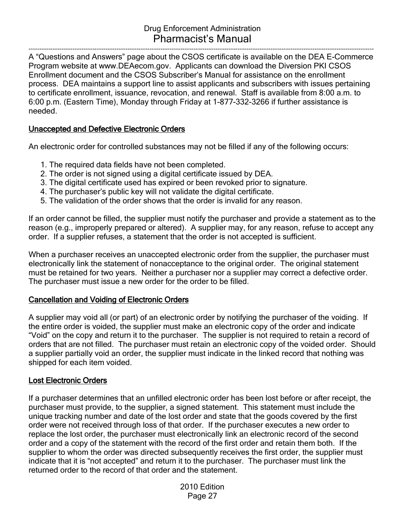------------------------------------------------------------------------------------------------------------------------------------------------------------- A "Questions and Answers" page about the CSOS certificate is available on the DEA E-Commerce Program website at www.DEAecom.gov. Applicants can download the Diversion PKI CSOS Enrollment document and the CSOS Subscriber's Manual for assistance on the enrollment process. DEA maintains a support line to assist applicants and subscribers with issues pertaining to certificate enrollment, issuance, revocation, and renewal. Staff is available from 8:00 a.m. to 6:00 p.m. (Eastern Time), Monday through Friday at 1-877-332-3266 if further assistance is needed.

#### Unaccepted and Defective Electronic Orders

An electronic order for controlled substances may not be filled if any of the following occurs:

- 1. The required data fields have not been completed.
- 2. The order is not signed using a digital certificate issued by DEA.
- 3. The digital certificate used has expired or been revoked prior to signature.
- 4. The purchaser's public key will not validate the digital certificate.
- 5. The validation of the order shows that the order is invalid for any reason.

If an order cannot be filled, the supplier must notify the purchaser and provide a statement as to the reason (e.g., improperly prepared or altered). A supplier may, for any reason, refuse to accept any order. If a supplier refuses, a statement that the order is not accepted is sufficient.

When a purchaser receives an unaccepted electronic order from the supplier, the purchaser must electronically link the statement of nonacceptance to the original order. The original statement must be retained for two years. Neither a purchaser nor a supplier may correct a defective order. The purchaser must issue a new order for the order to be filled.

#### Cancellation and Voiding of Electronic Orders

A supplier may void all (or part) of an electronic order by notifying the purchaser of the voiding. If the entire order is voided, the supplier must make an electronic copy of the order and indicate "Void" on the copy and return it to the purchaser. The supplier is not required to retain a record of orders that are not filled. The purchaser must retain an electronic copy of the voided order. Should a supplier partially void an order, the supplier must indicate in the linked record that nothing was shipped for each item voided.

#### Lost Electronic Orders

If a purchaser determines that an unfilled electronic order has been lost before or after receipt, the purchaser must provide, to the supplier, a signed statement. This statement must include the unique tracking number and date of the lost order and state that the goods covered by the first order were not received through loss of that order. If the purchaser executes a new order to replace the lost order, the purchaser must electronically link an electronic record of the second order and a copy of the statement with the record of the first order and retain them both. If the supplier to whom the order was directed subsequently receives the first order, the supplier must indicate that it is "not accepted" and return it to the purchaser. The purchaser must link the returned order to the record of that order and the statement.

> 2010 Edition Page 27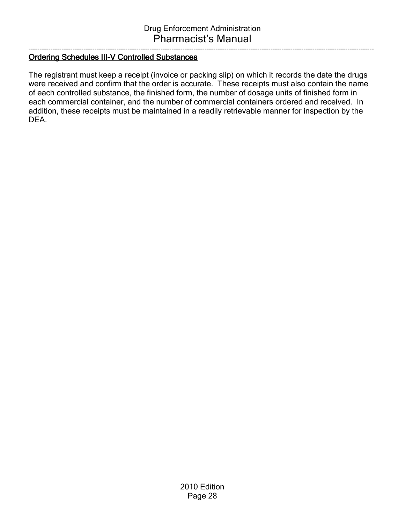#### ------------------------------------------------------------------------------------------------------------------------------------------------------------- Ordering Schedules III-V Controlled Substances

The registrant must keep a receipt (invoice or packing slip) on which it records the date the drugs were received and confirm that the order is accurate. These receipts must also contain the name of each controlled substance, the finished form, the number of dosage units of finished form in each commercial container, and the number of commercial containers ordered and received. In addition, these receipts must be maintained in a readily retrievable manner for inspection by the DEA.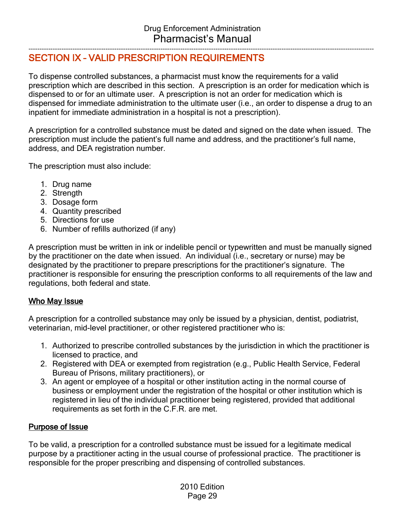#### ------------------------------------------------------------------------------------------------------------------------------------------------------------- SECTION IX – VALID PRESCRIPTION REQUIREMENTS

To dispense controlled substances, a pharmacist must know the requirements for a valid prescription which are described in this section. A prescription is an order for medication which is dispensed to or for an ultimate user. A prescription is not an order for medication which is dispensed for immediate administration to the ultimate user (i.e., an order to dispense a drug to an inpatient for immediate administration in a hospital is not a prescription).

A prescription for a controlled substance must be dated and signed on the date when issued. The prescription must include the patient's full name and address, and the practitioner's full name, address, and DEA registration number.

The prescription must also include:

- 1. Drug name
- 2. Strength
- 3. Dosage form
- 4. Quantity prescribed
- 5. Directions for use
- 6. Number of refills authorized (if any)

A prescription must be written in ink or indelible pencil or typewritten and must be manually signed by the practitioner on the date when issued. An individual (i.e., secretary or nurse) may be designated by the practitioner to prepare prescriptions for the practitioner's signature. The practitioner is responsible for ensuring the prescription conforms to all requirements of the law and regulations, both federal and state.

#### Who May Issue

A prescription for a controlled substance may only be issued by a physician, dentist, podiatrist, veterinarian, mid-level practitioner, or other registered practitioner who is:

- 1. Authorized to prescribe controlled substances by the jurisdiction in which the practitioner is licensed to practice, and
- 2. Registered with DEA or exempted from registration (e.g., Public Health Service, Federal Bureau of Prisons, military practitioners), or
- 3. An agent or employee of a hospital or other institution acting in the normal course of business or employment under the registration of the hospital or other institution which is registered in lieu of the individual practitioner being registered, provided that additional requirements as set forth in the C.F.R. are met.

#### Purpose of Issue

To be valid, a prescription for a controlled substance must be issued for a legitimate medical purpose by a practitioner acting in the usual course of professional practice. The practitioner is responsible for the proper prescribing and dispensing of controlled substances.

> 2010 Edition Page 29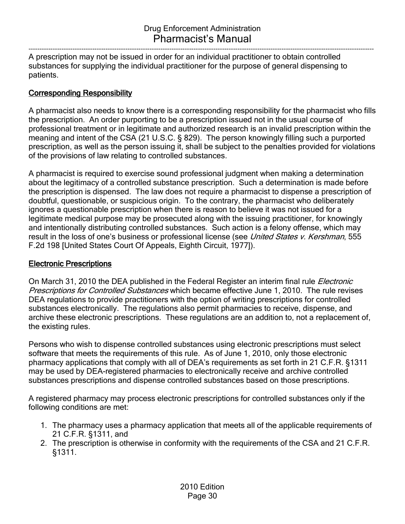------------------------------------------------------------------------------------------------------------------------------------------------------------- A prescription may not be issued in order for an individual practitioner to obtain controlled substances for supplying the individual practitioner for the purpose of general dispensing to patients.

#### Corresponding Responsibility

A pharmacist also needs to know there is a corresponding responsibility for the pharmacist who fills the prescription. An order purporting to be a prescription issued not in the usual course of professional treatment or in legitimate and authorized research is an invalid prescription within the meaning and intent of the CSA (21 U.S.C. § 829). The person knowingly filling such a purported prescription, as well as the person issuing it, shall be subject to the penalties provided for violations of the provisions of law relating to controlled substances.

A pharmacist is required to exercise sound professional judgment when making a determination about the legitimacy of a controlled substance prescription. Such a determination is made before the prescription is dispensed. The law does not require a pharmacist to dispense a prescription of doubtful, questionable, or suspicious origin. To the contrary, the pharmacist who deliberately ignores a questionable prescription when there is reason to believe it was not issued for a legitimate medical purpose may be prosecuted along with the issuing practitioner, for knowingly and intentionally distributing controlled substances. Such action is a felony offense, which may result in the loss of one's business or professional license (see United States v. Kershman, 555 F.2d 198 [United States Court Of Appeals, Eighth Circuit, 1977]).

#### Electronic Prescriptions

On March 31, 2010 the DEA published in the Federal Register an interim final rule *Electronic* Prescriptions for Controlled Substances which became effective June 1, 2010. The rule revises DEA regulations to provide practitioners with the option of writing prescriptions for controlled substances electronically. The regulations also permit pharmacies to receive, dispense, and archive these electronic prescriptions. These regulations are an addition to, not a replacement of, the existing rules.

Persons who wish to dispense controlled substances using electronic prescriptions must select software that meets the requirements of this rule. As of June 1, 2010, only those electronic pharmacy applications that comply with all of DEA's requirements as set forth in 21 C.F.R. §1311 may be used by DEA-registered pharmacies to electronically receive and archive controlled substances prescriptions and dispense controlled substances based on those prescriptions.

A registered pharmacy may process electronic prescriptions for controlled substances only if the following conditions are met:

- 1. The pharmacy uses a pharmacy application that meets all of the applicable requirements of 21 C.F.R. §1311, and
- 2. The prescription is otherwise in conformity with the requirements of the CSA and 21 C.F.R. §1311.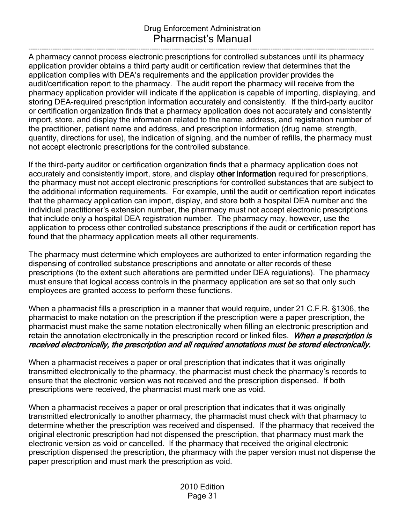# Drug Enforcement Administration Pharmacist's Manual

------------------------------------------------------------------------------------------------------------------------------------------------------------- A pharmacy cannot process electronic prescriptions for controlled substances until its pharmacy application provider obtains a third party audit or certification review that determines that the application complies with DEA's requirements and the application provider provides the audit/certification report to the pharmacy. The audit report the pharmacy will receive from the pharmacy application provider will indicate if the application is capable of importing, displaying, and storing DEA-required prescription information accurately and consistently. If the third-party auditor or certification organization finds that a pharmacy application does not accurately and consistently import, store, and display the information related to the name, address, and registration number of the practitioner, patient name and address, and prescription information (drug name, strength, quantity, directions for use), the indication of signing, and the number of refills, the pharmacy must not accept electronic prescriptions for the controlled substance.

If the third-party auditor or certification organization finds that a pharmacy application does not accurately and consistently import, store, and display other information required for prescriptions, the pharmacy must not accept electronic prescriptions for controlled substances that are subject to the additional information requirements. For example, until the audit or certification report indicates that the pharmacy application can import, display, and store both a hospital DEA number and the individual practitioner's extension number, the pharmacy must not accept electronic prescriptions that include only a hospital DEA registration number. The pharmacy may, however, use the application to process other controlled substance prescriptions if the audit or certification report has found that the pharmacy application meets all other requirements.

The pharmacy must determine which employees are authorized to enter information regarding the dispensing of controlled substance prescriptions and annotate or alter records of these prescriptions (to the extent such alterations are permitted under DEA regulations). The pharmacy must ensure that logical access controls in the pharmacy application are set so that only such employees are granted access to perform these functions.

When a pharmacist fills a prescription in a manner that would require, under 21 C.F.R. §1306, the pharmacist to make notation on the prescription if the prescription were a paper prescription, the pharmacist must make the same notation electronically when filling an electronic prescription and retain the annotation electronically in the prescription record or linked files. When a prescription is received electronically, the prescription and all required annotations must be stored electronically.

When a pharmacist receives a paper or oral prescription that indicates that it was originally transmitted electronically to the pharmacy, the pharmacist must check the pharmacy's records to ensure that the electronic version was not received and the prescription dispensed. If both prescriptions were received, the pharmacist must mark one as void.

When a pharmacist receives a paper or oral prescription that indicates that it was originally transmitted electronically to another pharmacy, the pharmacist must check with that pharmacy to determine whether the prescription was received and dispensed. If the pharmacy that received the original electronic prescription had not dispensed the prescription, that pharmacy must mark the electronic version as void or cancelled. If the pharmacy that received the original electronic prescription dispensed the prescription, the pharmacy with the paper version must not dispense the paper prescription and must mark the prescription as void.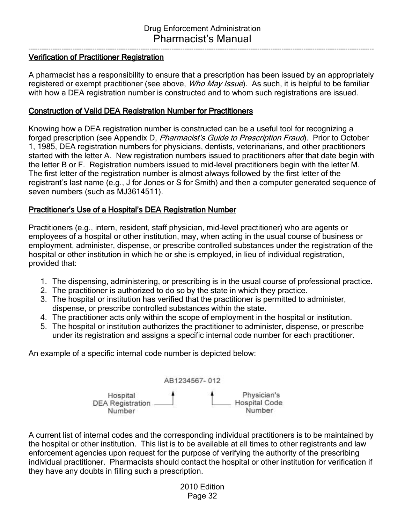#### ------------------------------------------------------------------------------------------------------------------------------------------------------------- Verification of Practitioner Registration

A pharmacist has a responsibility to ensure that a prescription has been issued by an appropriately registered or exempt practitioner (see above, *Who May Issue*). As such, it is helpful to be familiar with how a DEA registration number is constructed and to whom such registrations are issued.

## Construction of Valid DEA Registration Number for Practitioners

Knowing how a DEA registration number is constructed can be a useful tool for recognizing a forged prescription (see Appendix D, Pharmacist's Guide to Prescription Fraud). Prior to October 1, 1985, DEA registration numbers for physicians, dentists, veterinarians, and other practitioners started with the letter A. New registration numbers issued to practitioners after that date begin with the letter B or F. Registration numbers issued to mid-level practitioners begin with the letter M. The first letter of the registration number is almost always followed by the first letter of the registrant's last name (e.g., J for Jones or S for Smith) and then a computer generated sequence of seven numbers (such as MJ3614511).

# Practitioner's Use of a Hospital's DEA Registration Number

Practitioners (e.g., intern, resident, staff physician, mid-level practitioner) who are agents or employees of a hospital or other institution, may, when acting in the usual course of business or employment, administer, dispense, or prescribe controlled substances under the registration of the hospital or other institution in which he or she is employed, in lieu of individual registration, provided that:

- 1. The dispensing, administering, or prescribing is in the usual course of professional practice.
- 2. The practitioner is authorized to do so by the state in which they practice.
- 3. The hospital or institution has verified that the practitioner is permitted to administer, dispense, or prescribe controlled substances within the state.
- 4. The practitioner acts only within the scope of employment in the hospital or institution.
- 5. The hospital or institution authorizes the practitioner to administer, dispense, or prescribe under its registration and assigns a specific internal code number for each practitioner.

An example of a specific internal code number is depicted below:



A current list of internal codes and the corresponding individual practitioners is to be maintained by the hospital or other institution. This list is to be available at all times to other registrants and law enforcement agencies upon request for the purpose of verifying the authority of the prescribing individual practitioner. Pharmacists should contact the hospital or other institution for verification if they have any doubts in filling such a prescription.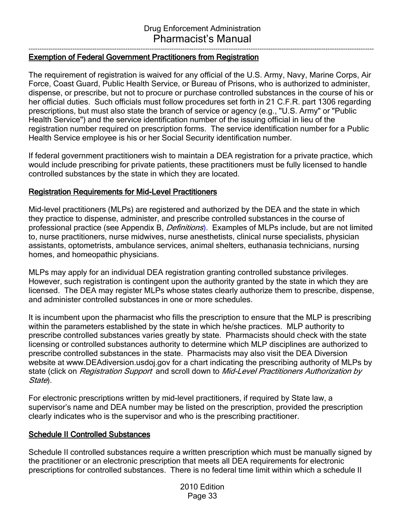#### ------------------------------------------------------------------------------------------------------------------------------------------------------------- Exemption of Federal Government Practitioners from Registration

The requirement of registration is waived for any official of the U.S. Army, Navy, Marine Corps, Air Force, Coast Guard, Public Health Service, or Bureau of Prisons, who is authorized to administer, dispense, or prescribe, but not to procure or purchase controlled substances in the course of his or her official duties. Such officials must follow procedures set forth in 21 C.F.R. part 1306 regarding prescriptions, but must also state the branch of service or agency (e.g., "U.S. Army" or "Public Health Service") and the service identification number of the issuing official in lieu of the registration number required on prescription forms. The service identification number for a Public Health Service employee is his or her Social Security identification number.

If federal government practitioners wish to maintain a DEA registration for a private practice, which would include prescribing for private patients, these practitioners must be fully licensed to handle controlled substances by the state in which they are located.

## Registration Requirements for Mid-Level Practitioners

Mid-level practitioners (MLPs) are registered and authorized by the DEA and the state in which they practice to dispense, administer, and prescribe controlled substances in the course of professional practice (see Appendix B, *Definitions*). Examples of MLPs include, but are not limited to, nurse practitioners, nurse midwives, nurse anesthetists, clinical nurse specialists, physician assistants, optometrists, ambulance services, animal shelters, euthanasia technicians, nursing homes, and homeopathic physicians.

MLPs may apply for an individual DEA registration granting controlled substance privileges. However, such registration is contingent upon the authority granted by the state in which they are licensed. The DEA may register MLPs whose states clearly authorize them to prescribe, dispense, and administer controlled substances in one or more schedules.

It is incumbent upon the pharmacist who fills the prescription to ensure that the MLP is prescribing within the parameters established by the state in which he/she practices. MLP authority to prescribe controlled substances varies greatly by state. Pharmacists should check with the state licensing or controlled substances authority to determine which MLP disciplines are authorized to prescribe controlled substances in the state. Pharmacists may also visit the DEA Diversion website at www.DEAdiversion.usdoj.gov for a chart indicating the prescribing authority of MLPs by state (click on *Registration Support* and scroll down to Mid-Level Practitioners Authorization by State).

For electronic prescriptions written by mid-level practitioners, if required by State law, a supervisor's name and DEA number may be listed on the prescription, provided the prescription clearly indicates who is the supervisor and who is the prescribing practitioner.

## Schedule II Controlled Substances

Schedule II controlled substances require a written prescription which must be manually signed by the practitioner or an electronic prescription that meets all DEA requirements for electronic prescriptions for controlled substances. There is no federal time limit within which a schedule II

> 2010 Edition Page 33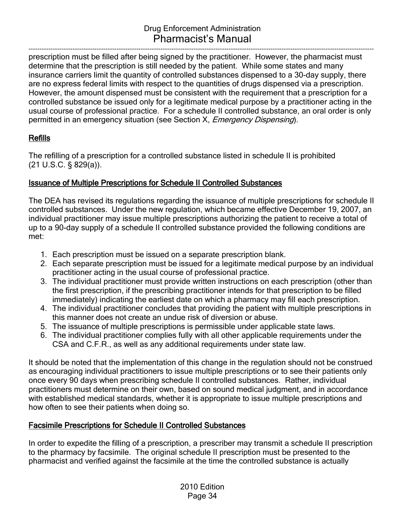# Drug Enforcement Administration Pharmacist's Manual

------------------------------------------------------------------------------------------------------------------------------------------------------------ prescription must be filled after being signed by the practitioner. However, the pharmacist must determine that the prescription is still needed by the patient. While some states and many insurance carriers limit the quantity of controlled substances dispensed to a 30-day supply, there are no express federal limits with respect to the quantities of drugs dispensed via a prescription. However, the amount dispensed must be consistent with the requirement that a prescription for a controlled substance be issued only for a legitimate medical purpose by a practitioner acting in the usual course of professional practice. For a schedule II controlled substance, an oral order is only permitted in an emergency situation (see Section X, *Emergency Dispensing*).

# Refills

The refilling of a prescription for a controlled substance listed in schedule II is prohibited (21 U.S.C. § 829(a)).

# Issuance of Multiple Prescriptions for Schedule II Controlled Substances

The DEA has revised its regulations regarding the issuance of multiple prescriptions for schedule II controlled substances. Under the new regulation, which became effective December 19, 2007, an individual practitioner may issue multiple prescriptions authorizing the patient to receive a total of up to a 90-day supply of a schedule II controlled substance provided the following conditions are met:

- 1. Each prescription must be issued on a separate prescription blank.
- 2. Each separate prescription must be issued for a legitimate medical purpose by an individual practitioner acting in the usual course of professional practice.
- 3. The individual practitioner must provide written instructions on each prescription (other than the first prescription, if the prescribing practitioner intends for that prescription to be filled immediately) indicating the earliest date on which a pharmacy may fill each prescription.
- 4. The individual practitioner concludes that providing the patient with multiple prescriptions in this manner does not create an undue risk of diversion or abuse.
- 5. The issuance of multiple prescriptions is permissible under applicable state laws.
- 6. The individual practitioner complies fully with all other applicable requirements under the CSA and C.F.R., as well as any additional requirements under state law.

It should be noted that the implementation of this change in the regulation should not be construed as encouraging individual practitioners to issue multiple prescriptions or to see their patients only once every 90 days when prescribing schedule II controlled substances. Rather, individual practitioners must determine on their own, based on sound medical judgment, and in accordance with established medical standards, whether it is appropriate to issue multiple prescriptions and how often to see their patients when doing so.

# Facsimile Prescriptions for Schedule II Controlled Substances

In order to expedite the filling of a prescription, a prescriber may transmit a schedule II prescription to the pharmacy by facsimile. The original schedule II prescription must be presented to the pharmacist and verified against the facsimile at the time the controlled substance is actually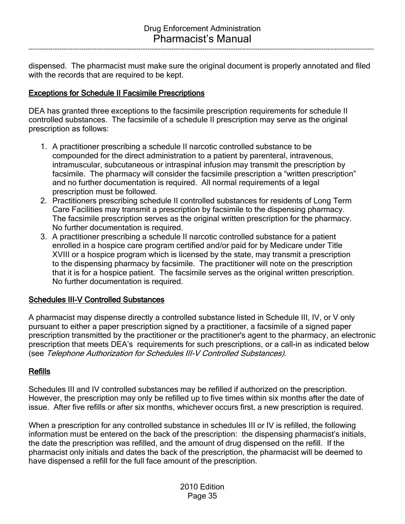-------------------------------------------------------------------------------------------------------------------------------------------------------------

dispensed. The pharmacist must make sure the original document is properly annotated and filed with the records that are required to be kept.

# Exceptions for Schedule II Facsimile Prescriptions

DEA has granted three exceptions to the facsimile prescription requirements for schedule II controlled substances. The facsimile of a schedule II prescription may serve as the original prescription as follows:

- 1. A practitioner prescribing a schedule II narcotic controlled substance to be compounded for the direct administration to a patient by parenteral, intravenous, intramuscular, subcutaneous or intraspinal infusion may transmit the prescription by facsimile. The pharmacy will consider the facsimile prescription a "written prescription" and no further documentation is required. All normal requirements of a legal prescription must be followed.
- 2. Practitioners prescribing schedule II controlled substances for residents of Long Term Care Facilities may transmit a prescription by facsimile to the dispensing pharmacy. The facsimile prescription serves as the original written prescription for the pharmacy. No further documentation is required.
- 3. A practitioner prescribing a schedule II narcotic controlled substance for a patient enrolled in a hospice care program certified and/or paid for by Medicare under Title XVIII or a hospice program which is licensed by the state, may transmit a prescription to the dispensing pharmacy by facsimile. The practitioner will note on the prescription that it is for a hospice patient. The facsimile serves as the original written prescription. No further documentation is required.

## Schedules III-V Controlled Substances

A pharmacist may dispense directly a controlled substance listed in Schedule III, IV, or V only pursuant to either a paper prescription signed by a practitioner, a facsimile of a signed paper prescription transmitted by the practitioner or the practitioner's agent to the pharmacy, an electronic prescription that meets DEA's requirements for such prescriptions, or a call-in as indicated below (see Telephone Authorization for Schedules III-V Controlled Substances).

## Refills

Schedules III and IV controlled substances may be refilled if authorized on the prescription. However, the prescription may only be refilled up to five times within six months after the date of issue. After five refills or after six months, whichever occurs first, a new prescription is required.

When a prescription for any controlled substance in schedules III or IV is refilled, the following information must be entered on the back of the prescription: the dispensing pharmacist's initials, the date the prescription was refilled, and the amount of drug dispensed on the refill. If the pharmacist only initials and dates the back of the prescription, the pharmacist will be deemed to have dispensed a refill for the full face amount of the prescription.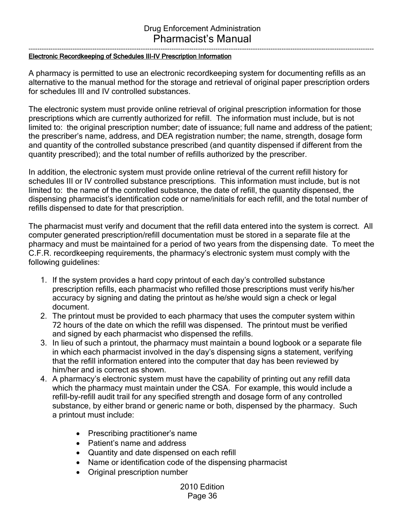#### ------------------------------------------------------------------------------------------------------------------------------------------------------------- Electronic Recordkeeping of Schedules III-IV Prescription Information

A pharmacy is permitted to use an electronic recordkeeping system for documenting refills as an alternative to the manual method for the storage and retrieval of original paper prescription orders for schedules III and IV controlled substances.

The electronic system must provide online retrieval of original prescription information for those prescriptions which are currently authorized for refill. The information must include, but is not limited to: the original prescription number; date of issuance; full name and address of the patient; the prescriber's name, address, and DEA registration number; the name, strength, dosage form and quantity of the controlled substance prescribed (and quantity dispensed if different from the quantity prescribed); and the total number of refills authorized by the prescriber.

In addition, the electronic system must provide online retrieval of the current refill history for schedules III or IV controlled substance prescriptions. This information must include, but is not limited to: the name of the controlled substance, the date of refill, the quantity dispensed, the dispensing pharmacist's identification code or name/initials for each refill, and the total number of refills dispensed to date for that prescription.

The pharmacist must verify and document that the refill data entered into the system is correct. All computer generated prescription/refill documentation must be stored in a separate file at the pharmacy and must be maintained for a period of two years from the dispensing date. To meet the C.F.R. recordkeeping requirements, the pharmacy's electronic system must comply with the following guidelines:

- 1. If the system provides a hard copy printout of each day's controlled substance prescription refills, each pharmacist who refilled those prescriptions must verify his/her accuracy by signing and dating the printout as he/she would sign a check or legal document.
- 2. The printout must be provided to each pharmacy that uses the computer system within 72 hours of the date on which the refill was dispensed. The printout must be verified and signed by each pharmacist who dispensed the refills.
- 3. In lieu of such a printout, the pharmacy must maintain a bound logbook or a separate file in which each pharmacist involved in the day's dispensing signs a statement, verifying that the refill information entered into the computer that day has been reviewed by him/her and is correct as shown.
- 4. A pharmacy's electronic system must have the capability of printing out any refill data which the pharmacy must maintain under the CSA. For example, this would include a refill-by-refill audit trail for any specified strength and dosage form of any controlled substance, by either brand or generic name or both, dispensed by the pharmacy. Such a printout must include:
	- Prescribing practitioner's name
	- Patient's name and address
	- Quantity and date dispensed on each refill
	- Name or identification code of the dispensing pharmacist
	- Original prescription number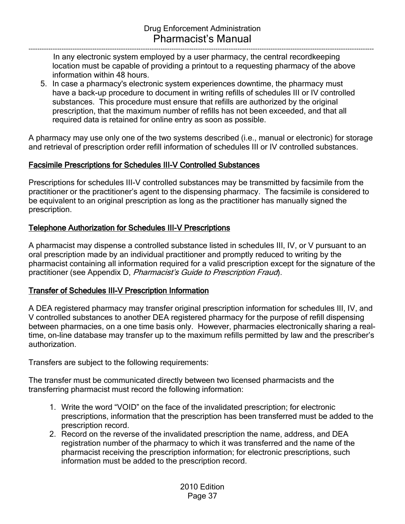------------------------------------------------------------------------------------------------------------------------------------------------------------- In any electronic system employed by a user pharmacy, the central recordkeeping location must be capable of providing a printout to a requesting pharmacy of the above information within 48 hours.

5. In case a pharmacy's electronic system experiences downtime, the pharmacy must have a back-up procedure to document in writing refills of schedules III or IV controlled substances. This procedure must ensure that refills are authorized by the original prescription, that the maximum number of refills has not been exceeded, and that all required data is retained for online entry as soon as possible.

A pharmacy may use only one of the two systems described (i.e., manual or electronic) for storage and retrieval of prescription order refill information of schedules III or IV controlled substances.

# Facsimile Prescriptions for Schedules III-V Controlled Substances

Prescriptions for schedules III-V controlled substances may be transmitted by facsimile from the practitioner or the practitioner's agent to the dispensing pharmacy. The facsimile is considered to be equivalent to an original prescription as long as the practitioner has manually signed the prescription.

# Telephone Authorization for Schedules III-V Prescriptions

A pharmacist may dispense a controlled substance listed in schedules III, IV, or V pursuant to an oral prescription made by an individual practitioner and promptly reduced to writing by the pharmacist containing all information required for a valid prescription except for the signature of the practitioner (see Appendix D, Pharmacist's Guide to Prescription Fraud).

# Transfer of Schedules III-V Prescription Information

A DEA registered pharmacy may transfer original prescription information for schedules III, IV, and V controlled substances to another DEA registered pharmacy for the purpose of refill dispensing between pharmacies, on a one time basis only. However, pharmacies electronically sharing a realtime, on-line database may transfer up to the maximum refills permitted by law and the prescriber's authorization.

Transfers are subject to the following requirements:

The transfer must be communicated directly between two licensed pharmacists and the transferring pharmacist must record the following information:

- 1. Write the word "VOID" on the face of the invalidated prescription; for electronic prescriptions, information that the prescription has been transferred must be added to the prescription record.
- 2. Record on the reverse of the invalidated prescription the name, address, and DEA registration number of the pharmacy to which it was transferred and the name of the pharmacist receiving the prescription information; for electronic prescriptions, such information must be added to the prescription record.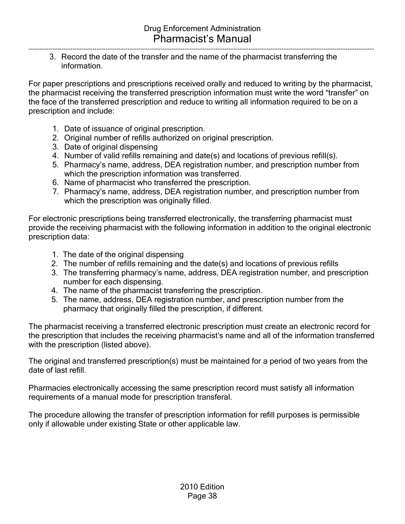------------------------------------------------------------------------------------------------------------------------------------------------------------- 3. Record the date of the transfer and the name of the pharmacist transferring the information.

For paper prescriptions and prescriptions received orally and reduced to writing by the pharmacist, the pharmacist receiving the transferred prescription information must write the word "transfer" on the face of the transferred prescription and reduce to writing all information required to be on a prescription and include:

- 1. Date of issuance of original prescription.
- 2. Original number of refills authorized on original prescription.
- 3. Date of original dispensing
- 4. Number of valid refills remaining and date(s) and locations of previous refill(s).
- 5. Pharmacy's name, address, DEA registration number, and prescription number from which the prescription information was transferred.
- 6. Name of pharmacist who transferred the prescription.
- 7. Pharmacy's name, address, DEA registration number, and prescription number from which the prescription was originally filled.

For electronic prescriptions being transferred electronically, the transferring pharmacist must provide the receiving pharmacist with the following information in addition to the original electronic prescription data:

- 1. The date of the original dispensing
- 2. The number of refills remaining and the date(s) and locations of previous refills
- 3. The transferring pharmacy's name, address, DEA registration number, and prescription number for each dispensing.
- 4. The name of the pharmacist transferring the prescription.
- 5. The name, address, DEA registration number, and prescription number from the pharmacy that originally filled the prescription, if different.

The pharmacist receiving a transferred electronic prescription must create an electronic record for the prescription that includes the receiving pharmacist's name and all of the information transferred with the prescription (listed above).

The original and transferred prescription(s) must be maintained for a period of two years from the date of last refill.

Pharmacies electronically accessing the same prescription record must satisfy all information requirements of a manual mode for prescription transferal.

The procedure allowing the transfer of prescription information for refill purposes is permissible only if allowable under existing State or other applicable law.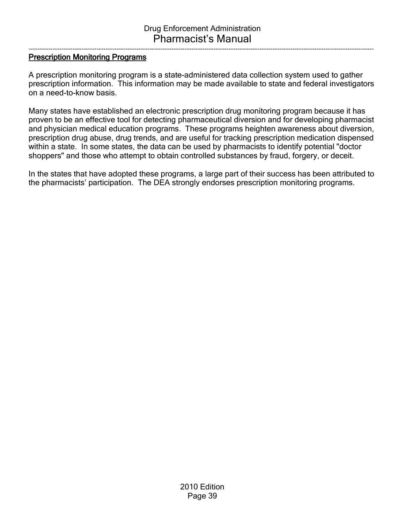#### ------------------------------------------------------------------------------------------------------------------------------------------------------------- Prescription Monitoring Programs

A prescription monitoring program is a state-administered data collection system used to gather prescription information. This information may be made available to state and federal investigators on a need-to-know basis.

Many states have established an electronic prescription drug monitoring program because it has proven to be an effective tool for detecting pharmaceutical diversion and for developing pharmacist and physician medical education programs. These programs heighten awareness about diversion, prescription drug abuse, drug trends, and are useful for tracking prescription medication dispensed within a state. In some states, the data can be used by pharmacists to identify potential "doctor" shoppers" and those who attempt to obtain controlled substances by fraud, forgery, or deceit.

In the states that have adopted these programs, a large part of their success has been attributed to the pharmacists' participation. The DEA strongly endorses prescription monitoring programs.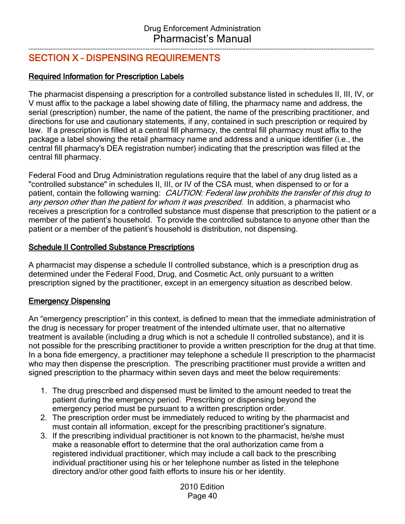#### ------------------------------------------------------------------------------------------------------------------------------------------------------------- SECTION X – DISPENSING REQUIREMENTS

# Required Information for Prescription Labels

The pharmacist dispensing a prescription for a controlled substance listed in schedules II, III, IV, or V must affix to the package a label showing date of filling, the pharmacy name and address, the serial (prescription) number, the name of the patient, the name of the prescribing practitioner, and directions for use and cautionary statements, if any, contained in such prescription or required by law. If a prescription is filled at a central fill pharmacy, the central fill pharmacy must affix to the package a label showing the retail pharmacy name and address and a unique identifier (i.e., the central fill pharmacy's DEA registration number) indicating that the prescription was filled at the central fill pharmacy.

Federal Food and Drug Administration regulations require that the label of any drug listed as a "controlled substance" in schedules II, III, or IV of the CSA must, when dispensed to or for a patient, contain the following warning: CAUTION: Federal law prohibits the transfer of this drug to any person other than the patient for whom it was prescribed. In addition, a pharmacist who receives a prescription for a controlled substance must dispense that prescription to the patient or a member of the patient's household. To provide the controlled substance to anyone other than the patient or a member of the patient's household is distribution, not dispensing.

# Schedule II Controlled Substance Prescriptions

A pharmacist may dispense a schedule II controlled substance, which is a prescription drug as determined under the Federal Food, Drug, and Cosmetic Act, only pursuant to a written prescription signed by the practitioner, except in an emergency situation as described below.

# Emergency Dispensing

An "emergency prescription" in this context, is defined to mean that the immediate administration of the drug is necessary for proper treatment of the intended ultimate user, that no alternative treatment is available (including a drug which is not a schedule II controlled substance), and it is not possible for the prescribing practitioner to provide a written prescription for the drug at that time. In a bona fide emergency, a practitioner may telephone a schedule II prescription to the pharmacist who may then dispense the prescription. The prescribing practitioner must provide a written and signed prescription to the pharmacy within seven days and meet the below requirements:

- 1. The drug prescribed and dispensed must be limited to the amount needed to treat the patient during the emergency period. Prescribing or dispensing beyond the emergency period must be pursuant to a written prescription order.
- 2. The prescription order must be immediately reduced to writing by the pharmacist and must contain all information, except for the prescribing practitioner's signature.
- 3. If the prescribing individual practitioner is not known to the pharmacist, he/she must make a reasonable effort to determine that the oral authorization came from a registered individual practitioner, which may include a call back to the prescribing individual practitioner using his or her telephone number as listed in the telephone directory and/or other good faith efforts to insure his or her identity.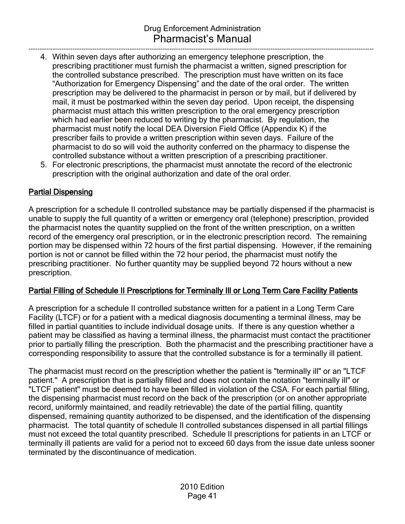- ------------------------------------------------------------------------------------------------------------------------------------------------------------- 4. Within seven days after authorizing an emergency telephone prescription, the prescribing practitioner must furnish the pharmacist a written, signed prescription for the controlled substance prescribed. The prescription must have written on its face "Authorization for Emergency Dispensing" and the date of the oral order. The written prescription may be delivered to the pharmacist in person or by mail, but if delivered by mail, it must be postmarked within the seven day period. Upon receipt, the dispensing pharmacist must attach this written prescription to the oral emergency prescription which had earlier been reduced to writing by the pharmacist. By regulation, the pharmacist must notify the local DEA Diversion Field Office (Appendix K) if the prescriber fails to provide a written prescription within seven days. Failure of the pharmacist to do so will void the authority conferred on the pharmacy to dispense the controlled substance without a written prescription of a prescribing practitioner.
	- 5. For electronic prescriptions, the pharmacist must annotate the record of the electronic prescription with the original authorization and date of the oral order.

# Partial Dispensing

A prescription for a schedule II controlled substance may be partially dispensed if the pharmacist is unable to supply the full quantity of a written or emergency oral (telephone) prescription, provided the pharmacist notes the quantity supplied on the front of the written prescription, on a written record of the emergency oral prescription, or in the electronic prescription record. The remaining portion may be dispensed within 72 hours of the first partial dispensing. However, if the remaining portion is not or cannot be filled within the 72 hour period, the pharmacist must notify the prescribing practitioner. No further quantity may be supplied beyond 72 hours without a new prescription.

# Partial Filling of Schedule II Prescriptions for Terminally Ill or Long Term Care Facility Patients

A prescription for a schedule II controlled substance written for a patient in a Long Term Care Facility (LTCF) or for a patient with a medical diagnosis documenting a terminal illness, may be filled in partial quantities to include individual dosage units. If there is any question whether a patient may be classified as having a terminal illness, the pharmacist must contact the practitioner prior to partially filling the prescription. Both the pharmacist and the prescribing practitioner have a corresponding responsibility to assure that the controlled substance is for a terminally ill patient.

The pharmacist must record on the prescription whether the patient is "terminally ill" or an "LTCF patient." A prescription that is partially filled and does not contain the notation "terminally ill" or "LTCF patient" must be deemed to have been filled in violation of the CSA. For each partial filling, the dispensing pharmacist must record on the back of the prescription (or on another appropriate record, uniformly maintained, and readily retrievable) the date of the partial filling, quantity dispensed, remaining quantity authorized to be dispensed, and the identification of the dispensing pharmacist. The total quantity of schedule II controlled substances dispensed in all partial fillings must not exceed the total quantity prescribed. Schedule II prescriptions for patients in an LTCF or terminally ill patients are valid for a period not to exceed 60 days from the issue date unless sooner terminated by the discontinuance of medication.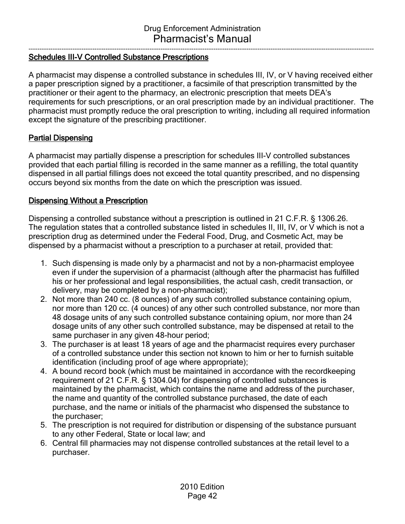#### ------------------------------------------------------------------------------------------------------------------------------------------------------------- Schedules III-V Controlled Substance Prescriptions

A pharmacist may dispense a controlled substance in schedules III, IV, or V having received either a paper prescription signed by a practitioner, a facsimile of that prescription transmitted by the practitioner or their agent to the pharmacy, an electronic prescription that meets DEA's requirements for such prescriptions, or an oral prescription made by an individual practitioner. The pharmacist must promptly reduce the oral prescription to writing, including all required information except the signature of the prescribing practitioner.

# Partial Dispensing

A pharmacist may partially dispense a prescription for schedules III-V controlled substances provided that each partial filling is recorded in the same manner as a refilling, the total quantity dispensed in all partial fillings does not exceed the total quantity prescribed, and no dispensing occurs beyond six months from the date on which the prescription was issued.

# Dispensing Without a Prescription

Dispensing a controlled substance without a prescription is outlined in 21 C.F.R. § 1306.26. The regulation states that a controlled substance listed in schedules II, III, IV, or V which is not a prescription drug as determined under the Federal Food, Drug, and Cosmetic Act, may be dispensed by a pharmacist without a prescription to a purchaser at retail, provided that:

- 1. Such dispensing is made only by a pharmacist and not by a non-pharmacist employee even if under the supervision of a pharmacist (although after the pharmacist has fulfilled his or her professional and legal responsibilities, the actual cash, credit transaction, or delivery, may be completed by a non-pharmacist);
- 2. Not more than 240 cc. (8 ounces) of any such controlled substance containing opium, nor more than 120 cc. (4 ounces) of any other such controlled substance, nor more than 48 dosage units of any such controlled substance containing opium, nor more than 24 dosage units of any other such controlled substance, may be dispensed at retail to the same purchaser in any given 48-hour period;
- 3. The purchaser is at least 18 years of age and the pharmacist requires every purchaser of a controlled substance under this section not known to him or her to furnish suitable identification (including proof of age where appropriate);
- 4. A bound record book (which must be maintained in accordance with the recordkeeping requirement of 21 C.F.R. § 1304.04) for dispensing of controlled substances is maintained by the pharmacist, which contains the name and address of the purchaser, the name and quantity of the controlled substance purchased, the date of each purchase, and the name or initials of the pharmacist who dispensed the substance to the purchaser;
- 5. The prescription is not required for distribution or dispensing of the substance pursuant to any other Federal, State or local law; and
- 6. Central fill pharmacies may not dispense controlled substances at the retail level to a purchaser.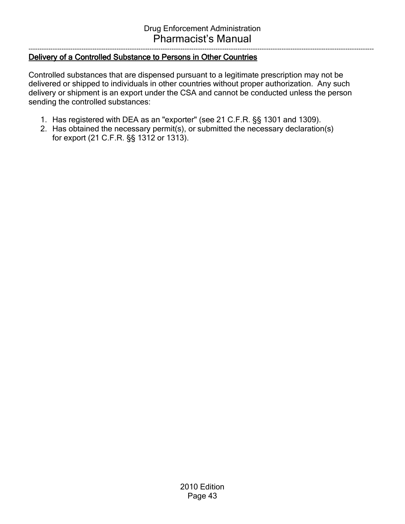#### ------------------------------------------------------------------------------------------------------------------------------------------------------------- Delivery of a Controlled Substance to Persons in Other Countries

Controlled substances that are dispensed pursuant to a legitimate prescription may not be delivered or shipped to individuals in other countries without proper authorization. Any such delivery or shipment is an export under the CSA and cannot be conducted unless the person sending the controlled substances:

- 1. Has registered with DEA as an "exporter" (see 21 C.F.R. §§ 1301 and 1309).
- 2. Has obtained the necessary permit(s), or submitted the necessary declaration(s) for export (21 C.F.R. §§ 1312 or 1313).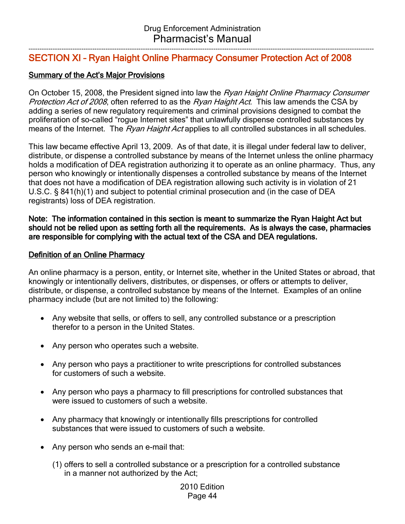#### ------------------------------------------------------------------------------------------------------------------------------------------------------------- SECTION XI – Ryan Haight Online Pharmacy Consumer Protection Act of 2008

# Summary of the Act's Major Provisions

On October 15, 2008, the President signed into law the Ryan Haight Online Pharmacy Consumer Protection Act of 2008, often referred to as the Ryan Haight Act. This law amends the CSA by adding a series of new regulatory requirements and criminal provisions designed to combat the proliferation of so-called "rogue Internet sites" that unlawfully dispense controlled substances by means of the Internet. The Ryan Haight Act applies to all controlled substances in all schedules.

This law became effective April 13, 2009. As of that date, it is illegal under federal law to deliver, distribute, or dispense a controlled substance by means of the Internet unless the online pharmacy holds a modification of DEA registration authorizing it to operate as an online pharmacy. Thus, any person who knowingly or intentionally dispenses a controlled substance by means of the Internet that does not have a modification of DEA registration allowing such activity is in violation of 21 U.S.C. § 841(h)(1) and subject to potential criminal prosecution and (in the case of DEA registrants) loss of DEA registration.

## Note: The information contained in this section is meant to summarize the Ryan Haight Act but should not be relied upon as setting forth all the requirements. As is always the case, pharmacies are responsible for complying with the actual text of the CSA and DEA regulations.

## Definition of an Online Pharmacy

An online pharmacy is a person, entity, or Internet site, whether in the United States or abroad, that knowingly or intentionally delivers, distributes, or dispenses, or offers or attempts to deliver, distribute, or dispense, a controlled substance by means of the Internet. Examples of an online pharmacy include (but are not limited to) the following:

- Any website that sells, or offers to sell, any controlled substance or a prescription therefor to a person in the United States.
- Any person who operates such a website.
- Any person who pays a practitioner to write prescriptions for controlled substances for customers of such a website.
- Any person who pays a pharmacy to fill prescriptions for controlled substances that were issued to customers of such a website.
- Any pharmacy that knowingly or intentionally fills prescriptions for controlled substances that were issued to customers of such a website.
- Any person who sends an e-mail that:
	- (1) offers to sell a controlled substance or a prescription for a controlled substance in a manner not authorized by the Act;

# 2010 Edition Page 44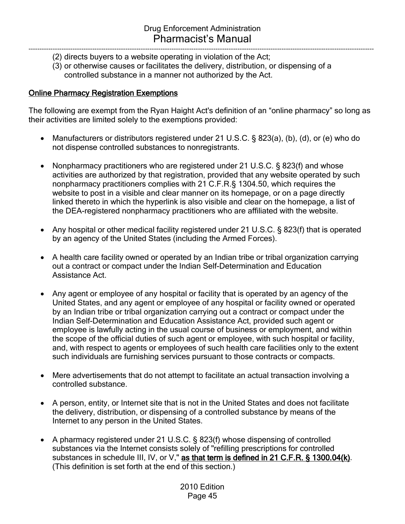- ------------------------------------------------------------------------------------------------------------------------------------------------------------- (2) directs buyers to a website operating in violation of the Act;
	- (3) or otherwise causes or facilitates the delivery, distribution, or dispensing of a controlled substance in a manner not authorized by the Act.

## Online Pharmacy Registration Exemptions

The following are exempt from the Ryan Haight Act's definition of an "online pharmacy" so long as their activities are limited solely to the exemptions provided:

- Manufacturers or distributors registered under 21 U.S.C. § 823(a), (b), (d), or (e) who do not dispense controlled substances to nonregistrants.
- Nonpharmacy practitioners who are registered under 21 U.S.C. § 823(f) and whose activities are authorized by that registration, provided that any website operated by such nonpharmacy practitioners complies with 21 C.F.R.§ 1304.50, which requires the website to post in a visible and clear manner on its homepage, or on a page directly linked thereto in which the hyperlink is also visible and clear on the homepage, a list of the DEA-registered nonpharmacy practitioners who are affiliated with the website.
- Any hospital or other medical facility registered under 21 U.S.C. § 823(f) that is operated by an agency of the United States (including the Armed Forces).
- A health care facility owned or operated by an Indian tribe or tribal organization carrying out a contract or compact under the Indian Self-Determination and Education Assistance Act.
- Any agent or employee of any hospital or facility that is operated by an agency of the United States, and any agent or employee of any hospital or facility owned or operated by an Indian tribe or tribal organization carrying out a contract or compact under the Indian Self-Determination and Education Assistance Act, provided such agent or employee is lawfully acting in the usual course of business or employment, and within the scope of the official duties of such agent or employee, with such hospital or facility, and, with respect to agents or employees of such health care facilities only to the extent such individuals are furnishing services pursuant to those contracts or compacts.
- Mere advertisements that do not attempt to facilitate an actual transaction involving a controlled substance.
- A person, entity, or Internet site that is not in the United States and does not facilitate the delivery, distribution, or dispensing of a controlled substance by means of the Internet to any person in the United States.
- A pharmacy registered under 21 U.S.C. § 823(f) whose dispensing of controlled substances via the Internet consists solely of "refilling prescriptions for controlled substances in schedule III, IV, or V," as that term is defined in 21 C.F.R. § 1300.04(k). (This definition is set forth at the end of this section.)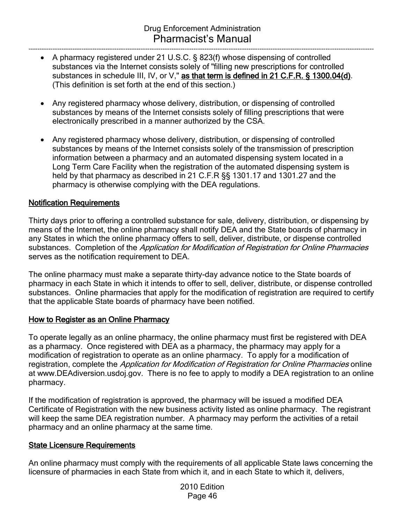- ------------------------------------------------------------------------------------------------------------------------------------------------------------- • A pharmacy registered under 21 U.S.C. § 823(f) whose dispensing of controlled substances via the Internet consists solely of "filling new prescriptions for controlled substances in schedule III, IV, or V," as that term is defined in 21 C.F.R. § 1300.04(d). (This definition is set forth at the end of this section.)
	- Any registered pharmacy whose delivery, distribution, or dispensing of controlled substances by means of the Internet consists solely of filling prescriptions that were electronically prescribed in a manner authorized by the CSA.
	- Any registered pharmacy whose delivery, distribution, or dispensing of controlled substances by means of the Internet consists solely of the transmission of prescription information between a pharmacy and an automated dispensing system located in a Long Term Care Facility when the registration of the automated dispensing system is held by that pharmacy as described in 21 C.F.R §§ 1301.17 and 1301.27 and the pharmacy is otherwise complying with the DEA regulations.

# Notification Requirements

Thirty days prior to offering a controlled substance for sale, delivery, distribution, or dispensing by means of the Internet, the online pharmacy shall notify DEA and the State boards of pharmacy in any States in which the online pharmacy offers to sell, deliver, distribute, or dispense controlled substances. Completion of the Application for Modification of Registration for Online Pharmacies serves as the notification requirement to DEA.

The online pharmacy must make a separate thirty-day advance notice to the State boards of pharmacy in each State in which it intends to offer to sell, deliver, distribute, or dispense controlled substances. Online pharmacies that apply for the modification of registration are required to certify that the applicable State boards of pharmacy have been notified.

## How to Register as an Online Pharmacy

To operate legally as an online pharmacy, the online pharmacy must first be registered with DEA as a pharmacy. Once registered with DEA as a pharmacy, the pharmacy may apply for a modification of registration to operate as an online pharmacy. To apply for a modification of registration, complete the Application for Modification of Registration for Online Pharmacies online at www.DEAdiversion.usdoj.gov. There is no fee to apply to modify a DEA registration to an online pharmacy.

If the modification of registration is approved, the pharmacy will be issued a modified DEA Certificate of Registration with the new business activity listed as online pharmacy. The registrant will keep the same DEA registration number. A pharmacy may perform the activities of a retail pharmacy and an online pharmacy at the same time.

# State Licensure Requirements

An online pharmacy must comply with the requirements of all applicable State laws concerning the licensure of pharmacies in each State from which it, and in each State to which it, delivers,

> 2010 Edition Page 46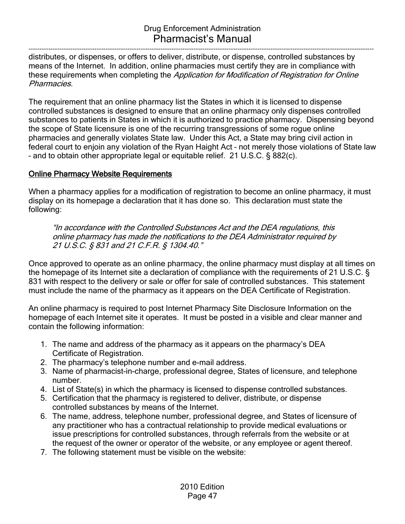------------------------------------------------------------------------------------------------------------------------------------------------------------ distributes, or dispenses, or offers to deliver, distribute, or dispense, controlled substances by means of the Internet. In addition, online pharmacies must certify they are in compliance with these requirements when completing the Application for Modification of Registration for Online Pharmacies.

The requirement that an online pharmacy list the States in which it is licensed to dispense controlled substances is designed to ensure that an online pharmacy only dispenses controlled substances to patients in States in which it is authorized to practice pharmacy. Dispensing beyond the scope of State licensure is one of the recurring transgressions of some rogue online pharmacies and generally violates State law. Under this Act, a State may bring civil action in federal court to enjoin any violation of the Ryan Haight Act – not merely those violations of State law – and to obtain other appropriate legal or equitable relief. 21 U.S.C. § 882(c).

# Online Pharmacy Website Requirements

When a pharmacy applies for a modification of registration to become an online pharmacy, it must display on its homepage a declaration that it has done so. This declaration must state the following:

"In accordance with the Controlled Substances Act and the DEA regulations, this online pharmacy has made the notifications to the DEA Administrator required by 21 U.S.C. § 831 and 21 C.F.R. § 1304.40."

Once approved to operate as an online pharmacy, the online pharmacy must display at all times on the homepage of its Internet site a declaration of compliance with the requirements of 21 U.S.C. § 831 with respect to the delivery or sale or offer for sale of controlled substances. This statement must include the name of the pharmacy as it appears on the DEA Certificate of Registration.

An online pharmacy is required to post Internet Pharmacy Site Disclosure Information on the homepage of each Internet site it operates. It must be posted in a visible and clear manner and contain the following information:

- 1. The name and address of the pharmacy as it appears on the pharmacy's DEA Certificate of Registration.
- 2. The pharmacy's telephone number and e-mail address.
- 3. Name of pharmacist-in-charge, professional degree, States of licensure, and telephone number.
- 4. List of State(s) in which the pharmacy is licensed to dispense controlled substances.
- 5. Certification that the pharmacy is registered to deliver, distribute, or dispense controlled substances by means of the Internet.
- 6. The name, address, telephone number, professional degree, and States of licensure of any practitioner who has a contractual relationship to provide medical evaluations or issue prescriptions for controlled substances, through referrals from the website or at the request of the owner or operator of the website, or any employee or agent thereof.
- 7. The following statement must be visible on the website: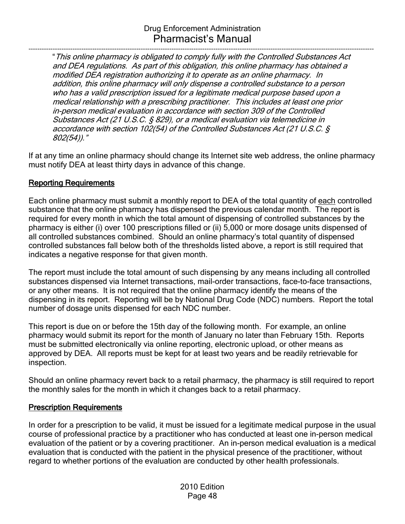------------------------------------------------------------------------------------------------------------------------------------------------------------- "This online pharmacy is obligated to comply fully with the Controlled Substances Act and DEA regulations. As part of this obligation, this online pharmacy has obtained a modified DEA registration authorizing it to operate as an online pharmacy. In addition, this online pharmacy will only dispense a controlled substance to a person who has a valid prescription issued for a legitimate medical purpose based upon a medical relationship with a prescribing practitioner. This includes at least one prior in-person medical evaluation in accordance with section 309 of the Controlled Substances Act (21 U.S.C. § 829), or a medical evaluation via telemedicine in accordance with section 102(54) of the Controlled Substances Act (21 U.S.C. § 802(54))."

If at any time an online pharmacy should change its Internet site web address, the online pharmacy must notify DEA at least thirty days in advance of this change.

# Reporting Requirements

Each online pharmacy must submit a monthly report to DEA of the total quantity of each controlled substance that the online pharmacy has dispensed the previous calendar month. The report is required for every month in which the total amount of dispensing of controlled substances by the pharmacy is either (i) over 100 prescriptions filled or (ii) 5,000 or more dosage units dispensed of all controlled substances combined. Should an online pharmacy's total quantity of dispensed controlled substances fall below both of the thresholds listed above, a report is still required that indicates a negative response for that given month.

The report must include the total amount of such dispensing by any means including all controlled substances dispensed via Internet transactions, mail-order transactions, face-to-face transactions, or any other means. It is not required that the online pharmacy identify the means of the dispensing in its report. Reporting will be by National Drug Code (NDC) numbers. Report the total number of dosage units dispensed for each NDC number.

This report is due on or before the 15th day of the following month. For example, an online pharmacy would submit its report for the month of January no later than February 15th. Reports must be submitted electronically via online reporting, electronic upload, or other means as approved by DEA. All reports must be kept for at least two years and be readily retrievable for inspection.

Should an online pharmacy revert back to a retail pharmacy, the pharmacy is still required to report the monthly sales for the month in which it changes back to a retail pharmacy.

## **Prescription Requirements**

In order for a prescription to be valid, it must be issued for a legitimate medical purpose in the usual course of professional practice by a practitioner who has conducted at least one in-person medical evaluation of the patient or by a covering practitioner. An in-person medical evaluation is a medical evaluation that is conducted with the patient in the physical presence of the practitioner, without regard to whether portions of the evaluation are conducted by other health professionals.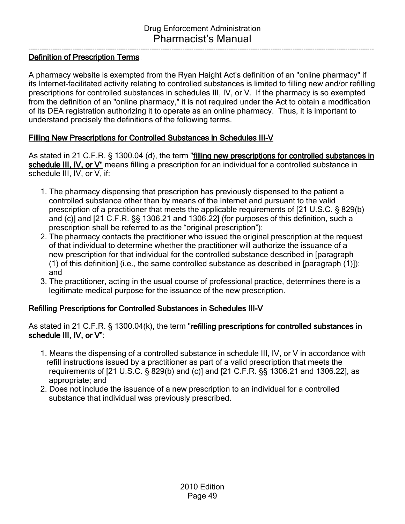#### ------------------------------------------------------------------------------------------------------------------------------------------------------------- Definition of Prescription Terms

A pharmacy website is exempted from the Ryan Haight Act's definition of an "online pharmacy" if its Internet-facilitated activity relating to controlled substances is limited to filling new and/or refilling prescriptions for controlled substances in schedules III, IV, or V. If the pharmacy is so exempted from the definition of an "online pharmacy," it is not required under the Act to obtain a modification of its DEA registration authorizing it to operate as an online pharmacy. Thus, it is important to understand precisely the definitions of the following terms.

## Filling New Prescriptions for Controlled Substances in Schedules III-V

As stated in 21 C.F.R. § 1300.04 (d), the term "filling new prescriptions for controlled substances in schedule III, IV, or V" means filling a prescription for an individual for a controlled substance in schedule III, IV, or V, if:

- 1. The pharmacy dispensing that prescription has previously dispensed to the patient a controlled substance other than by means of the Internet and pursuant to the valid prescription of a practitioner that meets the applicable requirements of [21 U.S.C. § 829(b) and (c)] and [21 C.F.R. §§ 1306.21 and 1306.22] (for purposes of this definition, such a prescription shall be referred to as the "original prescription");
- 2. The pharmacy contacts the practitioner who issued the original prescription at the request of that individual to determine whether the practitioner will authorize the issuance of a new prescription for that individual for the controlled substance described in [paragraph (1) of this definition] (i.e., the same controlled substance as described in [paragraph (1)]); and
- 3. The practitioner, acting in the usual course of professional practice, determines there is a legitimate medical purpose for the issuance of the new prescription.

# Refilling Prescriptions for Controlled Substances in Schedules III-V

## As stated in 21 C.F.R. § 1300.04(k), the term "refilling prescriptions for controlled substances in schedule III, IV, or V":

- 1. Means the dispensing of a controlled substance in schedule III, IV, or V in accordance with refill instructions issued by a practitioner as part of a valid prescription that meets the requirements of [21 U.S.C. § 829(b) and (c)] and [21 C.F.R. §§ 1306.21 and 1306.22], as appropriate; and
- 2. Does not include the issuance of a new prescription to an individual for a controlled substance that individual was previously prescribed.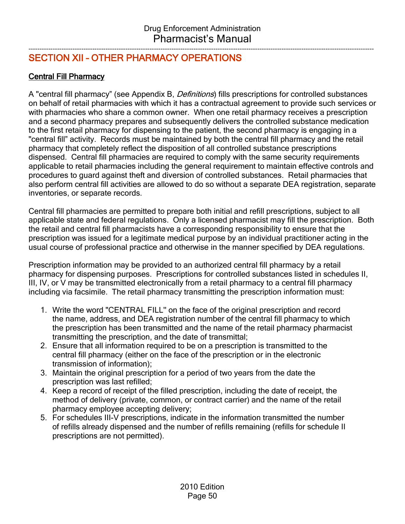#### ------------------------------------------------------------------------------------------------------------------------------------------------------------- SECTION XII – OTHER PHARMACY OPERATIONS

# Central Fill Pharmacy

A "central fill pharmacy" (see Appendix B, *Definitions*) fills prescriptions for controlled substances on behalf of retail pharmacies with which it has a contractual agreement to provide such services or with pharmacies who share a common owner. When one retail pharmacy receives a prescription and a second pharmacy prepares and subsequently delivers the controlled substance medication to the first retail pharmacy for dispensing to the patient, the second pharmacy is engaging in a "central fill" activity. Records must be maintained by both the central fill pharmacy and the retail pharmacy that completely reflect the disposition of all controlled substance prescriptions dispensed. Central fill pharmacies are required to comply with the same security requirements applicable to retail pharmacies including the general requirement to maintain effective controls and procedures to guard against theft and diversion of controlled substances. Retail pharmacies that also perform central fill activities are allowed to do so without a separate DEA registration, separate inventories, or separate records.

Central fill pharmacies are permitted to prepare both initial and refill prescriptions, subject to all applicable state and federal regulations. Only a licensed pharmacist may fill the prescription. Both the retail and central fill pharmacists have a corresponding responsibility to ensure that the prescription was issued for a legitimate medical purpose by an individual practitioner acting in the usual course of professional practice and otherwise in the manner specified by DEA regulations.

Prescription information may be provided to an authorized central fill pharmacy by a retail pharmacy for dispensing purposes. Prescriptions for controlled substances listed in schedules II, III, IV, or V may be transmitted electronically from a retail pharmacy to a central fill pharmacy including via facsimile. The retail pharmacy transmitting the prescription information must:

- 1. Write the word "CENTRAL FILL'' on the face of the original prescription and record the name, address, and DEA registration number of the central fill pharmacy to which the prescription has been transmitted and the name of the retail pharmacy pharmacist transmitting the prescription, and the date of transmittal;
- 2. Ensure that all information required to be on a prescription is transmitted to the central fill pharmacy (either on the face of the prescription or in the electronic transmission of information);
- 3. Maintain the original prescription for a period of two years from the date the prescription was last refilled;
- 4. Keep a record of receipt of the filled prescription, including the date of receipt, the method of delivery (private, common, or contract carrier) and the name of the retail pharmacy employee accepting delivery;
- 5. For schedules III-V prescriptions, indicate in the information transmitted the number of refills already dispensed and the number of refills remaining (refills for schedule II prescriptions are not permitted).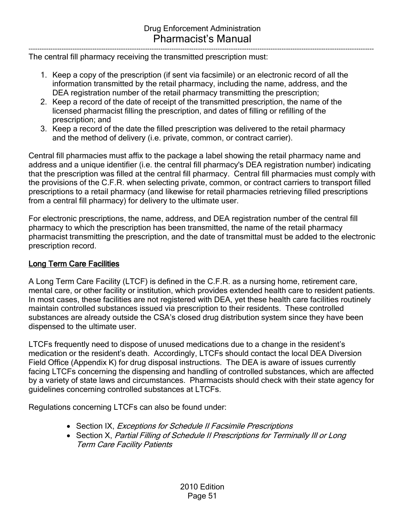------------------------------------------------------------------------------------------------------------------------------------------------------------- The central fill pharmacy receiving the transmitted prescription must:

- 1. Keep a copy of the prescription (if sent via facsimile) or an electronic record of all the information transmitted by the retail pharmacy, including the name, address, and the DEA registration number of the retail pharmacy transmitting the prescription;
- 2. Keep a record of the date of receipt of the transmitted prescription, the name of the licensed pharmacist filling the prescription, and dates of filling or refilling of the prescription; and
- 3. Keep a record of the date the filled prescription was delivered to the retail pharmacy and the method of delivery (i.e. private, common, or contract carrier).

Central fill pharmacies must affix to the package a label showing the retail pharmacy name and address and a unique identifier (i.e. the central fill pharmacy's DEA registration number) indicating that the prescription was filled at the central fill pharmacy. Central fill pharmacies must comply with the provisions of the C.F.R. when selecting private, common, or contract carriers to transport filled prescriptions to a retail pharmacy (and likewise for retail pharmacies retrieving filled prescriptions from a central fill pharmacy) for delivery to the ultimate user.

For electronic prescriptions, the name, address, and DEA registration number of the central fill pharmacy to which the prescription has been transmitted, the name of the retail pharmacy pharmacist transmitting the prescription, and the date of transmittal must be added to the electronic prescription record.

## Long Term Care Facilities

A Long Term Care Facility (LTCF) is defined in the C.F.R. as a nursing home, retirement care, mental care, or other facility or institution, which provides extended health care to resident patients. In most cases, these facilities are not registered with DEA, yet these health care facilities routinely maintain controlled substances issued via prescription to their residents. These controlled substances are already outside the CSA's closed drug distribution system since they have been dispensed to the ultimate user.

LTCFs frequently need to dispose of unused medications due to a change in the resident's medication or the resident's death. Accordingly, LTCFs should contact the local DEA Diversion Field Office (Appendix K) for drug disposal instructions. The DEA is aware of issues currently facing LTCFs concerning the dispensing and handling of controlled substances, which are affected by a variety of state laws and circumstances. Pharmacists should check with their state agency for guidelines concerning controlled substances at LTCFs.

Regulations concerning LTCFs can also be found under:

- Section IX, Exceptions for Schedule II Facsimile Prescriptions
- Section X, Partial Filling of Schedule II Prescriptions for Terminally III or Long Term Care Facility Patients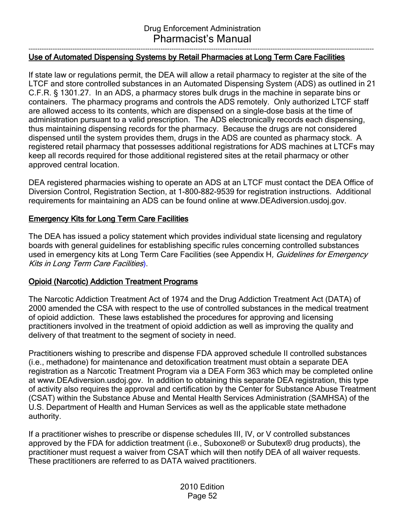#### ------------------------------------------------------------------------------------------------------------------------------------------------------------- Use of Automated Dispensing Systems by Retail Pharmacies at Long Term Care Facilities

If state law or regulations permit, the DEA will allow a retail pharmacy to register at the site of the LTCF and store controlled substances in an Automated Dispensing System (ADS) as outlined in 21 C.F.R. § 1301.27. In an ADS, a pharmacy stores bulk drugs in the machine in separate bins or containers. The pharmacy programs and controls the ADS remotely. Only authorized LTCF staff are allowed access to its contents, which are dispensed on a single-dose basis at the time of administration pursuant to a valid prescription. The ADS electronically records each dispensing, thus maintaining dispensing records for the pharmacy. Because the drugs are not considered dispensed until the system provides them, drugs in the ADS are counted as pharmacy stock. A registered retail pharmacy that possesses additional registrations for ADS machines at LTCFs may keep all records required for those additional registered sites at the retail pharmacy or other approved central location.

DEA registered pharmacies wishing to operate an ADS at an LTCF must contact the DEA Office of Diversion Control, Registration Section, at 1-800-882-9539 for registration instructions. Additional requirements for maintaining an ADS can be found online at www.DEAdiversion.usdoj.gov.

# Emergency Kits for Long Term Care Facilities

The DEA has issued a policy statement which provides individual state licensing and regulatory boards with general guidelines for establishing specific rules concerning controlled substances used in emergency kits at Long Term Care Facilities (see Appendix H, Guidelines for Emergency Kits in Long Term Care Facilities).

## Opioid (Narcotic) Addiction Treatment Programs

The Narcotic Addiction Treatment Act of 1974 and the Drug Addiction Treatment Act (DATA) of 2000 amended the CSA with respect to the use of controlled substances in the medical treatment of opioid addiction. These laws established the procedures for approving and licensing practitioners involved in the treatment of opioid addiction as well as improving the quality and delivery of that treatment to the segment of society in need.

Practitioners wishing to prescribe and dispense FDA approved schedule II controlled substances (i.e., methadone) for maintenance and detoxification treatment must obtain a separate DEA registration as a Narcotic Treatment Program via a DEA Form 363 which may be completed online at www.DEAdiversion.usdoj.gov. In addition to obtaining this separate DEA registration, this type of activity also requires the approval and certification by the Center for Substance Abuse Treatment (CSAT) within the Substance Abuse and Mental Health Services Administration (SAMHSA) of the U.S. Department of Health and Human Services as well as the applicable state methadone authority.

If a practitioner wishes to prescribe or dispense schedules III, IV, or V controlled substances approved by the FDA for addiction treatment (i.e., Suboxone® or Subutex® drug products), the practitioner must request a waiver from CSAT which will then notify DEA of all waiver requests. These practitioners are referred to as DATA waived practitioners.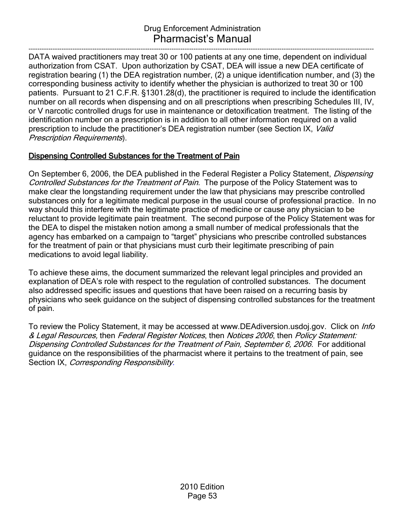# Drug Enforcement Administration Pharmacist's Manual

------------------------------------------------------------------------------------------------------------------------------------------------------------- DATA waived practitioners may treat 30 or 100 patients at any one time, dependent on individual authorization from CSAT. Upon authorization by CSAT, DEA will issue a new DEA certificate of registration bearing (1) the DEA registration number, (2) a unique identification number, and (3) the corresponding business activity to identify whether the physician is authorized to treat 30 or 100 patients. Pursuant to 21 C.F.R. §1301.28(d), the practitioner is required to include the identification number on all records when dispensing and on all prescriptions when prescribing Schedules III, IV, or V narcotic controlled drugs for use in maintenance or detoxification treatment. The listing of the identification number on a prescription is in addition to all other information required on a valid prescription to include the practitioner's DEA registration number (see Section IX, Valid Prescription Requirements).

# Dispensing Controlled Substances for the Treatment of Pain

On September 6, 2006, the DEA published in the Federal Register a Policy Statement, *Dispensing* Controlled Substances for the Treatment of Pain. The purpose of the Policy Statement was to make clear the longstanding requirement under the law that physicians may prescribe controlled substances only for a legitimate medical purpose in the usual course of professional practice. In no way should this interfere with the legitimate practice of medicine or cause any physician to be reluctant to provide legitimate pain treatment. The second purpose of the Policy Statement was for the DEA to dispel the mistaken notion among a small number of medical professionals that the agency has embarked on a campaign to "target" physicians who prescribe controlled substances for the treatment of pain or that physicians must curb their legitimate prescribing of pain medications to avoid legal liability.

To achieve these aims, the document summarized the relevant legal principles and provided an explanation of DEA's role with respect to the regulation of controlled substances. The document also addressed specific issues and questions that have been raised on a recurring basis by physicians who seek guidance on the subject of dispensing controlled substances for the treatment of pain.

To review the Policy Statement, it may be accessed at www.DEAdiversion.usdoj.gov. Click on *Info* & Legal Resources, then Federal Register Notices, then Notices 2006, then Policy Statement: Dispensing Controlled Substances for the Treatment of Pain, September 6, 2006. For additional guidance on the responsibilities of the pharmacist where it pertains to the treatment of pain, see Section IX, Corresponding Responsibility.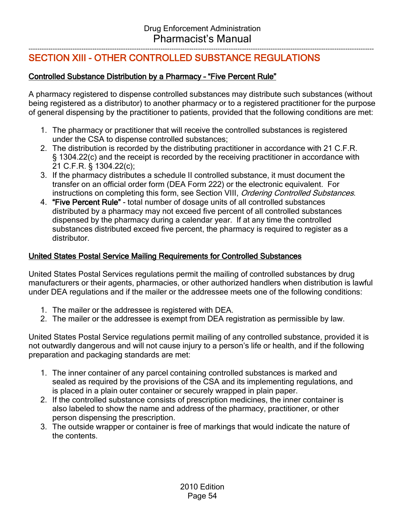#### ------------------------------------------------------------------------------------------------------------------------------------------------------------- SECTION XIII - OTHER CONTROLLED SUBSTANCE REGULATIONS

# Controlled Substance Distribution by a Pharmacy – "Five Percent Rule"

A pharmacy registered to dispense controlled substances may distribute such substances (without being registered as a distributor) to another pharmacy or to a registered practitioner for the purpose of general dispensing by the practitioner to patients, provided that the following conditions are met:

- 1. The pharmacy or practitioner that will receive the controlled substances is registered under the CSA to dispense controlled substances;
- 2. The distribution is recorded by the distributing practitioner in accordance with 21 C.F.R. § 1304.22(c) and the receipt is recorded by the receiving practitioner in accordance with 21 C.F.R. § 1304.22(c);
- 3. If the pharmacy distributes a schedule II controlled substance, it must document the transfer on an official order form (DEA Form 222) or the electronic equivalent. For instructions on completing this form, see Section VIII, Ordering Controlled Substances.
- 4. "Five Percent Rule" total number of dosage units of all controlled substances distributed by a pharmacy may not exceed five percent of all controlled substances dispensed by the pharmacy during a calendar year. If at any time the controlled substances distributed exceed five percent, the pharmacy is required to register as a distributor.

# United States Postal Service Mailing Requirements for Controlled Substances

United States Postal Services regulations permit the mailing of controlled substances by drug manufacturers or their agents, pharmacies, or other authorized handlers when distribution is lawful under DEA regulations and if the mailer or the addressee meets one of the following conditions:

- 1. The mailer or the addressee is registered with DEA.
- 2. The mailer or the addressee is exempt from DEA registration as permissible by law.

United States Postal Service regulations permit mailing of any controlled substance, provided it is not outwardly dangerous and will not cause injury to a person's life or health, and if the following preparation and packaging standards are met:

- 1. The inner container of any parcel containing controlled substances is marked and sealed as required by the provisions of the CSA and its implementing regulations, and is placed in a plain outer container or securely wrapped in plain paper.
- 2. If the controlled substance consists of prescription medicines, the inner container is also labeled to show the name and address of the pharmacy, practitioner, or other person dispensing the prescription.
- 3. The outside wrapper or container is free of markings that would indicate the nature of the contents.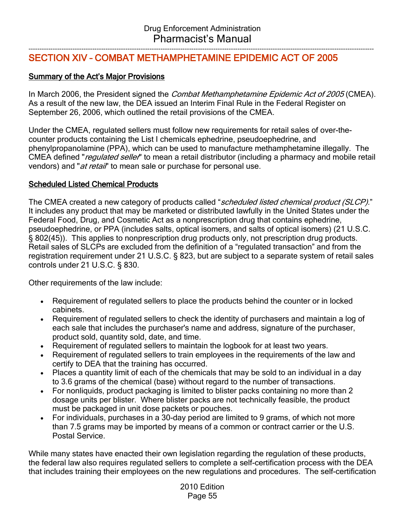#### ------------------------------------------------------------------------------------------------------------------------------------------------------------- SECTION XIV – COMBAT METHAMPHETAMINE EPIDEMIC ACT OF 2005

# Summary of the Act's Major Provisions

In March 2006, the President signed the *Combat Methamphetamine Epidemic Act of 2005* (CMEA). As a result of the new law, the DEA issued an Interim Final Rule in the Federal Register on September 26, 2006, which outlined the retail provisions of the CMEA.

Under the CMEA, regulated sellers must follow new requirements for retail sales of over-thecounter products containing the List I chemicals ephedrine, pseudoephedrine, and phenylpropanolamine (PPA), which can be used to manufacture methamphetamine illegally. The CMEA defined "*regulated seller*" to mean a retail distributor (including a pharmacy and mobile retail vendors) and "*at retail*" to mean sale or purchase for personal use.

# Scheduled Listed Chemical Products

The CMEA created a new category of products called "scheduled listed chemical product (SLCP)." It includes any product that may be marketed or distributed lawfully in the United States under the Federal Food, Drug, and Cosmetic Act as a nonprescription drug that contains ephedrine, pseudoephedrine, or PPA (includes salts, optical isomers, and salts of optical isomers) (21 U.S.C. § 802(45)). This applies to nonprescription drug products only, not prescription drug products. Retail sales of SLCPs are excluded from the definition of a "regulated transaction" and from the registration requirement under 21 U.S.C. § 823, but are subject to a separate system of retail sales controls under 21 U.S.C. § 830.

Other requirements of the law include:

- Requirement of regulated sellers to place the products behind the counter or in locked cabinets.
- Requirement of regulated sellers to check the identity of purchasers and maintain a log of each sale that includes the purchaser's name and address, signature of the purchaser, product sold, quantity sold, date, and time.
- Requirement of regulated sellers to maintain the logbook for at least two years.
- Requirement of regulated sellers to train employees in the requirements of the law and certify to DEA that the training has occurred.
- Places a quantity limit of each of the chemicals that may be sold to an individual in a day to 3.6 grams of the chemical (base) without regard to the number of transactions.
- For nonliquids, product packaging is limited to blister packs containing no more than 2 dosage units per blister. Where blister packs are not technically feasible, the product must be packaged in unit dose packets or pouches.
- For individuals, purchases in a 30-day period are limited to 9 grams, of which not more than 7.5 grams may be imported by means of a common or contract carrier or the U.S. Postal Service.

While many states have enacted their own legislation regarding the regulation of these products, the federal law also requires regulated sellers to complete a self-certification process with the DEA that includes training their employees on the new regulations and procedures. The self-certification

> 2010 Edition Page 55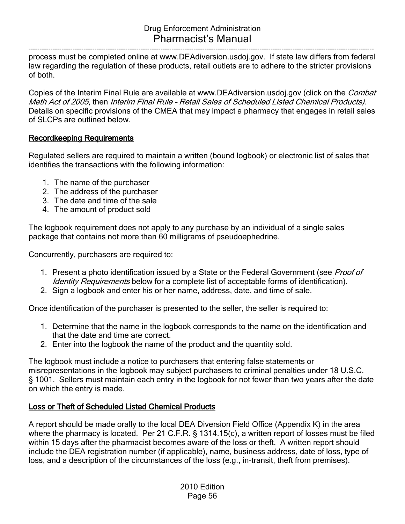------------------------------------------------------------------------------------------------------------------------------------------------------------ process must be completed online at www.DEAdiversion.usdoj.gov. If state law differs from federal law regarding the regulation of these products, retail outlets are to adhere to the stricter provisions of both.

Copies of the Interim Final Rule are available at www.DEAdiversion.usdoj.gov (click on the *Combat* Meth Act of 2005, then Interim Final Rule – Retail Sales of Scheduled Listed Chemical Products). Details on specific provisions of the CMEA that may impact a pharmacy that engages in retail sales of SLCPs are outlined below.

# Recordkeeping Requirements

Regulated sellers are required to maintain a written (bound logbook) or electronic list of sales that identifies the transactions with the following information:

- 1. The name of the purchaser
- 2. The address of the purchaser
- 3. The date and time of the sale
- 4. The amount of product sold

The logbook requirement does not apply to any purchase by an individual of a single sales package that contains not more than 60 milligrams of pseudoephedrine.

Concurrently, purchasers are required to:

- 1. Present a photo identification issued by a State or the Federal Government (see *Proof of* Identity Requirements below for a complete list of acceptable forms of identification).
- 2. Sign a logbook and enter his or her name, address, date, and time of sale.

Once identification of the purchaser is presented to the seller, the seller is required to:

- 1. Determine that the name in the logbook corresponds to the name on the identification and that the date and time are correct.
- 2. Enter into the logbook the name of the product and the quantity sold.

The logbook must include a notice to purchasers that entering false statements or misrepresentations in the logbook may subject purchasers to criminal penalties under 18 U.S.C. § 1001. Sellers must maintain each entry in the logbook for not fewer than two years after the date on which the entry is made.

# Loss or Theft of Scheduled Listed Chemical Products

A report should be made orally to the local DEA Diversion Field Office (Appendix K) in the area where the pharmacy is located. Per 21 C.F.R. § 1314.15(c), a written report of losses must be filed within 15 days after the pharmacist becomes aware of the loss or theft. A written report should include the DEA registration number (if applicable), name, business address, date of loss, type of loss, and a description of the circumstances of the loss (e.g., in-transit, theft from premises).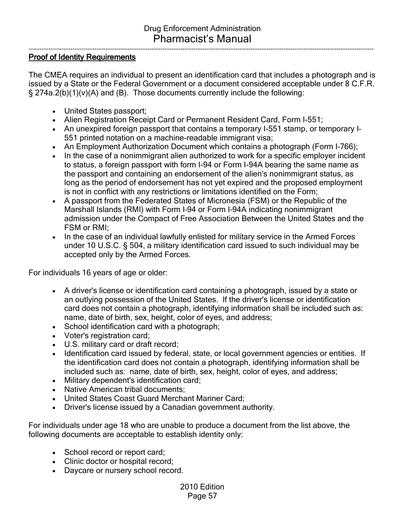#### ------------------------------------------------------------------------------------------------------------------------------------------------------------- Proof of Identity Requirements

The CMEA requires an individual to present an identification card that includes a photograph and is issued by a State or the Federal Government or a document considered acceptable under 8 C.F.R. § 274a.2(b)(1)(v)(A) and (B). Those documents currently include the following:

- United States passport;
- Alien Registration Receipt Card or Permanent Resident Card, Form I-551;
- An unexpired foreign passport that contains a temporary I-551 stamp, or temporary I-551 printed notation on a machine-readable immigrant visa;
- An Employment Authorization Document which contains a photograph (Form I-766);
- In the case of a nonimmigrant alien authorized to work for a specific employer incident to status, a foreign passport with form I-94 or Form I-94A bearing the same name as the passport and containing an endorsement of the alien's nonimmigrant status, as long as the period of endorsement has not yet expired and the proposed employment is not in conflict with any restrictions or limitations identified on the Form;
- A passport from the Federated States of Micronesia (FSM) or the Republic of the Marshall Islands (RMI) with Form I–94 or Form I–94A indicating nonimmigrant admission under the Compact of Free Association Between the United States and the FSM or RMI;
- In the case of an individual lawfully enlisted for military service in the Armed Forces under 10 U.S.C. § 504, a military identification card issued to such individual may be accepted only by the Armed Forces.

For individuals 16 years of age or older:

- A driver's license or identification card containing a photograph, issued by a state or an outlying possession of the United States. If the driver's license or identification card does not contain a photograph, identifying information shall be included such as: name, date of birth, sex, height, color of eyes, and address;
- School identification card with a photograph;
- Voter's registration card;
- U.S. military card or draft record;
- Identification card issued by federal, state, or local government agencies or entities. If the identification card does not contain a photograph, identifying information shall be included such as: name, date of birth, sex, height, color of eyes, and address;
- Military dependent's identification card;
- Native American tribal documents;
- United States Coast Guard Merchant Mariner Card;
- Driver's license issued by a Canadian government authority.

For individuals under age 18 who are unable to produce a document from the list above, the following documents are acceptable to establish identity only:

- School record or report card;
- Clinic doctor or hospital record;
- Daycare or nursery school record.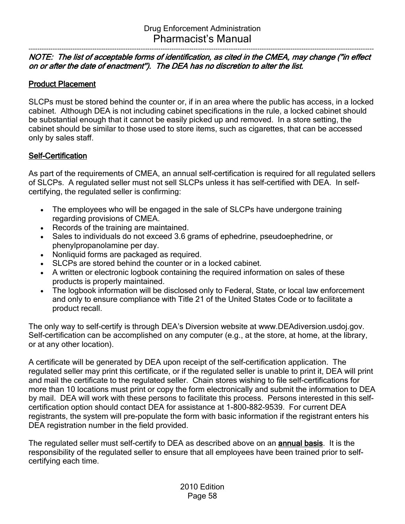#### ------------------------------------------------------------------------------------------------------------------------------------------------------------- NOTE: The list of acceptable forms of identification, as cited in the CMEA, may change ("in effect on or after the date of enactment''). The DEA has no discretion to alter the list.

# Product Placement

SLCPs must be stored behind the counter or, if in an area where the public has access, in a locked cabinet. Although DEA is not including cabinet specifications in the rule, a locked cabinet should be substantial enough that it cannot be easily picked up and removed. In a store setting, the cabinet should be similar to those used to store items, such as cigarettes, that can be accessed only by sales staff.

# Self-Certification

As part of the requirements of CMEA, an annual self-certification is required for all regulated sellers of SLCPs. A regulated seller must not sell SLCPs unless it has self-certified with DEA. In selfcertifying, the regulated seller is confirming:

- The employees who will be engaged in the sale of SLCPs have undergone training regarding provisions of CMEA.
- Records of the training are maintained.
- Sales to individuals do not exceed 3.6 grams of ephedrine, pseudoephedrine, or phenylpropanolamine per day.
- Nonliquid forms are packaged as required.
- SLCPs are stored behind the counter or in a locked cabinet.
- A written or electronic logbook containing the required information on sales of these products is properly maintained.
- The logbook information will be disclosed only to Federal, State, or local law enforcement and only to ensure compliance with Title 21 of the United States Code or to facilitate a product recall.

The only way to self-certify is through DEA's Diversion website at www.DEAdiversion.usdoj.gov. Self-certification can be accomplished on any computer (e.g., at the store, at home, at the library, or at any other location).

A certificate will be generated by DEA upon receipt of the self-certification application. The regulated seller may print this certificate, or if the regulated seller is unable to print it, DEA will print and mail the certificate to the regulated seller. Chain stores wishing to file self-certifications for more than 10 locations must print or copy the form electronically and submit the information to DEA by mail. DEA will work with these persons to facilitate this process. Persons interested in this selfcertification option should contact DEA for assistance at 1-800-882-9539. For current DEA registrants, the system will pre-populate the form with basic information if the registrant enters his DEA registration number in the field provided.

The regulated seller must self-certify to DEA as described above on an **annual basis**. It is the responsibility of the regulated seller to ensure that all employees have been trained prior to selfcertifying each time.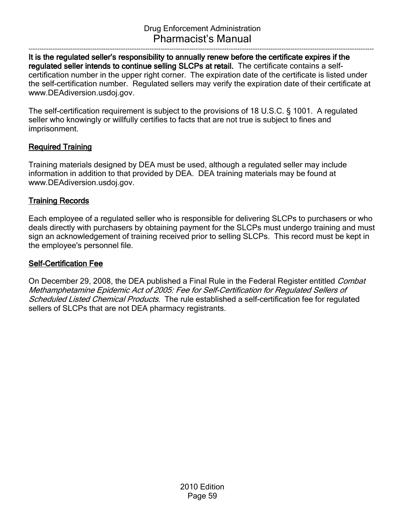------------------------------------------------------------------------------------------------------------------------------------------------------------- It is the regulated seller's responsibility to annually renew before the certificate expires if the regulated seller intends to continue selling SLCPs at retail. The certificate contains a selfcertification number in the upper right corner. The expiration date of the certificate is listed under the self-certification number. Regulated sellers may verify the expiration date of their certificate at www.DEAdiversion.usdoj.gov.

The self-certification requirement is subject to the provisions of 18 U.S.C. § 1001. A regulated seller who knowingly or willfully certifies to facts that are not true is subject to fines and imprisonment.

# Required Training

Training materials designed by DEA must be used, although a regulated seller may include information in addition to that provided by DEA. DEA training materials may be found at www.DEAdiversion.usdoj.gov.

# Training Records

Each employee of a regulated seller who is responsible for delivering SLCPs to purchasers or who deals directly with purchasers by obtaining payment for the SLCPs must undergo training and must sign an acknowledgement of training received prior to selling SLCPs. This record must be kept in the employee's personnel file.

# Self-Certification Fee

On December 29, 2008, the DEA published a Final Rule in the Federal Register entitled Combat Methamphetamine Epidemic Act of 2005: Fee for Self-Certification for Regulated Sellers of Scheduled Listed Chemical Products. The rule established a self-certification fee for regulated sellers of SLCPs that are not DEA pharmacy registrants.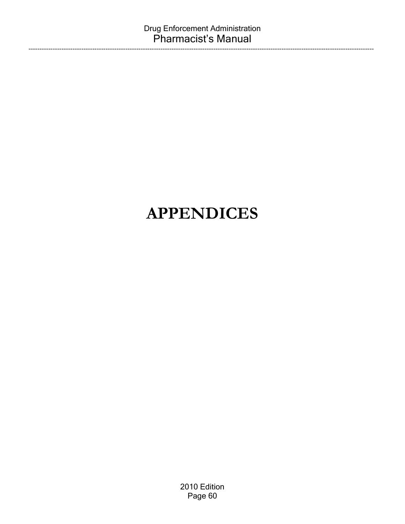-------------------------------------------------------------------------------------------------------------------------------------------------------------

# **APPENDICES**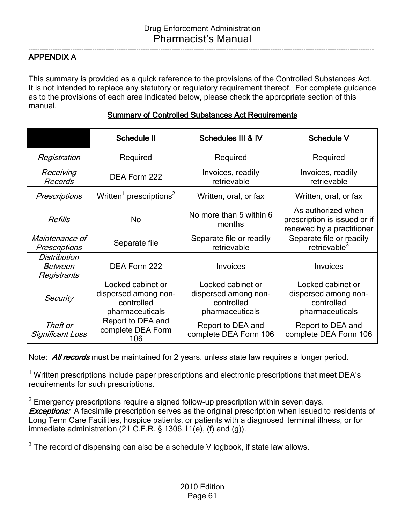#### ------------------------------------------------------------------------------------------------------------------------------------------------------------- APPENDIX A

 $\overline{a}$ 

This summary is provided as a quick reference to the provisions of the Controlled Substances Act. It is not intended to replace any statutory or regulatory requirement thereof. For complete guidance as to the provisions of each area indicated below, please check the appropriate section of this manual.

## Summary of Controlled Substances Act Requirements

|                                               | <b>Schedule II</b>                                                         | Schedules III & IV                                                         | <b>Schedule V</b>                                                               |
|-----------------------------------------------|----------------------------------------------------------------------------|----------------------------------------------------------------------------|---------------------------------------------------------------------------------|
| Registration                                  | Required                                                                   | Required                                                                   | Required                                                                        |
| Receiving<br>Records                          | DEA Form 222                                                               | Invoices, readily<br>retrievable                                           | Invoices, readily<br>retrievable                                                |
| Prescriptions                                 | Written <sup>1</sup> prescriptions <sup>2</sup>                            | Written, oral, or fax                                                      | Written, oral, or fax                                                           |
| Refills                                       | <b>No</b>                                                                  | No more than 5 within 6<br>months                                          | As authorized when<br>prescription is issued or if<br>renewed by a practitioner |
| Maintenance of<br>Prescriptions               | Separate file                                                              | Separate file or readily<br>retrievable                                    | Separate file or readily<br>retrievable $3$                                     |
| <b>Distribution</b><br>Between<br>Registrants | DEA Form 222                                                               | <b>Invoices</b>                                                            | Invoices                                                                        |
| Security                                      | Locked cabinet or<br>dispersed among non-<br>controlled<br>pharmaceuticals | Locked cabinet or<br>dispersed among non-<br>controlled<br>pharmaceuticals | Locked cabinet or<br>dispersed among non-<br>controlled<br>pharmaceuticals      |
| Theft or<br>Significant Loss                  | Report to DEA and<br>complete DEA Form<br>106                              | Report to DEA and<br>complete DEA Form 106                                 | Report to DEA and<br>complete DEA Form 106                                      |

Note: *All records* must be maintained for 2 years, unless state law requires a longer period.

<sup>1</sup> Written prescriptions include paper prescriptions and electronic prescriptions that meet DEA's requirements for such prescriptions.

 $2$  Emergency prescriptions require a signed follow-up prescription within seven days. **Exceptions:** A facsimile prescription serves as the original prescription when issued to residents of Long Term Care Facilities, hospice patients, or patients with a diagnosed terminal illness, or for immediate administration (21 C.F.R. § 1306.11(e), (f) and (g)).

 $^3$  The record of dispensing can also be a schedule V logbook, if state law allows.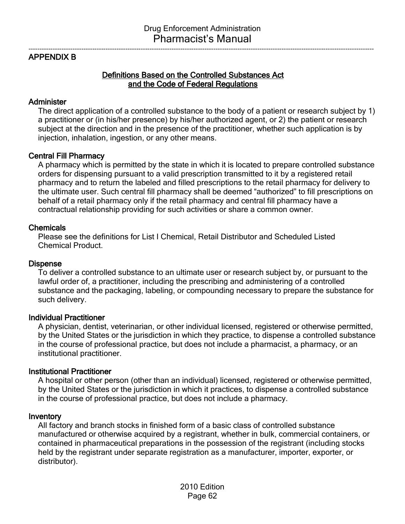#### ------------------------------------------------------------------------------------------------------------------------------------------------------------- APPENDIX B

# Definitions Based on the Controlled Substances Act and the Code of Federal Regulations

## **Administer**

The direct application of a controlled substance to the body of a patient or research subject by 1) a practitioner or (in his/her presence) by his/her authorized agent, or 2) the patient or research subject at the direction and in the presence of the practitioner, whether such application is by injection, inhalation, ingestion, or any other means.

## Central Fill Pharmacy

A pharmacy which is permitted by the state in which it is located to prepare controlled substance orders for dispensing pursuant to a valid prescription transmitted to it by a registered retail pharmacy and to return the labeled and filled prescriptions to the retail pharmacy for delivery to the ultimate user. Such central fill pharmacy shall be deemed "authorized" to fill prescriptions on behalf of a retail pharmacy only if the retail pharmacy and central fill pharmacy have a contractual relationship providing for such activities or share a common owner.

## Chemicals

Please see the definitions for List I Chemical, Retail Distributor and Scheduled Listed Chemical Product.

## **Dispense**

To deliver a controlled substance to an ultimate user or research subject by, or pursuant to the lawful order of, a practitioner, including the prescribing and administering of a controlled substance and the packaging, labeling, or compounding necessary to prepare the substance for such delivery.

## Individual Practitioner

A physician, dentist, veterinarian, or other individual licensed, registered or otherwise permitted, by the United States or the jurisdiction in which they practice, to dispense a controlled substance in the course of professional practice, but does not include a pharmacist, a pharmacy, or an institutional practitioner.

## Institutional Practitioner

A hospital or other person (other than an individual) licensed, registered or otherwise permitted, by the United States or the jurisdiction in which it practices, to dispense a controlled substance in the course of professional practice, but does not include a pharmacy.

## **Inventory**

All factory and branch stocks in finished form of a basic class of controlled substance manufactured or otherwise acquired by a registrant, whether in bulk, commercial containers, or contained in pharmaceutical preparations in the possession of the registrant (including stocks held by the registrant under separate registration as a manufacturer, importer, exporter, or distributor).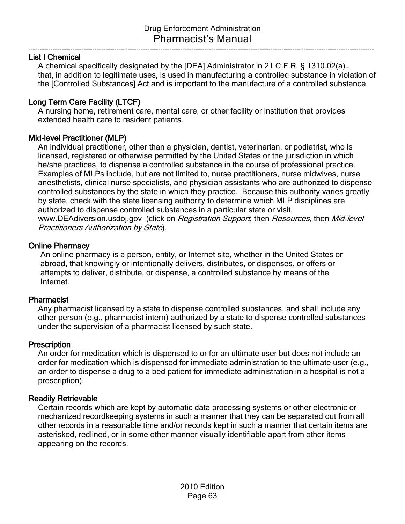-------------------------------------------------------------------------------------------------------------------------------------------------------------

## List I Chemical

A chemical specifically designated by the [DEA] Administrator in 21 C.F.R. § 1310.02(a)… that, in addition to legitimate uses, is used in manufacturing a controlled substance in violation of the [Controlled Substances] Act and is important to the manufacture of a controlled substance.

## Long Term Care Facility (LTCF)

A nursing home, retirement care, mental care, or other facility or institution that provides extended health care to resident patients.

## Mid-level Practitioner (MLP)

An individual practitioner, other than a physician, dentist, veterinarian, or podiatrist, who is licensed, registered or otherwise permitted by the United States or the jurisdiction in which he/she practices, to dispense a controlled substance in the course of professional practice. Examples of MLPs include, but are not limited to, nurse practitioners, nurse midwives, nurse anesthetists, clinical nurse specialists, and physician assistants who are authorized to dispense controlled substances by the state in which they practice. Because this authority varies greatly by state, check with the state licensing authority to determine which MLP disciplines are authorized to dispense controlled substances in a particular state or visit,

www.DEAdiversion.usdoj.gov (click on *Registration Support*, then *Resources*, then *Mid-level* Practitioners Authorization by State).

## Online Pharmacy

An online pharmacy is a person, entity, or Internet site, whether in the United States or abroad, that knowingly or intentionally delivers, distributes, or dispenses, or offers or attempts to deliver, distribute, or dispense, a controlled substance by means of the Internet.

## **Pharmacist**

Any pharmacist licensed by a state to dispense controlled substances, and shall include any other person (e.g., pharmacist intern) authorized by a state to dispense controlled substances under the supervision of a pharmacist licensed by such state.

## **Prescription**

An order for medication which is dispensed to or for an ultimate user but does not include an order for medication which is dispensed for immediate administration to the ultimate user (e.g., an order to dispense a drug to a bed patient for immediate administration in a hospital is not a prescription).

## Readily Retrievable

Certain records which are kept by automatic data processing systems or other electronic or mechanized recordkeeping systems in such a manner that they can be separated out from all other records in a reasonable time and/or records kept in such a manner that certain items are asterisked, redlined, or in some other manner visually identifiable apart from other items appearing on the records.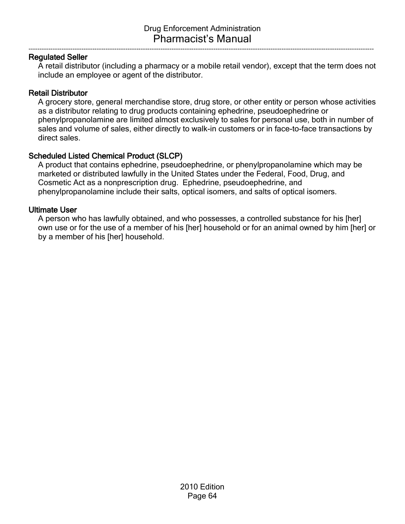-------------------------------------------------------------------------------------------------------------------------------------------------------------

## Regulated Seller

A retail distributor (including a pharmacy or a mobile retail vendor), except that the term does not include an employee or agent of the distributor.

## Retail Distributor

A grocery store, general merchandise store, drug store, or other entity or person whose activities as a distributor relating to drug products containing ephedrine, pseudoephedrine or phenylpropanolamine are limited almost exclusively to sales for personal use, both in number of sales and volume of sales, either directly to walk-in customers or in face-to-face transactions by direct sales.

# Scheduled Listed Chemical Product (SLCP)

A product that contains ephedrine, pseudoephedrine, or phenylpropanolamine which may be marketed or distributed lawfully in the United States under the Federal, Food, Drug, and Cosmetic Act as a nonprescription drug. Ephedrine, pseudoephedrine, and phenylpropanolamine include their salts, optical isomers, and salts of optical isomers.

## Ultimate User

A person who has lawfully obtained, and who possesses, a controlled substance for his [her] own use or for the use of a member of his [her] household or for an animal owned by him [her] or by a member of his [her] household.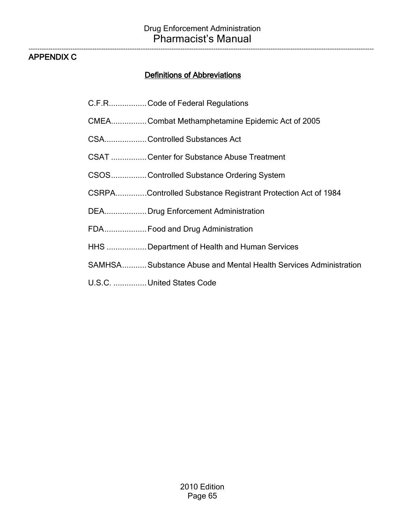#### ------------------------------------------------------------------------------------------------------------------------------------------------------------- APPENDIX C

# Definitions of Abbreviations

- C.F.R.................Code of Federal Regulations
- CMEA................Combat Methamphetamine Epidemic Act of 2005
- CSA...................Controlled Substances Act
- CSAT ................Center for Substance Abuse Treatment
- CSOS................Controlled Substance Ordering System
- CSRPA..............Controlled Substance Registrant Protection Act of 1984
- DEA.....................Drug Enforcement Administration
- FDA...................Food and Drug Administration
- HHS ..................Department of Health and Human Services
- SAMHSA...........Substance Abuse and Mental Health Services Administration
- U.S.C. ...............United States Code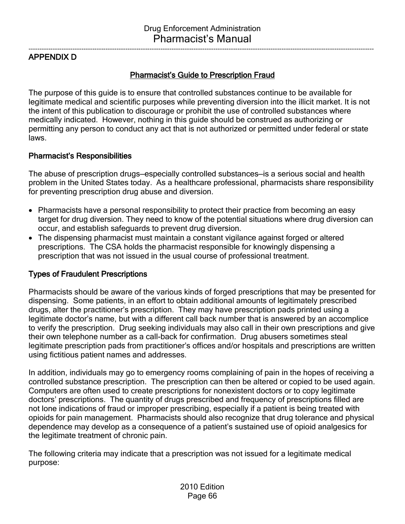#### ------------------------------------------------------------------------------------------------------------------------------------------------------------- APPENDIX D

# Pharmacist's Guide to Prescription Fraud

The purpose of this guide is to ensure that controlled substances continue to be available for legitimate medical and scientific purposes while preventing diversion into the illicit market. It is not the intent of this publication to discourage or prohibit the use of controlled substances where medically indicated. However, nothing in this guide should be construed as authorizing or permitting any person to conduct any act that is not authorized or permitted under federal or state laws.

# Pharmacist's Responsibilities

The abuse of prescription drugs—especially controlled substances—is a serious social and health problem in the United States today. As a healthcare professional, pharmacists share responsibility for preventing prescription drug abuse and diversion.

- Pharmacists have a personal responsibility to protect their practice from becoming an easy target for drug diversion. They need to know of the potential situations where drug diversion can occur, and establish safeguards to prevent drug diversion.
- The dispensing pharmacist must maintain a constant vigilance against forged or altered prescriptions. The CSA holds the pharmacist responsible for knowingly dispensing a prescription that was not issued in the usual course of professional treatment.

## Types of Fraudulent Prescriptions

Pharmacists should be aware of the various kinds of forged prescriptions that may be presented for dispensing. Some patients, in an effort to obtain additional amounts of legitimately prescribed drugs, alter the practitioner's prescription. They may have prescription pads printed using a legitimate doctor's name, but with a different call back number that is answered by an accomplice to verify the prescription. Drug seeking individuals may also call in their own prescriptions and give their own telephone number as a call-back for confirmation. Drug abusers sometimes steal legitimate prescription pads from practitioner's offices and/or hospitals and prescriptions are written using fictitious patient names and addresses.

In addition, individuals may go to emergency rooms complaining of pain in the hopes of receiving a controlled substance prescription. The prescription can then be altered or copied to be used again. Computers are often used to create prescriptions for nonexistent doctors or to copy legitimate doctors' prescriptions. The quantity of drugs prescribed and frequency of prescriptions filled are not lone indications of fraud or improper prescribing, especially if a patient is being treated with opioids for pain management. Pharmacists should also recognize that drug tolerance and physical dependence may develop as a consequence of a patient's sustained use of opioid analgesics for the legitimate treatment of chronic pain.

The following criteria may indicate that a prescription was not issued for a legitimate medical purpose: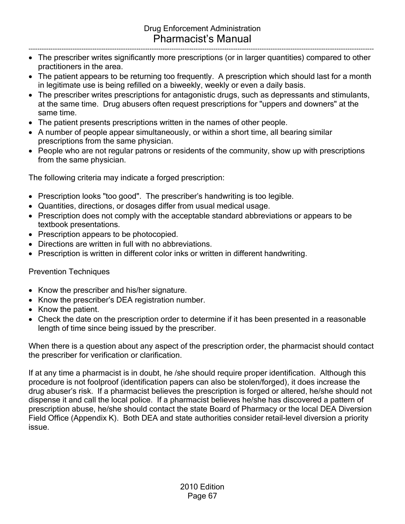- ------------------------------------------------------------------------------------------------------------------------------------------------------------- • The prescriber writes significantly more prescriptions (or in larger quantities) compared to other practitioners in the area.
- The patient appears to be returning too frequently. A prescription which should last for a month in legitimate use is being refilled on a biweekly, weekly or even a daily basis.
- The prescriber writes prescriptions for antagonistic drugs, such as depressants and stimulants, at the same time. Drug abusers often request prescriptions for "uppers and downers" at the same time.
- The patient presents prescriptions written in the names of other people.
- A number of people appear simultaneously, or within a short time, all bearing similar prescriptions from the same physician.
- People who are not regular patrons or residents of the community, show up with prescriptions from the same physician.

The following criteria may indicate a forged prescription:

- Prescription looks "too good". The prescriber's handwriting is too legible.
- Quantities, directions, or dosages differ from usual medical usage.
- Prescription does not comply with the acceptable standard abbreviations or appears to be textbook presentations.
- Prescription appears to be photocopied.
- Directions are written in full with no abbreviations.
- Prescription is written in different color inks or written in different handwriting.

## Prevention Techniques

- Know the prescriber and his/her signature.
- Know the prescriber's DEA registration number.
- Know the patient.
- Check the date on the prescription order to determine if it has been presented in a reasonable length of time since being issued by the prescriber.

When there is a question about any aspect of the prescription order, the pharmacist should contact the prescriber for verification or clarification.

If at any time a pharmacist is in doubt, he /she should require proper identification. Although this procedure is not foolproof (identification papers can also be stolen/forged), it does increase the drug abuser's risk. If a pharmacist believes the prescription is forged or altered, he/she should not dispense it and call the local police. If a pharmacist believes he/she has discovered a pattern of prescription abuse, he/she should contact the state Board of Pharmacy or the local DEA Diversion Field Office (Appendix K). Both DEA and state authorities consider retail-level diversion a priority issue.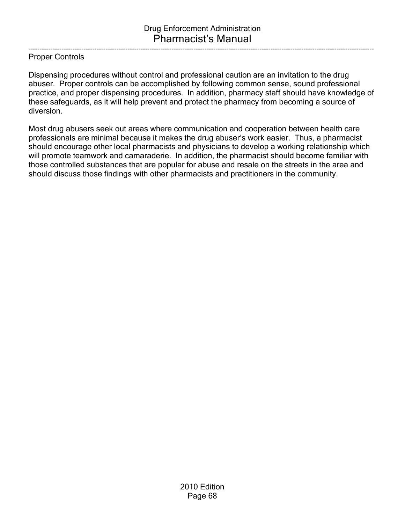#### ------------------------------------------------------------------------------------------------------------------------------------------------------------- Proper Controls

Dispensing procedures without control and professional caution are an invitation to the drug abuser. Proper controls can be accomplished by following common sense, sound professional practice, and proper dispensing procedures. In addition, pharmacy staff should have knowledge of these safeguards, as it will help prevent and protect the pharmacy from becoming a source of diversion.

Most drug abusers seek out areas where communication and cooperation between health care professionals are minimal because it makes the drug abuser's work easier. Thus, a pharmacist should encourage other local pharmacists and physicians to develop a working relationship which will promote teamwork and camaraderie. In addition, the pharmacist should become familiar with those controlled substances that are popular for abuse and resale on the streets in the area and should discuss those findings with other pharmacists and practitioners in the community.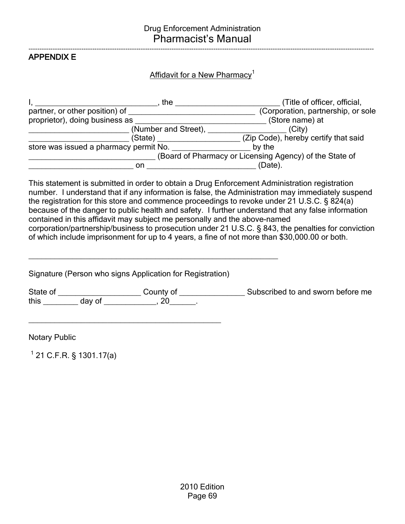#### ------------------------------------------------------------------------------------------------------------------------------------------------------------- APPENDIX E

# Affidavit for a New Pharmacy<sup>1</sup>

|                                                         | the                  | (Title of officer, official,         |  |  |
|---------------------------------------------------------|----------------------|--------------------------------------|--|--|
| partner, or other position) of                          |                      | (Corporation, partnership, or sole   |  |  |
| proprietor), doing business as                          |                      | (Store name) at                      |  |  |
|                                                         | (Number and Street), | (City)                               |  |  |
| (State)                                                 |                      | (Zip Code), hereby certify that said |  |  |
| store was issued a pharmacy permit No.                  |                      | by the                               |  |  |
| (Board of Pharmacy or Licensing Agency) of the State of |                      |                                      |  |  |
| on.                                                     |                      | (Date).                              |  |  |

This statement is submitted in order to obtain a Drug Enforcement Administration registration number. I understand that if any information is false, the Administration may immediately suspend the registration for this store and commence proceedings to revoke under 21 U.S.C. § 824(a) because of the danger to public health and safety. I further understand that any false information contained in this affidavit may subject me personally and the above-named corporation/partnership/business to prosecution under 21 U.S.C. § 843, the penalties for conviction of which include imprisonment for up to 4 years, a fine of not more than \$30,000.00 or both.

Signature (Person who signs Application for Registration)

\_\_\_\_\_\_\_\_\_\_\_\_\_\_\_\_\_\_\_\_\_\_\_\_\_\_\_\_\_\_\_\_\_\_\_\_\_\_\_\_\_\_\_\_

 $\mathcal{L}_\text{max}$  , and the set of the set of the set of the set of the set of the set of the set of the set of the set of

State of \_\_\_\_\_\_\_\_\_\_\_\_\_\_\_\_\_\_\_\_\_\_\_\_\_County of \_\_\_\_\_\_\_\_\_\_\_\_\_\_\_\_\_\_\_\_\_\_\_Subscribed to and sworn before me this \_\_\_\_\_\_\_\_\_ day of \_\_\_\_\_\_\_\_\_\_\_\_, 20\_\_\_\_\_\_.

Notary Public

 $1$  21 C.F.R. § 1301.17(a)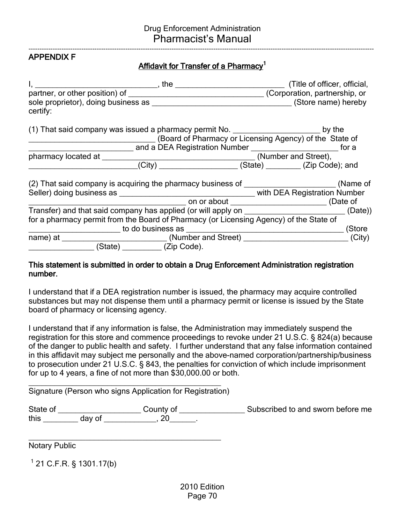#### APPENDIX F

# Affidavit for Transfer of a Pharmacy $^{\rm 1}$

-------------------------------------------------------------------------------------------------------------------------------------------------------------

| certify:                                                                                       |                                                                 |
|------------------------------------------------------------------------------------------------|-----------------------------------------------------------------|
| (1) That said company was issued a pharmacy permit No. __________________________ by the       |                                                                 |
|                                                                                                | (Board of Pharmacy or Licensing Agency) of the State of         |
|                                                                                                |                                                                 |
|                                                                                                |                                                                 |
|                                                                                                | (City) _______________________(State) _________ (Zip Code); and |
| (2) That said company is acquiring the pharmacy business of _____________________(Name of      |                                                                 |
|                                                                                                |                                                                 |
|                                                                                                |                                                                 |
| Transfer) and that said company has applied (or will apply on _________________________(Date)) |                                                                 |
| for a pharmacy permit from the Board of Pharmacy (or Licensing Agency) of the State of         |                                                                 |
|                                                                                                |                                                                 |
|                                                                                                | (City)                                                          |
|                                                                                                |                                                                 |

#### This statement is submitted in order to obtain a Drug Enforcement Administration registration number.

I understand that if a DEA registration number is issued, the pharmacy may acquire controlled substances but may not dispense them until a pharmacy permit or license is issued by the State board of pharmacy or licensing agency.

I understand that if any information is false, the Administration may immediately suspend the registration for this store and commence proceedings to revoke under 21 U.S.C. § 824(a) because of the danger to public health and safety. I further understand that any false information contained in this affidavit may subject me personally and the above-named corporation/partnership/business to prosecution under 21 U.S.C. § 843, the penalties for conviction of which include imprisonment for up to 4 years, a fine of not more than \$30,000.00 or both.

\_\_\_\_\_\_\_\_\_\_\_\_\_\_\_\_\_\_\_\_\_\_\_\_\_\_\_\_\_\_\_\_\_\_\_\_\_\_\_\_\_\_\_\_ Signature (Person who signs Application for Registration)

\_\_\_\_\_\_\_\_\_\_\_\_\_\_\_\_\_\_\_\_\_\_\_\_\_\_\_\_\_\_\_\_\_\_\_\_\_\_\_\_\_\_\_\_

State of \_\_\_\_\_\_\_\_\_\_\_\_\_\_\_\_\_\_\_\_\_\_\_\_\_County of \_\_\_\_\_\_\_\_\_\_\_\_\_\_\_\_\_\_\_\_\_\_\_Subscribed to and sworn before me this \_\_\_\_\_\_\_\_\_ day of \_\_\_\_\_\_\_\_\_\_\_\_, 20\_\_\_\_\_\_.

Notary Public

 $1$  21 C.F.R. § 1301.17(b)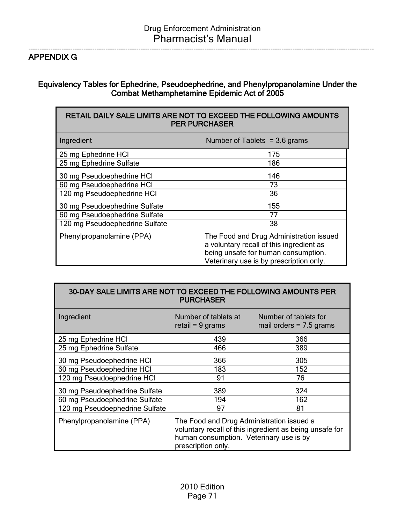#### ------------------------------------------------------------------------------------------------------------------------------------------------------------- APPENDIX G

## Equivalency Tables for Ephedrine, Pseudoephedrine, and Phenylpropanolamine Under the Combat Methamphetamine Epidemic Act of 2005

#### RETAIL DAILY SALE LIMITS ARE NOT TO EXCEED THE FOLLOWING AMOUNTS PER PURCHASER

| Ingredient                     | Number of Tablets $=$ 3.6 grams                                                                                                                                       |
|--------------------------------|-----------------------------------------------------------------------------------------------------------------------------------------------------------------------|
| 25 mg Ephedrine HCI            | 175                                                                                                                                                                   |
| 25 mg Ephedrine Sulfate        | 186                                                                                                                                                                   |
| 30 mg Pseudoephedrine HCI      | 146                                                                                                                                                                   |
| 60 mg Pseudoephedrine HCI      | 73                                                                                                                                                                    |
| 120 mg Pseudoephedrine HCI     | 36                                                                                                                                                                    |
| 30 mg Pseudoephedrine Sulfate  | 155                                                                                                                                                                   |
| 60 mg Pseudoephedrine Sulfate  | 77                                                                                                                                                                    |
| 120 mg Pseudoephedrine Sulfate | 38                                                                                                                                                                    |
| Phenylpropanolamine (PPA)      | The Food and Drug Administration issued<br>a voluntary recall of this ingredient as<br>being unsafe for human consumption.<br>Veterinary use is by prescription only. |

| 30-DAY SALE LIMITS ARE NOT TO EXCEED THE FOLLOWING AMOUNTS PER |
|----------------------------------------------------------------|
| <b>PURCHASER</b>                                               |

| Ingredient                     | Number of tablets at<br>retail = $9$ grams                                                                                                                            | Number of tablets for<br>mail orders $= 7.5$ grams |
|--------------------------------|-----------------------------------------------------------------------------------------------------------------------------------------------------------------------|----------------------------------------------------|
| 25 mg Ephedrine HCI            | 439                                                                                                                                                                   | 366                                                |
| 25 mg Ephedrine Sulfate        | 466                                                                                                                                                                   | 389                                                |
| 30 mg Pseudoephedrine HCI      | 366                                                                                                                                                                   | 305                                                |
| 60 mg Pseudoephedrine HCI      | 183                                                                                                                                                                   | 152                                                |
| 120 mg Pseudoephedrine HCI     | 91                                                                                                                                                                    | 76                                                 |
| 30 mg Pseudoephedrine Sulfate  | 389                                                                                                                                                                   | 324                                                |
| 60 mg Pseudoephedrine Sulfate  | 194                                                                                                                                                                   | 162                                                |
| 120 mg Pseudoephedrine Sulfate | 97                                                                                                                                                                    | 81                                                 |
| Phenylpropanolamine (PPA)      | The Food and Drug Administration issued a<br>voluntary recall of this ingredient as being unsafe for<br>human consumption. Veterinary use is by<br>prescription only. |                                                    |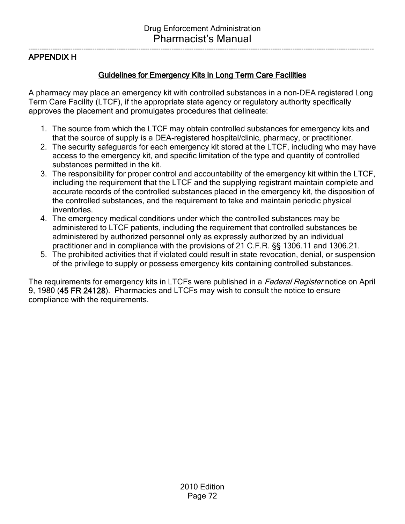#### ------------------------------------------------------------------------------------------------------------------------------------------------------------- APPENDIX H

# Guidelines for Emergency Kits in Long Term Care Facilities

A pharmacy may place an emergency kit with controlled substances in a non-DEA registered Long Term Care Facility (LTCF), if the appropriate state agency or regulatory authority specifically approves the placement and promulgates procedures that delineate:

- 1. The source from which the LTCF may obtain controlled substances for emergency kits and that the source of supply is a DEA-registered hospital/clinic, pharmacy, or practitioner.
- 2. The security safeguards for each emergency kit stored at the LTCF, including who may have access to the emergency kit, and specific limitation of the type and quantity of controlled substances permitted in the kit.
- 3. The responsibility for proper control and accountability of the emergency kit within the LTCF, including the requirement that the LTCF and the supplying registrant maintain complete and accurate records of the controlled substances placed in the emergency kit, the disposition of the controlled substances, and the requirement to take and maintain periodic physical inventories.
- 4. The emergency medical conditions under which the controlled substances may be administered to LTCF patients, including the requirement that controlled substances be administered by authorized personnel only as expressly authorized by an individual practitioner and in compliance with the provisions of 21 C.F.R. §§ 1306.11 and 1306.21.
- 5. The prohibited activities that if violated could result in state revocation, denial, or suspension of the privilege to supply or possess emergency kits containing controlled substances.

The requirements for emergency kits in LTCFs were published in a Federal Register notice on April 9, 1980 (45 FR 24128). Pharmacies and LTCFs may wish to consult the notice to ensure compliance with the requirements.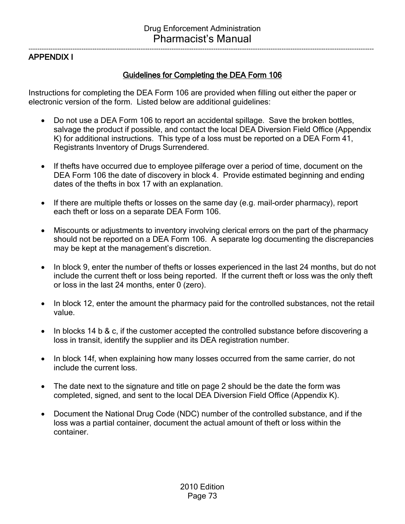#### ------------------------------------------------------------------------------------------------------------------------------------------------------------- APPENDIX I

# Guidelines for Completing the DEA Form 106

Instructions for completing the DEA Form 106 are provided when filling out either the paper or electronic version of the form. Listed below are additional guidelines:

- Do not use a DEA Form 106 to report an accidental spillage. Save the broken bottles, salvage the product if possible, and contact the local DEA Diversion Field Office (Appendix K) for additional instructions. This type of a loss must be reported on a DEA Form 41, Registrants Inventory of Drugs Surrendered.
- If thefts have occurred due to employee pilferage over a period of time, document on the DEA Form 106 the date of discovery in block 4. Provide estimated beginning and ending dates of the thefts in box 17 with an explanation.
- If there are multiple thefts or losses on the same day (e.g. mail-order pharmacy), report each theft or loss on a separate DEA Form 106.
- Miscounts or adjustments to inventory involving clerical errors on the part of the pharmacy should not be reported on a DEA Form 106. A separate log documenting the discrepancies may be kept at the management's discretion.
- In block 9, enter the number of thefts or losses experienced in the last 24 months, but do not include the current theft or loss being reported. If the current theft or loss was the only theft or loss in the last 24 months, enter 0 (zero).
- In block 12, enter the amount the pharmacy paid for the controlled substances, not the retail value.
- In blocks 14 b & c, if the customer accepted the controlled substance before discovering a loss in transit, identify the supplier and its DEA registration number.
- In block 14f, when explaining how many losses occurred from the same carrier, do not include the current loss.
- The date next to the signature and title on page 2 should be the date the form was completed, signed, and sent to the local DEA Diversion Field Office (Appendix K).
- Document the National Drug Code (NDC) number of the controlled substance, and if the loss was a partial container, document the actual amount of theft or loss within the container.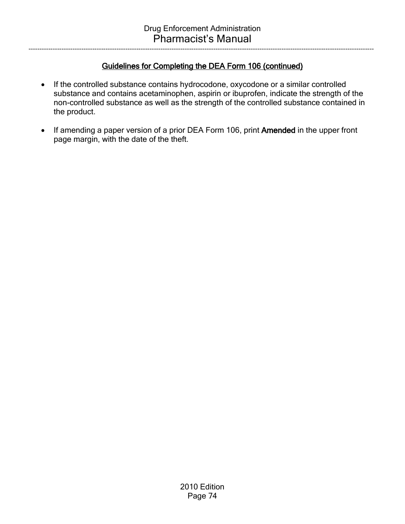-------------------------------------------------------------------------------------------------------------------------------------------------------------

# Guidelines for Completing the DEA Form 106 (continued)

- If the controlled substance contains hydrocodone, oxycodone or a similar controlled substance and contains acetaminophen, aspirin or ibuprofen, indicate the strength of the non-controlled substance as well as the strength of the controlled substance contained in the product.
- If amending a paper version of a prior DEA Form 106, print Amended in the upper front page margin, with the date of the theft.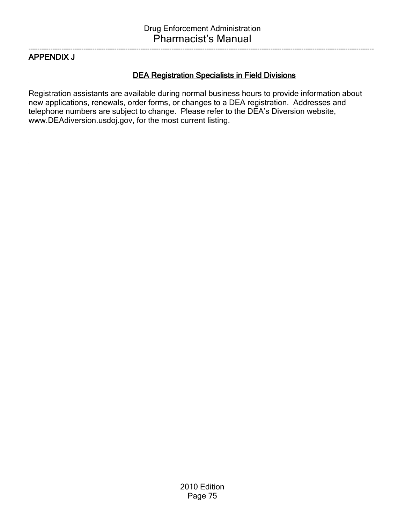#### ------------------------------------------------------------------------------------------------------------------------------------------------------------- APPENDIX J

# DEA Registration Specialists in Field Divisions

Registration assistants are available during normal business hours to provide information about new applications, renewals, order forms, or changes to a DEA registration. Addresses and telephone numbers are subject to change. Please refer to the DEA's Diversion website, www.DEAdiversion.usdoj.gov, for the most current listing.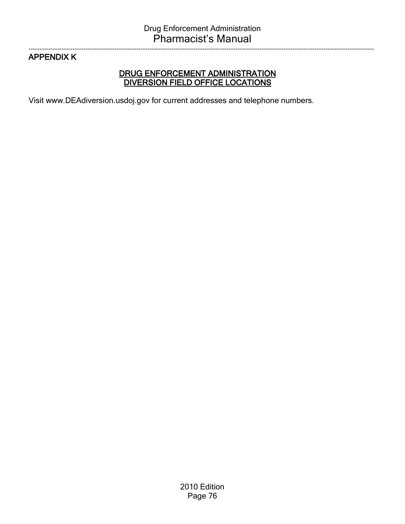-------------------------------------------------------------------------------------------------------------------------------------------------------------

## APPENDIX K

## DRUG ENFORCEMENT ADMINISTRATION DIVERSION FIELD OFFICE LOCATIONS

Visit www.DEAdiversion.usdoj.gov for current addresses and telephone numbers.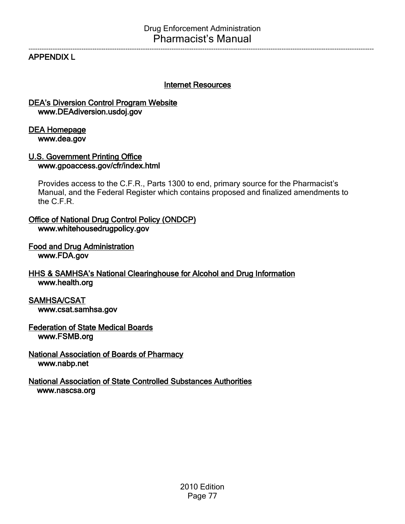------------------------------------------------------------------------------------------------------------------------------------------------------------- APPENDIX L

# Internet Resources

## DEA's Diversion Control Program Website www.DEAdiversion.usdoj.gov

# DEA Homepage

www.dea.gov

## U.S. Government Printing Office www.gpoaccess.gov/cfr/index.html

Provides access to the C.F.R., Parts 1300 to end, primary source for the Pharmacist's Manual, and the Federal Register which contains proposed and finalized amendments to the C.F.R.

## Office of National Drug Control Policy (ONDCP) www.whitehousedrugpolicy.gov

#### Food and Drug Administration www.FDA.gov

HHS & SAMHSA's National Clearinghouse for Alcohol and Drug Information www.health.org

**SAMHSA/CSAT** www.csat.samhsa.gov

#### Federation of State Medical Boards www.FSMB.org

National Association of Boards of Pharmacy www.nabp.net

## National Association of State Controlled Substances Authorities www.nascsa.org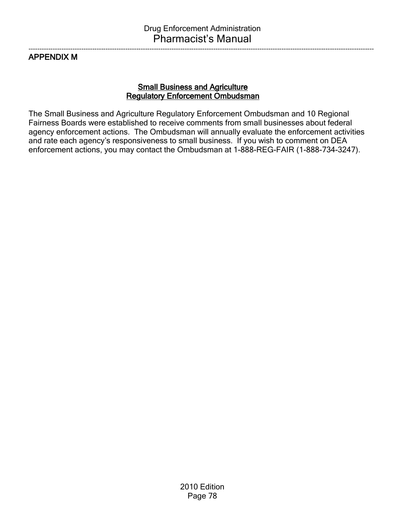#### ------------------------------------------------------------------------------------------------------------------------------------------------------------- APPENDIX M

## **Small Business and Agriculture** Regulatory Enforcement Ombudsman

The Small Business and Agriculture Regulatory Enforcement Ombudsman and 10 Regional Fairness Boards were established to receive comments from small businesses about federal agency enforcement actions. The Ombudsman will annually evaluate the enforcement activities and rate each agency's responsiveness to small business. If you wish to comment on DEA enforcement actions, you may contact the Ombudsman at 1-888-REG-FAIR (1-888-734-3247).